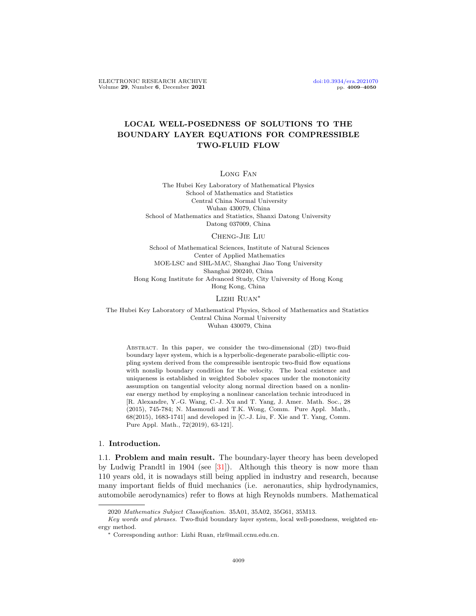# LOCAL WELL-POSEDNESS OF SOLUTIONS TO THE BOUNDARY LAYER EQUATIONS FOR COMPRESSIBLE TWO-FLUID FLOW

Long Fan

The Hubei Key Laboratory of Mathematical Physics School of Mathematics and Statistics Central China Normal University Wuhan 430079, China School of Mathematics and Statistics, Shanxi Datong University Datong 037009, China

### Cheng-Jie Liu

School of Mathematical Sciences, Institute of Natural Sciences Center of Applied Mathematics MOE-LSC and SHL-MAC, Shanghai Jiao Tong University Shanghai 200240, China Hong Kong Institute for Advanced Study, City University of Hong Kong Hong Kong, China

#### Lizhi Ruan<sup>∗</sup>

The Hubei Key Laboratory of Mathematical Physics, School of Mathematics and Statistics Central China Normal University Wuhan 430079, China

Abstract. In this paper, we consider the two-dimensional (2D) two-fluid boundary layer system, which is a hyperbolic-degenerate parabolic-elliptic coupling system derived from the compressible isentropic two-fluid flow equations with nonslip boundary condition for the velocity. The local existence and uniqueness is established in weighted Sobolev spaces under the monotonicity assumption on tangential velocity along normal direction based on a nonlinear energy method by employing a nonlinear cancelation technic introduced in [R. Alexandre, Y.-G. Wang, C.-J. Xu and T. Yang, J. Amer. Math. Soc., 28 (2015), 745-784; N. Masmoudi and T.K. Wong, Comm. Pure Appl. Math., 68(2015), 1683-1741] and developed in [C.-J. Liu, F. Xie and T. Yang, Comm. Pure Appl. Math., 72(2019), 63-121].

### 1. Introduction.

1.1. Problem and main result. The boundary-layer theory has been developed by Ludwig Prandtl in 1904 (see [\[31\]](#page-40-0)). Although this theory is now more than 110 years old, it is nowadays still being applied in industry and research, because many important fields of fluid mechanics (i.e. aeronautics, ship hydrodynamics, automobile aerodynamics) refer to flows at high Reynolds numbers. Mathematical

<sup>2020</sup> Mathematics Subject Classification. 35A01, 35A02, 35G61, 35M13.

Key words and phrases. Two-fluid boundary layer system, local well-posedness, weighted energy method.

<sup>∗</sup> Corresponding author: Lizhi Ruan, rlz@mail.ccnu.edu.cn.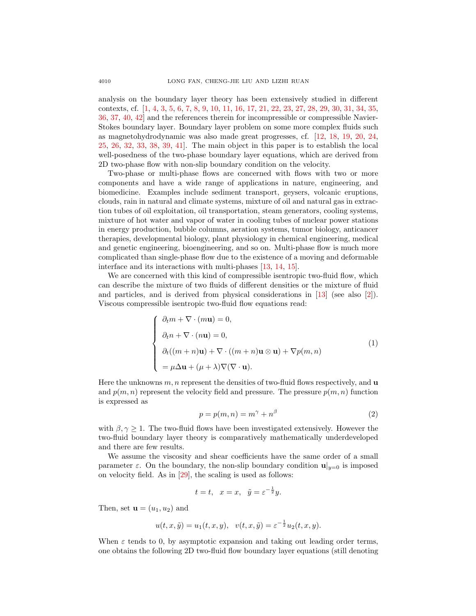analysis on the boundary layer theory has been extensively studied in different contexts, cf. [\[1,](#page-39-0) [4,](#page-39-1) [3,](#page-39-2) [5,](#page-39-3) [6,](#page-39-4) [7,](#page-40-1) [8,](#page-40-2) [9,](#page-40-3) [10,](#page-40-4) [11,](#page-40-5) [16,](#page-40-6) [17,](#page-40-7) [21,](#page-40-8) [22,](#page-40-9) [23,](#page-40-10) [27,](#page-40-11) [28,](#page-40-12) [29,](#page-40-13) [30,](#page-40-14) [31,](#page-40-0) [34,](#page-40-15) [35,](#page-41-0) [36,](#page-41-1) [37,](#page-41-2) [40,](#page-41-3) [42\]](#page-41-4) and the references therein for incompressible or compressible Navier-Stokes boundary layer. Boundary layer problem on some more complex fluids such as magnetohydrodynamic was also made great progresses, cf. [\[12,](#page-40-16) [18,](#page-40-17) [19,](#page-40-18) [20,](#page-40-19) [24,](#page-40-20) [25,](#page-40-21) [26,](#page-40-22) [32,](#page-40-23) [33,](#page-40-24) [38,](#page-41-5) [39,](#page-41-6) [41\]](#page-41-7). The main object in this paper is to establish the local well-posedness of the two-phase boundary layer equations, which are derived from 2D two-phase flow with non-slip boundary condition on the velocity.

Two-phase or multi-phase flows are concerned with flows with two or more components and have a wide range of applications in nature, engineering, and biomedicine. Examples include sediment transport, geysers, volcanic eruptions, clouds, rain in natural and climate systems, mixture of oil and natural gas in extraction tubes of oil exploitation, oil transportation, steam generators, cooling systems, mixture of hot water and vapor of water in cooling tubes of nuclear power stations in energy production, bubble columns, aeration systems, tumor biology, anticancer therapies, developmental biology, plant physiology in chemical engineering, medical and genetic engineering, bioengineering, and so on. Multi-phase flow is much more complicated than single-phase flow due to the existence of a moving and deformable interface and its interactions with multi-phases [\[13,](#page-40-25) [14,](#page-40-26) [15\]](#page-40-27).

We are concerned with this kind of compressible isentropic two-fluid flow, which can describe the mixture of two fluids of different densities or the mixture of fluid and particles, and is derived from physical considerations in [\[13\]](#page-40-25) (see also [\[2\]](#page-39-5)). Viscous compressible isentropic two-fluid flow equations read:

$$
\begin{cases}\n\partial_t m + \nabla \cdot (m\mathbf{u}) = 0, \\
\partial_t n + \nabla \cdot (n\mathbf{u}) = 0, \\
\partial_t ((m+n)\mathbf{u}) + \nabla \cdot ((m+n)\mathbf{u} \otimes \mathbf{u}) + \nabla p(m,n) \\
= \mu \Delta \mathbf{u} + (\mu + \lambda) \nabla (\nabla \cdot \mathbf{u}).\n\end{cases}
$$
\n(1)

Here the unknowns  $m, n$  represent the densities of two-fluid flows respectively, and  $\bf{u}$ and  $p(m, n)$  represent the velocity field and pressure. The pressure  $p(m, n)$  function is expressed as

$$
p = p(m, n) = m^{\gamma} + n^{\beta} \tag{2}
$$

with  $\beta, \gamma \geq 1$ . The two-fluid flows have been investigated extensively. However the two-fluid boundary layer theory is comparatively mathematically underdeveloped and there are few results.

We assume the viscosity and shear coefficients have the same order of a small parameter  $\varepsilon$ . On the boundary, the non-slip boundary condition  $\mathbf{u}|_{y=0}$  is imposed on velocity field. As in [\[29\]](#page-40-13), the scaling is used as follows:

$$
t = t, \quad x = x, \quad \tilde{y} = \varepsilon^{-\frac{1}{2}}y.
$$

Then, set  $\mathbf{u} = (u_1, u_2)$  and

$$
u(t, x, \tilde{y}) = u_1(t, x, y), \quad v(t, x, \tilde{y}) = \varepsilon^{-\frac{1}{2}} u_2(t, x, y).
$$

When  $\varepsilon$  tends to 0, by asymptotic expansion and taking out leading order terms, one obtains the following 2D two-fluid flow boundary layer equations (still denoting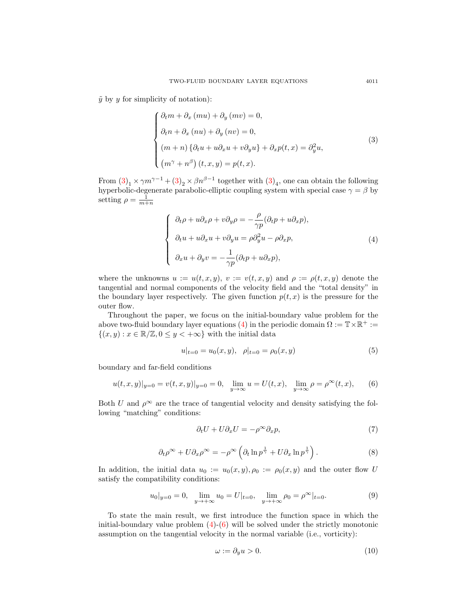$\tilde{y}$  by y for simplicity of notation):

<span id="page-2-0"></span>
$$
\begin{cases}\n\partial_t m + \partial_x (mu) + \partial_y (mv) = 0, \\
\partial_t n + \partial_x (nu) + \partial_y (nv) = 0, \\
(m+n) \{\partial_t u + u \partial_x u + v \partial_y u\} + \partial_x p(t, x) = \partial_y^2 u, \\
(m^{\gamma} + n^{\beta}) (t, x, y) = p(t, x).\n\end{cases}
$$
\n(3)

From  $(3)_1 \times \gamma m^{\gamma-1} + (3)_2 \times \beta n^{\beta-1}$  $(3)_1 \times \gamma m^{\gamma-1} + (3)_2 \times \beta n^{\beta-1}$  together with  $(3)_4$ , one can obtain the following hyperbolic-degenerate parabolic-elliptic coupling system with special case  $\gamma = \beta$  by setting  $\rho = \frac{1}{m+n}$ 

<span id="page-2-1"></span>
$$
\begin{cases}\n\partial_t \rho + u \partial_x \rho + v \partial_y \rho = -\frac{\rho}{\gamma p} (\partial_t p + u \partial_x p), \\
\partial_t u + u \partial_x u + v \partial_y u = \rho \partial_y^2 u - \rho \partial_x p, \\
\partial_x u + \partial_y v = -\frac{1}{\gamma p} (\partial_t p + u \partial_x p),\n\end{cases} (4)
$$

where the unknowns  $u := u(t, x, y), v := v(t, x, y)$  and  $\rho := \rho(t, x, y)$  denote the tangential and normal components of the velocity field and the "total density" in the boundary layer respectively. The given function  $p(t, x)$  is the pressure for the outer flow.

Throughout the paper, we focus on the initial-boundary value problem for the above two-fluid boundary layer equations [\(4\)](#page-2-1) in the periodic domain  $\Omega := \mathbb{T} \times \mathbb{R}^+ :=$  $\{(x, y) : x \in \mathbb{R}/\mathbb{Z}, 0 \leq y < +\infty\}$  with the initial data

$$
u|_{t=0} = u_0(x, y), \quad \rho|_{t=0} = \rho_0(x, y) \tag{5}
$$

boundary and far-field conditions

<span id="page-2-2"></span>
$$
u(t, x, y)|_{y=0} = v(t, x, y)|_{y=0} = 0, \quad \lim_{y \to \infty} u = U(t, x), \quad \lim_{y \to \infty} \rho = \rho^{\infty}(t, x), \tag{6}
$$

Both U and  $\rho^{\infty}$  are the trace of tangential velocity and density satisfying the following "matching" conditions:

<span id="page-2-4"></span>
$$
\partial_t U + U \partial_x U = -\rho^\infty \partial_x p,\tag{7}
$$

<span id="page-2-5"></span>
$$
\partial_t \rho^{\infty} + U \partial_x \rho^{\infty} = -\rho^{\infty} \left( \partial_t \ln p^{\frac{1}{\gamma}} + U \partial_x \ln p^{\frac{1}{\gamma}} \right). \tag{8}
$$

In addition, the initial data  $u_0 := u_0(x, y), \rho_0 := \rho_0(x, y)$  and the outer flow U satisfy the compatibility conditions:

<span id="page-2-3"></span>
$$
u_0|_{y=0} = 0, \quad \lim_{y \to +\infty} u_0 = U|_{t=0}, \quad \lim_{y \to +\infty} \rho_0 = \rho^{\infty}|_{t=0}.
$$
 (9)

To state the main result, we first introduce the function space in which the initial-boundary value problem  $(4)-(6)$  $(4)-(6)$  $(4)-(6)$  will be solved under the strictly monotonic assumption on the tangential velocity in the normal variable (i.e., vorticity):

$$
\omega := \partial_y u > 0. \tag{10}
$$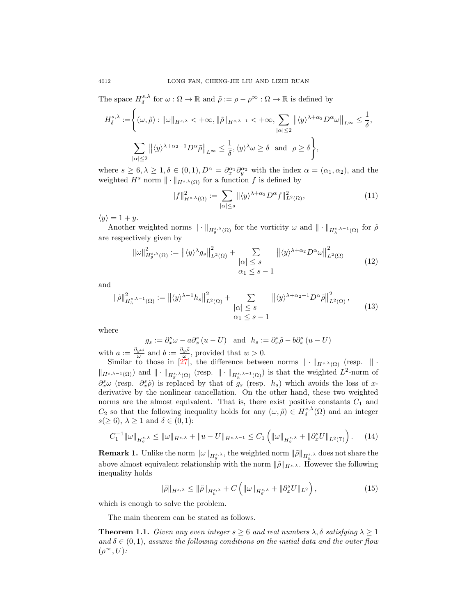The space  $H_{\delta}^{s,\lambda}$  for  $\omega : \Omega \to \mathbb{R}$  and  $\tilde{\rho} := \rho - \rho^{\infty} : \Omega \to \mathbb{R}$  is defined by

$$
H_{\delta}^{s,\lambda} := \left\{ (\omega, \tilde{\rho}) : ||\omega||_{H^{s,\lambda}} < +\infty, ||\tilde{\rho}||_{H^{s,\lambda-1}} < +\infty, \sum_{|\alpha| \le 2} ||\langle y \rangle^{\lambda+\alpha_2} D^{\alpha} \omega||_{L^{\infty}} \le \frac{1}{\delta}, \right\}
$$

$$
\sum_{|\alpha| \le 2} ||\langle y \rangle^{\lambda+\alpha_2-1} D^{\alpha} \tilde{\rho}||_{L^{\infty}} \le \frac{1}{\delta}, \langle y \rangle^{\lambda} \omega \ge \delta \text{ and } \rho \ge \delta \right\},
$$

where  $s \geq 6, \lambda \geq 1, \delta \in (0, 1), D^{\alpha} = \partial_x^{\alpha_1} \partial_y^{\alpha_2}$  with the index  $\alpha = (\alpha_1, \alpha_2)$ , and the weighted  $H^s$  norm  $\|\cdot\|_{H^{s,\lambda}(\Omega)}$  for a function f is defined by

$$
||f||_{H^{s,\lambda}(\Omega)}^2 := \sum_{|\alpha| \le s} ||\langle y \rangle^{\lambda + \alpha_2} D^{\alpha} f||_{L^2(\Omega)}^2,
$$
\n(11)

 $\langle y \rangle = 1 + y.$ 

Another weighted norms  $\|\cdot\|_{H_g^{s,\lambda}(\Omega)}$  for the vorticity  $\omega$  and  $\|\cdot\|_{H_h^{s,\lambda-1}(\Omega)}$  for  $\tilde{\rho}$ are respectively given by

$$
\|\omega\|_{H_g^{s,\lambda}(\Omega)}^2 := \left\| \langle y \rangle^\lambda g_s \right\|_{L^2(\Omega)}^2 + \sum_{\substack{|\alpha| \le s \\ \alpha_1 \le s - 1}} \left\| \langle y \rangle^{\lambda + \alpha_2} D^{\alpha} \omega \right\|_{L^2(\Omega)}^2 \tag{12}
$$

and

$$
\|\tilde{\rho}\|_{H_h^{s,\lambda-1}(\Omega)}^2 := \left\| \langle y \rangle^{\lambda-1} h_s \right\|_{L^2(\Omega)}^2 + \sum_{\substack{|\alpha| \le s \\ \alpha_1 \le s-1}} \left\| \langle y \rangle^{\lambda+\alpha_2-1} D^{\alpha} \tilde{\rho} \right\|_{L^2(\Omega)}^2, \tag{13}
$$

where

$$
g_s := \partial_x^s \omega - a \partial_x^s (u - U)
$$
 and  $h_s := \partial_x^s \tilde{\rho} - b \partial_x^s (u - U)$ 

with  $a := \frac{\partial_y \omega}{\omega}$  and  $b := \frac{\partial_y \tilde{\rho}}{\omega}$ , provided that  $w > 0$ .

Similar to those in [\[27\]](#page-40-11), the difference between norms  $\|\cdot\|_{H^{s,\lambda}(\Omega)}$  (resp.  $\|\cdot\|$  $\|H_{s,\lambda-1}(\Omega)\|$  and  $\|\cdot\|_{H_s^{s,\lambda}(\Omega)}$  (resp.  $\|\cdot\|_{H_h^{s,\lambda-1}(\Omega)}$ ) is that the weighted  $L^2$ -norm of  $\partial_x^s \omega$  (resp.  $\partial_x^s \tilde{\rho}$ ) is replaced by that of  $g_s$  (resp.  $h_s$ ) which avoids the loss of xderivative by the nonlinear cancellation. On the other hand, these two weighted norms are the almost equivalent. That is, there exist positive constants  $C_1$  and  $C_2$  so that the following inequality holds for any  $(\omega, \tilde{\rho}) \in H_{\delta}^{s,\lambda}(\Omega)$  and an integer  $s(\geq 6)$ ,  $\lambda \geq 1$  and  $\delta \in (0,1)$ :

<span id="page-3-1"></span>
$$
C_1^{-1} \|\omega\|_{H_g^{s,\lambda}} \le \|\omega\|_{H^{s,\lambda}} + \|u - U\|_{H^{s,\lambda-1}} \le C_1 \left( \|\omega\|_{H_g^{s,\lambda}} + \|\partial_x^s U\|_{L^2(\mathbb{T})} \right). \tag{14}
$$

**Remark 1.** Unlike the norm  $\|\omega\|_{H_g^{s,\lambda}}$ , the weighted norm  $\|\tilde{\rho}\|_{H_h^{s,\lambda}}$  does not share the above almost equivalent relationship with the norm  $\|\tilde{\rho}\|_{H^{s,\lambda}}$ . However the following inequality holds

$$
\|\tilde{\rho}\|_{H^{s,\lambda}} \le \|\tilde{\rho}\|_{H_h^{s,\lambda}} + C\left(\|\omega\|_{H_g^{s,\lambda}} + \|\partial_x^s U\|_{L^2}\right),\tag{15}
$$

which is enough to solve the problem.

The main theorem can be stated as follows.

<span id="page-3-0"></span>**Theorem 1.1.** Given any even integer  $s \geq 6$  and real numbers  $\lambda, \delta$  satisfying  $\lambda \geq 1$ and  $\delta \in (0,1)$ , assume the following conditions on the initial data and the outer flow  $(\rho^{\infty}, U)$ :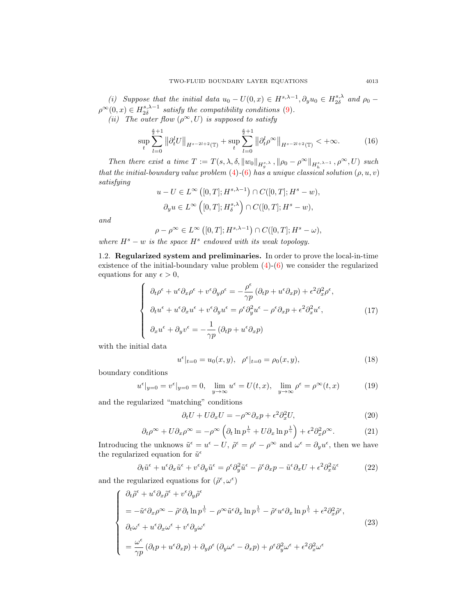(i) Suppose that the initial data  $u_0 - U(0, x) \in H^{s, \lambda - 1}$ ,  $\partial_y u_0 \in H^{s, \lambda}_{2\delta}$  and  $\rho_0$  –  $\rho^{\infty}(0, x) \in H_{2\delta}^{s, \lambda - 1}$  satisfy the compatibility conditions [\(9\)](#page-2-3). (ii) The outer flow  $(\rho^{\infty}, U)$  is supposed to satisfy

$$
\sup_{t} \sum_{l=0}^{\frac{s}{2}+1} \left\| \partial_t^l U \right\|_{H^{s-2l+2}(\mathbb{T})} + \sup_{t} \sum_{l=0}^{\frac{s}{2}+1} \left\| \partial_t^l \rho^\infty \right\|_{H^{s-2l+2}(\mathbb{T})} < +\infty. \tag{16}
$$

Then there exist a time  $T := T(s, \lambda, \delta, ||w_0||_{H_g^{s,\lambda}}, ||\rho_0 - \rho^{\infty}||_{H_h^{s,\lambda-1}}, \rho^{\infty}, U)$  such that the initial-boundary value problem [\(4\)](#page-2-1)-[\(6\)](#page-2-2) has a unique classical solution  $(\rho, u, v)$ satisfying

$$
u - U \in L^{\infty}([0, T]; H^{s, \lambda - 1}) \cap C([0, T]; H^s - w),
$$
  

$$
\partial_y u \in L^{\infty}([0, T]; H^{s, \lambda}_\delta) \cap C([0, T]; H^s - w),
$$

and

$$
\rho - \rho^{\infty} \in L^{\infty}([0, T]; H^{s, \lambda - 1}) \cap C([0, T]; H^s - \omega),
$$
  
where  $H^s - w$  is the space  $H^s$  endowed with its weak topology.

1.2. Regularized system and preliminaries. In order to prove the local-in-time existence of the initial-boundary value problem [\(4\)](#page-2-1)-[\(6\)](#page-2-2) we consider the regularized equations for any  $\epsilon > 0$ ,

$$
\begin{cases}\n\partial_t \rho^{\epsilon} + u^{\epsilon} \partial_x \rho^{\epsilon} + v^{\epsilon} \partial_y \rho^{\epsilon} = -\frac{\rho^{\epsilon}}{\gamma p} (\partial_t p + u^{\epsilon} \partial_x p) + \epsilon^2 \partial_x^2 \rho^{\epsilon}, \\
\partial_t u^{\epsilon} + u^{\epsilon} \partial_x u^{\epsilon} + v^{\epsilon} \partial_y u^{\epsilon} = \rho^{\epsilon} \partial_y^2 u^{\epsilon} - \rho^{\epsilon} \partial_x p + \epsilon^2 \partial_x^2 u^{\epsilon}, \\
\partial_x u^{\epsilon} + \partial_y v^{\epsilon} = -\frac{1}{\gamma p} (\partial_t p + u^{\epsilon} \partial_x p)\n\end{cases} \tag{17}
$$

with the initial data

$$
u^{\epsilon}|_{t=0} = u_0(x, y), \ \rho^{\epsilon}|_{t=0} = \rho_0(x, y), \tag{18}
$$

boundary conditions

$$
u^{\epsilon}|_{y=0} = v^{\epsilon}|_{y=0} = 0
$$
,  $\lim_{y \to \infty} u^{\epsilon} = U(t, x)$ ,  $\lim_{y \to \infty} \rho^{\epsilon} = \rho^{\infty}(t, x)$  (19)

and the regularized "matching" conditions

<span id="page-4-1"></span>
$$
\partial_t U + U \partial_x U = -\rho^\infty \partial_x p + \epsilon^2 \partial_x^2 U,\tag{20}
$$

<span id="page-4-2"></span>
$$
\partial_t \rho^{\infty} + U \partial_x \rho^{\infty} = -\rho^{\infty} \left( \partial_t \ln p^{\frac{1}{\gamma}} + U \partial_x \ln p^{\frac{1}{\gamma}} \right) + \epsilon^2 \partial_x^2 \rho^{\infty}.
$$
 (21)

Introducing the unknows  $\tilde{u}^{\epsilon} = u^{\epsilon} - U$ ,  $\tilde{\rho}^{\epsilon} = \rho^{\epsilon} - \rho^{\infty}$  and  $\omega^{\epsilon} = \partial_y u^{\epsilon}$ , then we have the regularized equation for  $\tilde{u}^{\epsilon}$ 

$$
\partial_t \tilde{u}^\epsilon + u^\epsilon \partial_x \tilde{u}^\epsilon + v^\epsilon \partial_y \tilde{u}^\epsilon = \rho^\epsilon \partial_y^2 \tilde{u}^\epsilon - \tilde{\rho}^\epsilon \partial_x p - \tilde{u}^\epsilon \partial_x U + \epsilon^2 \partial_x^2 \tilde{u}^\epsilon \tag{22}
$$

and the regularized equations for  $(\tilde{\rho}^{\epsilon}, \omega^{\epsilon})$ 

<span id="page-4-0"></span>
$$
\begin{cases}\n\partial_t \tilde{\rho}^{\epsilon} + u^{\epsilon} \partial_x \tilde{\rho}^{\epsilon} + v^{\epsilon} \partial_y \tilde{\rho}^{\epsilon} \\
= -\tilde{u}^{\epsilon} \partial_x \rho^{\infty} - \tilde{\rho}^{\epsilon} \partial_t \ln p^{\frac{1}{\gamma}} - \rho^{\infty} \tilde{u}^{\epsilon} \partial_x \ln p^{\frac{1}{\gamma}} - \tilde{\rho}^{\epsilon} u^{\epsilon} \partial_x \ln p^{\frac{1}{\gamma}} + \epsilon^2 \partial_x^2 \tilde{\rho}^{\epsilon}, \\
\partial_t \omega^{\epsilon} + u^{\epsilon} \partial_x \omega^{\epsilon} + v^{\epsilon} \partial_y \omega^{\epsilon} \\
= \frac{\omega^{\epsilon}}{\gamma p} (\partial_t p + u^{\epsilon} \partial_x p) + \partial_y \rho^{\epsilon} (\partial_y \omega^{\epsilon} - \partial_x p) + \rho^{\epsilon} \partial_y^2 \omega^{\epsilon} + \epsilon^2 \partial_x^2 \omega^{\epsilon}\n\end{cases} (23)
$$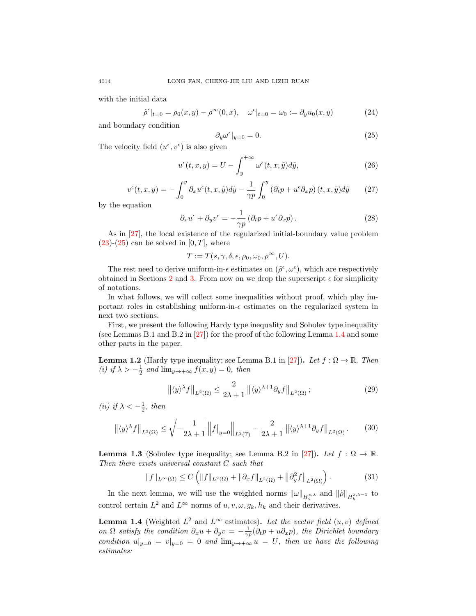with the initial data

$$
\tilde{\rho}^{\epsilon}|_{t=0} = \rho_0(x, y) - \rho^{\infty}(0, x), \quad \omega^{\epsilon}|_{t=0} = \omega_0 := \partial_y u_0(x, y)
$$
\n(24)

and boundary condition

<span id="page-5-0"></span>
$$
\partial_y \omega^{\epsilon}|_{y=0} = 0. \tag{25}
$$

The velocity field  $(u^{\epsilon}, v^{\epsilon})$  is also given

$$
u^{\epsilon}(t,x,y) = U - \int_{y}^{+\infty} \omega^{\epsilon}(t,x,\tilde{y}) d\tilde{y}, \qquad (26)
$$

$$
v^{\epsilon}(t,x,y) = -\int_0^y \partial_x u^{\epsilon}(t,x,\tilde{y}) d\tilde{y} - \frac{1}{\gamma p} \int_0^y \left(\partial_t p + u^{\epsilon} \partial_x p\right)(t,x,\tilde{y}) d\tilde{y} \qquad (27)
$$

by the equation

<span id="page-5-2"></span>
$$
\partial_x u^{\epsilon} + \partial_y v^{\epsilon} = -\frac{1}{\gamma p} \left( \partial_t p + u^{\epsilon} \partial_x p \right). \tag{28}
$$

As in [\[27\]](#page-40-11), the local existence of the regularized initial-boundary value problem  $(23)-(25)$  $(23)-(25)$  $(23)-(25)$  can be solved in  $[0, T]$ , where

$$
T := T(s, \gamma, \delta, \epsilon, \rho_0, \omega_0, \rho^{\infty}, U).
$$

The rest need to derive uniform-in- $\epsilon$  estimates on  $(\tilde{\rho}^{\epsilon}, \omega^{\epsilon})$ , which are respectively obtained in Sections [2](#page-7-0) and [3.](#page-24-0) From now on we drop the superscript  $\epsilon$  for simplicity of notations.

In what follows, we will collect some inequalities without proof, which play important roles in establishing uniform-in- $\epsilon$  estimates on the regularized system in next two sections.

First, we present the following Hardy type inequality and Sobolev type inequality (see Lemmas B.1 and B.2 in  $[27]$ ) for the proof of the following Lemma [1.4](#page-5-1) and some other parts in the paper.

<span id="page-5-3"></span>**Lemma 1.2** (Hardy type inequality; see Lemma B.1 in [\[27\]](#page-40-11)). Let  $f : \Omega \to \mathbb{R}$ . Then (i) if  $\lambda > -\frac{1}{2}$  and  $\lim_{y \to +\infty} f(x, y) = 0$ , then

$$
\left\| \langle y \rangle^{\lambda} f \right\|_{L^2(\Omega)} \le \frac{2}{2\lambda + 1} \left\| \langle y \rangle^{\lambda + 1} \partial_y f \right\|_{L^2(\Omega)}; \tag{29}
$$

(*ii*) if  $\lambda < -\frac{1}{2}$ , then

$$
\left\| \langle y \rangle^{\lambda} f \right\|_{L^2(\Omega)} \le \sqrt{-\frac{1}{2\lambda + 1}} \left\| f \right\|_{y=0} \left\|_{L^2(\mathbb{T})} - \frac{2}{2\lambda + 1} \left\| \langle y \rangle^{\lambda + 1} \partial_y f \right\|_{L^2(\Omega)}.
$$
 (30)

**Lemma 1.3** (Sobolev type inequality; see Lemma B.2 in [\[27\]](#page-40-11)). Let  $f : \Omega \to \mathbb{R}$ . Then there exists universal constant C such that

$$
||f||_{L^{\infty}(\Omega)} \leq C \left( ||f||_{L^{2}(\Omega)} + ||\partial_{x} f||_{L^{2}(\Omega)} + ||\partial_{y}^{2} f||_{L^{2}(\Omega)} \right).
$$
 (31)

In the next lemma, we will use the weighted norms  $\|\omega\|_{H_g^{s,\lambda}}$  and  $\|\tilde{\rho}\|_{H_h^{s,\lambda-1}}$  to control certain  $L^2$  and  $L^{\infty}$  norms of  $u, v, \omega, g_k, h_k$  and their derivatives.

<span id="page-5-1"></span>**Lemma 1.4** (Weighted  $L^2$  and  $L^{\infty}$  estimates). Let the vector field  $(u, v)$  defined on  $\Omega$  satisfy the condition  $\partial_x u + \partial_y v = -\frac{1}{\gamma p}(\partial_t p + u \partial_x p)$ , the Dirichlet boundary condition  $u|_{y=0} = v|_{y=0} = 0$  and  $\lim_{y\to+\infty} u = U$ , then we have the following estimates: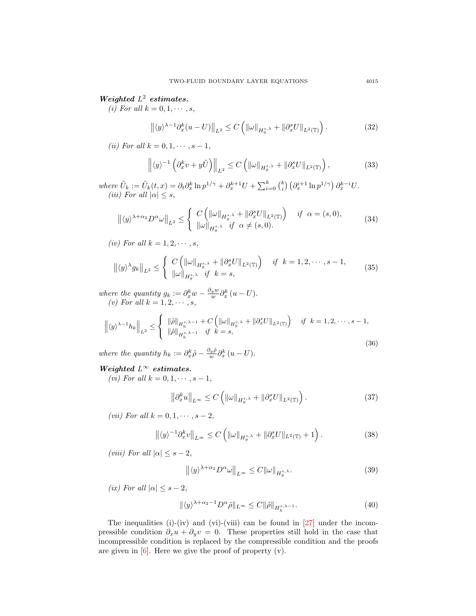## Weighted  $L^2$  estimates.

(i) For all  $k = 0, 1, \cdots, s$ ,

$$
\left\| \langle y \rangle^{\lambda - 1} \partial_x^k (u - U) \right\|_{L^2} \le C \left( \|\omega\|_{H_g^{s,\lambda}} + \|\partial_x^s U\|_{L^2(\mathbb{T})} \right). \tag{32}
$$

(*ii*) For all  $k = 0, 1, \dots, s - 1$ ,

$$
\left\| \langle y \rangle^{-1} \left( \partial_x^k v + y \tilde{U} \right) \right\|_{L^2} \le C \left( \|\omega\|_{H_g^{s,\lambda}} + \|\partial_x^s U\|_{L^2(\mathbb{T})} \right),\tag{33}
$$

where  $\tilde{U}_k := \tilde{U}_k(t, x) = \partial_t \partial_x^k \ln p^{1/\gamma} + \partial_x^{k+1} U + \sum_{i=0}^k {k \choose i} \left( \partial_x^{i+1} \ln p^{1/\gamma} \right) \partial_x^{k-i} U$ . (iii) For all  $|\alpha| \leq s$ ,

$$
\left\| \langle y \rangle^{\lambda + \alpha_2} D^{\alpha} \omega \right\|_{L^2} \leq \begin{cases} C \left( \|\omega\|_{H_g^{s,\lambda}} + \|\partial_x^s U\|_{L^2(\mathbb{T})} \right) & \text{if } \alpha = (s,0), \\ \|\omega\|_{H_g^{s,\lambda}} & \text{if } \alpha \neq (s,0). \end{cases} \tag{34}
$$

(iv) For all  $k = 1, 2, \cdots, s$ ,

$$
\left\| \langle y \rangle^{\lambda} g_k \right\|_{L^2} \leq \begin{cases} C \left( \|\omega\|_{H_g^{s,\lambda}} + \|\partial_x^s U\|_{L^2(\mathbb{T})} \right) & \text{if } k = 1, 2, \cdots, s - 1, \\ \|\omega\|_{H_g^{s,\lambda}} & \text{if } k = s, \end{cases}
$$
(35)

where the quantity  $g_k := \partial_x^k w - \frac{\partial_y w}{w} \partial_x^k (u - U)$ . (v) For all  $k = 1, 2, \cdots, s$ ,

$$
\left\| \langle y \rangle^{\lambda-1} h_k \right\|_{L^2} \leq \begin{cases} \|\tilde{\rho}\|_{H_h^{s,\lambda-1}} + C \left( \|\omega\|_{H_g^{s,\lambda}} + \|\partial_x^s U\|_{L^2(\mathbb{T})} \right) & \text{if } k = 1, 2, \cdots, s-1, \\ \|\tilde{\rho}\|_{H_h^{s,\lambda-1}} & \text{if } k = s, \end{cases}
$$
\n(36)

where the quantity  $h_k := \partial_x^k \tilde{\rho} - \frac{\partial_y \tilde{\rho}}{w} \partial_x^k (u - U)$ .

# Weighted  $L^{\infty}$  estimates.

(*vi*) For all  $k = 0, 1, \dots, s - 1$ ,

$$
\left\|\partial_x^k u\right\|_{L^\infty} \le C\left(\left\|\omega\right\|_{H_g^{s,\lambda}} + \left\|\partial_x^s U\right\|_{L^2(\mathbb{T})}\right). \tag{37}
$$

(vii) For all  $k = 0, 1, \dots, s-2$ ,

$$
\left\| \langle y \rangle^{-1} \partial_x^k v \right\|_{L^\infty} \le C \left( \|\omega\|_{H_g^{s,\lambda}} + \|\partial_x^s U\|_{L^2(\mathbb{T})} + 1 \right). \tag{38}
$$

(viii) For all  $|\alpha| \leq s - 2$ ,

$$
\left\| \langle y \rangle^{\lambda + \alpha_2} D^{\alpha} \omega \right\|_{L^{\infty}} \le C \| \omega \|_{H_g^{s,\lambda}}.
$$
\n(39)

(ix) For all  $|\alpha| \leq s - 2$ ,

$$
\|\langle y \rangle^{\lambda + \alpha_2 - 1} D^{\alpha} \tilde{\rho} \|_{L^{\infty}} \le C \|\tilde{\rho}\|_{H_h^{s, \lambda - 1}}.
$$
\n(40)

The inequalities (i)-(iv) and (vi)-(viii) can be found in [\[27\]](#page-40-11) under the incompressible condition  $\partial_x u + \partial_y v = 0$ . These properties still hold in the case that incompressible condition is replaced by the compressible condition and the proofs are given in  $[6]$ . Here we give the proof of property  $(v)$ .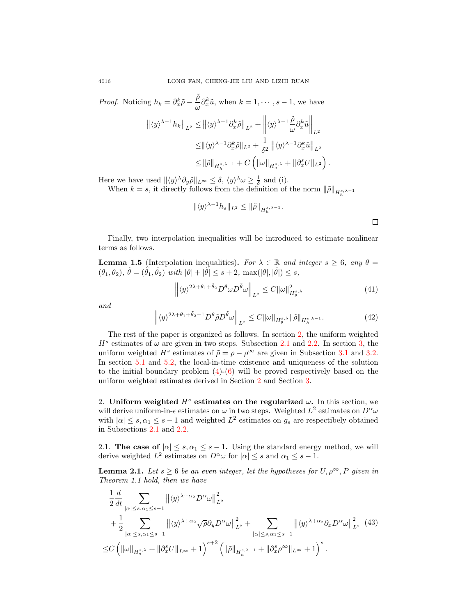*Proof.* Noticing  $h_k = \partial_x^k \tilde{\rho} - \frac{\tilde{\rho}}{\sqrt{n}}$  $\frac{\rho}{\omega} \partial_x^k \tilde{u}$ , when  $k = 1, \dots, s - 1$ , we have

$$
\begin{split} \left\| \langle y\rangle^{\lambda-1}h_k \right\|_{L^2} &\leq \left\| \langle y\rangle^{\lambda-1} \partial_x^k \tilde{\rho} \right\|_{L^2} + \left\| \langle y\rangle^{\lambda-1} \frac{\tilde{\rho}}{\omega} \partial_x^k \tilde{u} \right\|_{L^2} \\ &\leq \left\| \langle y\rangle^{\lambda-1} \partial_x^k \tilde{\rho} \right\|_{L^2} + \frac{1}{\delta^2} \left\| \langle y\rangle^{\lambda-1} \partial_x^k \tilde{u} \right\|_{L^2} \\ &\leq \left\| \tilde{\rho} \right\|_{H_h^{s,\lambda-1}} + C \left( \left\| \omega \right\|_{H_g^{s,\lambda}} + \left\| \partial_x^s U \right\|_{L^2} \right). \end{split}
$$

Here we have used  $\|\langle y \rangle^{\lambda} \partial_y \tilde{\rho}\|_{L^{\infty}} \leq \delta, \langle y \rangle^{\lambda} \omega \geq \frac{1}{\delta}$  and (i).

When  $k = s$ , it directly follows from the definition of the norm  $\|\tilde{\rho}\|_{H_h^{s,\lambda-1}}$ 

$$
\|\langle y \rangle^{\lambda-1} h_s \|_{L^2} \le \|\tilde{\rho}\|_{H_h^{s,\lambda-1}}.
$$

Finally, two interpolation inequalities will be introduced to estimate nonlinear terms as follows.

<span id="page-7-2"></span>**Lemma 1.5** (Interpolation inequalities). For  $\lambda \in \mathbb{R}$  and integer  $s \geq 6$ , any  $\theta =$  $(\theta_1, \theta_2), \tilde{\theta} = (\tilde{\theta}_1, \tilde{\theta}_2) \text{ with } |\theta| + |\tilde{\theta}| \leq s + 2, \text{ max}(|\theta|, |\tilde{\theta}|) \leq s,$ 

$$
\left\| \langle y \rangle^{2\lambda + \theta_1 + \tilde{\theta}_2} D^{\theta} \omega D^{\tilde{\theta}} \omega \right\|_{L^2} \le C \| \omega \|_{H_g^{s,\lambda}}^2 \tag{41}
$$

 $\Box$ 

and

$$
\left\| \langle y \rangle^{2\lambda + \theta_1 + \tilde{\theta}_2 - 1} D^{\theta} \tilde{\rho} D^{\tilde{\theta}} \omega \right\|_{L^2} \le C \| \omega \|_{H_g^{s, \lambda}} \| \tilde{\rho} \|_{H_h^{s, \lambda - 1}}.
$$
\n(42)

The rest of the paper is organized as follows. In section [2,](#page-7-0) the uniform weighted  $H<sup>s</sup>$  estimates of  $\omega$  are given in two steps. Subsection [2.1](#page-7-1) and [2.2.](#page-15-0) In section [3,](#page-24-0) the uniform weighted  $H^s$  estimates of  $\tilde{\rho} = \rho - \rho^{\infty}$  are given in Subsection [3.1](#page-24-1) and [3.2.](#page-28-0) In section [5.1](#page-37-0) and [5.2,](#page-38-0) the local-in-time existence and uniqueness of the solution to the initial boundary problem  $(4)-(6)$  $(4)-(6)$  $(4)-(6)$  will be proved respectively based on the uniform weighted estimates derived in Section [2](#page-7-0) and Section [3.](#page-24-0)

<span id="page-7-0"></span>2. Uniform weighted  $H<sup>s</sup>$  estimates on the regularized  $\omega$ . In this section, we will derive uniform-in- $\epsilon$  estimates on  $\omega$  in two steps. Weighted  $L^2$  estimates on  $D^{\alpha}\omega$ with  $|\alpha| \leq s, \alpha_1 \leq s-1$  and weighted  $L^2$  estimates on  $g_s$  are respectibely obtained in Subsections [2.1](#page-7-1) and [2.2.](#page-15-0)

<span id="page-7-1"></span>2.1. The case of  $|\alpha| \leq s, \alpha_1 \leq s - 1$ . Using the standard energy method, we will derive weighted  $L^2$  estimates on  $D^{\alpha} \omega$  for  $|\alpha| \leq s$  and  $\alpha_1 \leq s - 1$ .

<span id="page-7-3"></span>**Lemma 2.1.** Let  $s \ge 6$  be an even integer, let the hypotheses for  $U, \rho^{\infty}, P$  given in Theorem 1.1 hold, then we have

<span id="page-7-4"></span>
$$
\frac{1}{2}\frac{d}{dt} \sum_{|\alpha| \le s, \alpha_1 \le s-1} ||\langle y \rangle^{\lambda+\alpha_2} D^{\alpha} \omega||_{L^2}^2 \n+ \frac{1}{2} \sum_{|\alpha| \le s, \alpha_1 \le s-1} ||\langle y \rangle^{\lambda+\alpha_2} \sqrt{\rho} \partial_y D^{\alpha} \omega||_{L^2}^2 + \sum_{|\alpha| \le s, \alpha_1 \le s-1} ||\langle y \rangle^{\lambda+\alpha_2} \partial_x D^{\alpha} \omega||_{L^2}^2 (43) \n\le C \left( ||\omega||_{H_g^{s,\lambda}} + ||\partial_x^s U||_{L^{\infty}} + 1 \right)^{s+2} \left( ||\tilde{\rho}||_{H_h^{s,\lambda-1}} + ||\partial_x^s \rho^{\infty}||_{L^{\infty}} + 1 \right)^s.
$$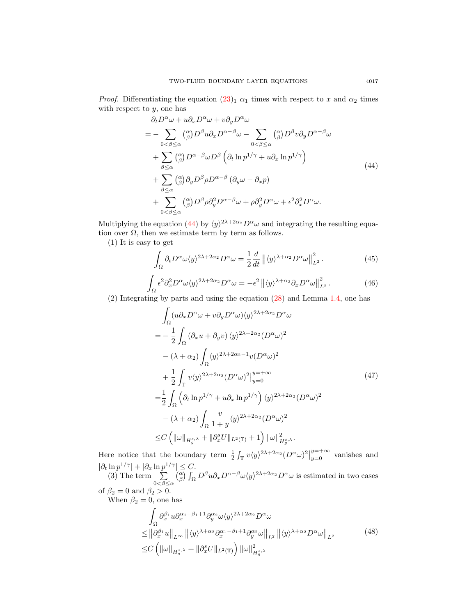*Proof.* Differentiating the equation  $(23)_1 \alpha_1$  $(23)_1 \alpha_1$  times with respect to x and  $\alpha_2$  times with respect to  $y$ , one has

$$
\partial_t D^{\alpha} \omega + u \partial_x D^{\alpha} \omega + v \partial_y D^{\alpha} \omega
$$
\n
$$
= - \sum_{0 < \beta \leq \alpha} \binom{\alpha}{\beta} D^{\beta} u \partial_x D^{\alpha - \beta} \omega - \sum_{0 < \beta \leq \alpha} \binom{\alpha}{\beta} D^{\beta} v \partial_y D^{\alpha - \beta} \omega
$$
\n
$$
+ \sum_{\beta \leq \alpha} \binom{\alpha}{\beta} D^{\alpha - \beta} \omega D^{\beta} \left( \partial_t \ln p^{1/\gamma} + u \partial_x \ln p^{1/\gamma} \right)
$$
\n
$$
+ \sum_{\beta \leq \alpha} \binom{\alpha}{\beta} \partial_y D^{\beta} \rho D^{\alpha - \beta} \left( \partial_y \omega - \partial_x p \right)
$$
\n
$$
+ \sum_{0 < \beta \leq \alpha} \binom{\alpha}{\beta} D^{\beta} \rho \partial_y^2 D^{\alpha - \beta} \omega + \rho \partial_y^2 D^{\alpha} \omega + \epsilon^2 \partial_x^2 D^{\alpha} \omega. \tag{44}
$$

<span id="page-8-0"></span>Multiplying the equation [\(44\)](#page-8-0) by  $\langle y \rangle^{2\lambda+2\alpha_2} D^{\alpha} \omega$  and integrating the resulting equation over  $\Omega$ , then we estimate term by term as follows.

(1) It is easy to get

$$
\int_{\Omega} \partial_t D^{\alpha} \omega \langle y \rangle^{2\lambda + 2\alpha_2} D^{\alpha} \omega = \frac{1}{2} \frac{d}{dt} ||\langle y \rangle^{\lambda + \alpha_2} D^{\alpha} \omega||_{L^2}^2.
$$
 (45)

$$
\int_{\Omega} \epsilon^2 \partial_x^2 D^{\alpha} \omega \langle y \rangle^{2\lambda + 2\alpha_2} D^{\alpha} \omega = -\epsilon^2 \left\| \langle y \rangle^{\lambda + \alpha_2} \partial_x D^{\alpha} \omega \right\|_{L^2}^2. \tag{46}
$$

(2) Integrating by parts and using the equation [\(28\)](#page-5-2) and Lemma [1.4,](#page-5-1) one has

$$
\int_{\Omega} (u \partial_x D^{\alpha} \omega + v \partial_y D^{\alpha} \omega) \langle y \rangle^{2\lambda + 2\alpha_2} D^{\alpha} \omega
$$
\n
$$
= -\frac{1}{2} \int_{\Omega} (\partial_x u + \partial_y v) \langle y \rangle^{2\lambda + 2\alpha_2} (D^{\alpha} \omega)^2
$$
\n
$$
- (\lambda + \alpha_2) \int_{\Omega} \langle y \rangle^{2\lambda + 2\alpha_2 - 1} v (D^{\alpha} \omega)^2
$$
\n
$$
+ \frac{1}{2} \int_{\mathbb{T}} v \langle y \rangle^{2\lambda + 2\alpha_2} (D^{\alpha} \omega)^2 \Big|_{y=0}^{y=+\infty}
$$
\n
$$
= \frac{1}{2} \int_{\Omega} (\partial_t \ln p^{1/\gamma} + u \partial_x \ln p^{1/\gamma}) \langle y \rangle^{2\lambda + 2\alpha_2} (D^{\alpha} \omega)^2
$$
\n
$$
- (\lambda + \alpha_2) \int_{\Omega} \frac{v}{1+y} \langle y \rangle^{2\lambda + 2\alpha_2} (D^{\alpha} \omega)^2
$$
\n
$$
\leq C \left( \| \omega \|_{H_g^{s,\lambda}} + \| \partial_x^s U \|_{L^2(\mathbb{T})} + 1 \right) \| \omega \|_{H_g^{s,\lambda}}^2.
$$
\n(47)

Here notice that the boundary term  $\frac{1}{2} \int_{\mathbb{T}} v \langle y \rangle^{2\lambda + 2\alpha_2} (D^{\alpha} \omega)^2$  $y=+\infty$  vanishes and  $|\partial_t \ln p^{1/\gamma}| + |\partial_x \ln p^{1/\gamma}| \leq C.$ (3) The term  $\sum$  $0<\beta\leq\alpha$  $\binom{\alpha}{\beta}\int_{\Omega}D^{\beta}u\partial_{x}D^{\alpha-\beta}\omega\langle y\rangle^{2\lambda+2\alpha_{2}}D^{\alpha}\omega$  is estimated in two cases of  $\beta_2 = 0$  and  $\beta_2 > 0$ .

<span id="page-8-1"></span>When  $\beta_2 = 0$ , one has

$$
\int_{\Omega} \partial_x^{\beta_1} u \partial_x^{\alpha_1 - \beta_1 + 1} \partial_y^{\alpha_2} \omega \langle y \rangle^{2\lambda + 2\alpha_2} D^{\alpha} \omega \n\leq \left\| \partial_x^{\beta_1} u \right\|_{L^{\infty}} \left\| \langle y \rangle^{\lambda + \alpha_2} \partial_x^{\alpha_1 - \beta_1 + 1} \partial_y^{\alpha_2} \omega \right\|_{L^2} \left\| \langle y \rangle^{\lambda + \alpha_2} D^{\alpha} \omega \right\|_{L^2} \n\leq C \left( \left\| \omega \right\|_{H_g^{s,\lambda}} + \left\| \partial_x^s U \right\|_{L^2(\mathbb{T})} \right) \left\| \omega \right\|_{H_g^{s,\lambda}}^2
$$
\n(48)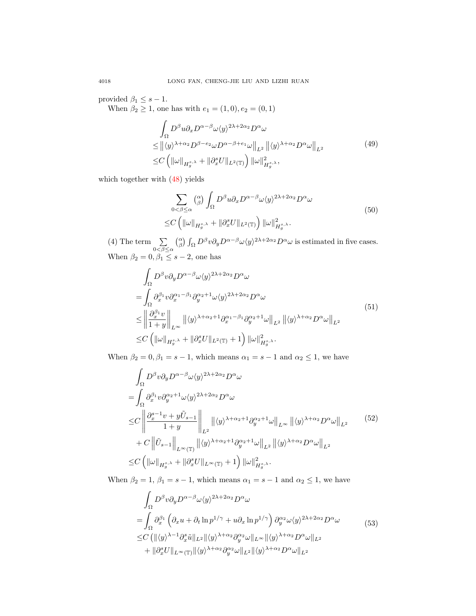provided  $\beta_1 \leq s - 1$ .

When  $\beta_2 \ge 1$ , one has with  $e_1 = (1, 0), e_2 = (0, 1)$ 

$$
\int_{\Omega} D^{\beta} u \partial_x D^{\alpha-\beta} \omega \langle y \rangle^{2\lambda+2\alpha_2} D^{\alpha} \omega
$$
\n
$$
\leq \left\| \langle y \rangle^{\lambda+\alpha_2} D^{\beta-e_2} \omega D^{\alpha-\beta+e_1} \omega \right\|_{L^2} \left\| \langle y \rangle^{\lambda+\alpha_2} D^{\alpha} \omega \right\|_{L^2}
$$
\n
$$
\leq C \left( \|\omega\|_{H_g^{s,\lambda}} + \|\partial_x^s U\|_{L^2(\mathbb{T})} \right) \|\omega\|_{H_g^{s,\lambda}},
$$
\n
$$
(49)
$$

which together with [\(48\)](#page-8-1) yields

$$
\sum_{0<\beta\leq\alpha} \binom{\alpha}{\beta} \int_{\Omega} D^{\beta} u \partial_x D^{\alpha-\beta} \omega \langle y \rangle^{2\lambda+2\alpha_2} D^{\alpha} \omega
$$
\n
$$
\leq C \left( \|\omega\|_{H_g^{s,\lambda}} + \|\partial_x^s U\|_{L^2(\mathbb{T})} \right) \|\omega\|_{H_g^{s,\lambda}}^2.
$$
\n(50)

(4) The term  $\sum$  $0<\beta\leq\alpha$  $\binom{\alpha}{\beta}\int_{\Omega}D^{\beta}v\partial_{y}D^{\alpha-\beta}\omega\langle y\rangle^{2\lambda+2\alpha_{2}}D^{\alpha}\omega$  is estimated in five cases. When  $\beta_2 = 0, \beta_1 \leq s - 2$ , one has

<span id="page-9-0"></span>
$$
\int_{\Omega} D^{\beta}v \partial_{y} D^{\alpha-\beta} \omega \langle y \rangle^{2\lambda+2\alpha_{2}} D^{\alpha} \omega
$$
\n
$$
= \int_{\Omega} \partial_{x}^{\beta_{1}} v \partial_{x}^{\alpha_{1}-\beta_{1}} \partial_{y}^{\alpha_{2}+1} \omega \langle y \rangle^{2\lambda+2\alpha_{2}} D^{\alpha} \omega
$$
\n
$$
\leq \left\| \frac{\partial_{x}^{\beta_{1}} v}{1+y} \right\|_{L^{\infty}} \left\| \langle y \rangle^{\lambda+\alpha_{2}+1} \partial_{x}^{\alpha_{1}-\beta_{1}} \partial_{y}^{\alpha_{2}+1} \omega \right\|_{L^{2}} \left\| \langle y \rangle^{\lambda+\alpha_{2}} D^{\alpha} \omega \right\|_{L^{2}}
$$
\n
$$
\leq C \left( \|\omega\|_{H_{g}^{s,\lambda}} + \|\partial_{x}^{s} U\|_{L^{2}(\mathbb{T})} + 1 \right) \|\omega\|_{H_{g}^{s,\lambda}}^{2}.
$$
\n
$$
(51)
$$

When  $\beta_2 = 0, \beta_1 = s - 1$ , which means  $\alpha_1 = s - 1$  and  $\alpha_2 \leq 1$ , we have

$$
\int_{\Omega} D^{\beta}v \partial_{y} D^{\alpha-\beta} \omega \langle y \rangle^{2\lambda+2\alpha_{2}} D^{\alpha} \omega
$$
\n
$$
= \int_{\Omega} \partial_{x}^{\beta_{1}} v \partial_{y}^{\alpha_{2}+1} \omega \langle y \rangle^{2\lambda+2\alpha_{2}} D^{\alpha} \omega
$$
\n
$$
\leq C \left\| \frac{\partial_{x}^{s-1} v + y \tilde{U}_{s-1}}{1+y} \right\|_{L^{2}} \left\| \langle y \rangle^{\lambda+\alpha_{2}+1} \partial_{y}^{\alpha_{2}+1} \omega \right\|_{L^{\infty}} \left\| \langle y \rangle^{\lambda+\alpha_{2}} D^{\alpha} \omega \right\|_{L^{2}} \qquad (52)
$$
\n
$$
+ C \left\| \tilde{U}_{s-1} \right\|_{L^{\infty}(\mathbb{T})} \left\| \langle y \rangle^{\lambda+\alpha_{2}+1} \partial_{y}^{\alpha_{2}+1} \omega \right\|_{L^{2}} \left\| \langle y \rangle^{\lambda+\alpha_{2}} D^{\alpha} \omega \right\|_{L^{2}}
$$
\n
$$
\leq C \left( \left\| \omega \right\|_{H_{g}^{s,\lambda}} + \left\| \partial_{x}^{s} U \right\|_{L^{\infty}(\mathbb{T})} + 1 \right) \left\| \omega \right\|_{H_{g}^{s,\lambda}}^{2}.
$$

When  $\beta_2 = 1, \beta_1 = s - 1$ , which means  $\alpha_1 = s - 1$  and  $\alpha_2 \leq 1$ , we have

$$
\int_{\Omega} D^{\beta} v \partial_{y} D^{\alpha-\beta} \omega \langle y \rangle^{2\lambda+2\alpha_{2}} D^{\alpha} \omega
$$
\n
$$
= \int_{\Omega} \partial_{x}^{\beta_{1}} \left( \partial_{x} u + \partial_{t} \ln p^{1/\gamma} + u \partial_{x} \ln p^{1/\gamma} \right) \partial_{y}^{\alpha_{2}} \omega \langle y \rangle^{2\lambda+2\alpha_{2}} D^{\alpha} \omega
$$
\n
$$
\leq C \left( \| \langle y \rangle^{\lambda-1} \partial_{x}^{s} \tilde{u} \|_{L^{2}} \| \langle y \rangle^{\lambda+\alpha_{2}} \partial_{y}^{\alpha_{2}} \omega \|_{L^{\infty}} \| \langle y \rangle^{\lambda+\alpha_{2}} D^{\alpha} \omega \|_{L^{2}} \right.
$$
\n
$$
+ \| \partial_{x}^{s} U \|_{L^{\infty}(\mathbb{T})} \| \langle y \rangle^{\lambda+\alpha_{2}} \partial_{y}^{\alpha_{2}} \omega \|_{L^{2}} \| \langle y \rangle^{\lambda+\alpha_{2}} D^{\alpha} \omega \|_{L^{2}}
$$
\n
$$
(53)
$$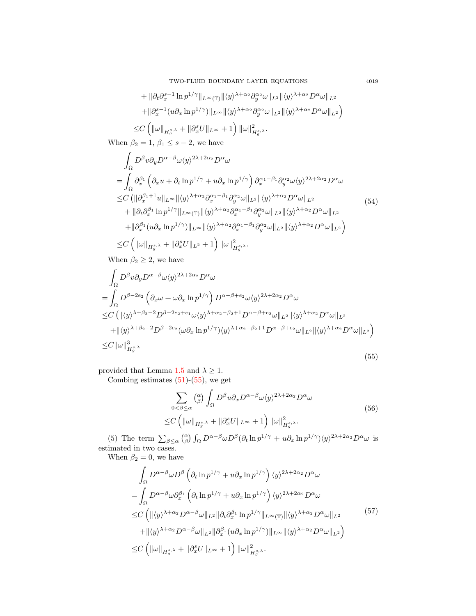TWO-FLUID BOUNDARY LAYER EQUATIONS 4019

+ 
$$
\|\partial_t \partial_x^{s-1} \ln p^{1/\gamma}\|_{L^{\infty}(\mathbb{T})} \|\langle y \rangle^{\lambda+\alpha_2} \partial_y^{\alpha_2} \omega\|_{L^2} \|\langle y \rangle^{\lambda+\alpha_2} D^{\alpha} \omega\|_{L^2}
$$
  
+  $\|\partial_x^{s-1} (u \partial_x \ln p^{1/\gamma})\|_{L^{\infty}} \|\langle y \rangle^{\lambda+\alpha_2} \partial_y^{\alpha_2} \omega\|_{L^2} \|\langle y \rangle^{\lambda+\alpha_2} D^{\alpha} \omega\|_{L^2}$   
 $\leq C \left( \|\omega\|_{H_g^{s,\lambda}} + \|\partial_x^s U\|_{L^{\infty}} + 1 \right) \|\omega\|_{H_g^{s,\lambda}}^2.$ 

When  $\beta_2 = 1, \beta_1 \leq s - 2$ , we have

$$
\int_{\Omega} D^{\beta}v \partial_{y} D^{\alpha-\beta} \omega \langle y \rangle^{2\lambda+2\alpha_{2}} D^{\alpha} \omega \n= \int_{\Omega} \partial_{x}^{\beta_{1}} \left( \partial_{x} u + \partial_{t} \ln p^{1/\gamma} + u \partial_{x} \ln p^{1/\gamma} \right) \partial_{x}^{\alpha_{1}-\beta_{1}} \partial_{y}^{\alpha_{2}} \omega \langle y \rangle^{2\lambda+2\alpha_{2}} D^{\alpha} \omega \n\leq C \left( \| \partial_{x}^{\beta_{1}+1} u \|_{L^{\infty}} \| \langle y \rangle^{\lambda+\alpha_{2}} \partial_{x}^{\alpha_{1}-\beta_{1}} \partial_{y}^{\alpha_{2}} \omega \|_{L^{2}} \| \langle y \rangle^{\lambda+\alpha_{2}} D^{\alpha} \omega \|_{L^{2}} \n+ \| \partial_{t} \partial_{x}^{\beta_{1}} \ln p^{1/\gamma} \|_{L^{\infty}(\mathbb{T})} \| \langle y \rangle^{\lambda+\alpha_{2}} \partial_{x}^{\alpha_{1}-\beta_{1}} \partial_{y}^{\alpha_{2}} \omega \|_{L^{2}} \| \langle y \rangle^{\lambda+\alpha_{2}} D^{\alpha} \omega \|_{L^{2}} \n+ \| \partial_{x}^{\beta_{1}} (u \partial_{x} \ln p^{1/\gamma}) \|_{L^{\infty}} \| \langle y \rangle^{\lambda+\alpha_{2}} \partial_{x}^{\alpha_{1}-\beta_{1}} \partial_{y}^{\alpha_{2}} \omega \|_{L^{2}} \| \langle y \rangle^{\lambda+\alpha_{2}} D^{\alpha} \omega \|_{L^{2}} \right) \n\leq C \left( \| \omega \|_{H_{g}^{s,\lambda}} + \| \partial_{x}^{s} U \|_{L^{2}} + 1 \right) \| \omega \|_{H_{g}^{s,\lambda}}^{2},
$$
\n(54)

When  $\beta_2 \geq 2,$  we have

<span id="page-10-0"></span>
$$
\int_{\Omega} D^{\beta}v \partial_{y} D^{\alpha-\beta} \omega \langle y \rangle^{2\lambda+2\alpha_{2}} D^{\alpha} \omega
$$
\n
$$
= \int_{\Omega} D^{\beta-2e_{2}} \left( \partial_{x} \omega + \omega \partial_{x} \ln p^{1/\gamma} \right) D^{\alpha-\beta+e_{2}} \omega \langle y \rangle^{2\lambda+2\alpha_{2}} D^{\alpha} \omega
$$
\n
$$
\leq C \left( \| \langle y \rangle^{\lambda+\beta_{2}-2} D^{\beta-2e_{2}+e_{1}} \omega \langle y \rangle^{\lambda+\alpha_{2}-\beta_{2}+1} D^{\alpha-\beta+e_{2}} \omega \|_{L^{2}} \| \langle y \rangle^{\lambda+\alpha_{2}} D^{\alpha} \omega \|_{L^{2}} + \| \langle y \rangle^{\lambda+\beta_{2}-2} D^{\beta-2e_{2}} (\omega \partial_{x} \ln p^{1/\gamma}) \langle y \rangle^{\lambda+\alpha_{2}-\beta_{2}+1} D^{\alpha-\beta+e_{2}} \omega \|_{L^{2}} \| \langle y \rangle^{\lambda+\alpha_{2}} D^{\alpha} \omega \|_{L^{2}} \right)
$$
\n
$$
\leq C \| \omega \|_{H^{s,\lambda}_{\beta}}^{3} \tag{55}
$$

provided that Lemma [1.5](#page-7-2) and  $\lambda \geq 1$ .

Combing estimates  $(51)-(55)$  $(51)-(55)$  $(51)-(55)$ , we get

$$
\sum_{0 < \beta \leq \alpha} \binom{\alpha}{\beta} \int_{\Omega} D^{\beta} u \partial_x D^{\alpha - \beta} \omega \langle y \rangle^{2\lambda + 2\alpha_2} D^{\alpha} \omega
$$
\n
$$
\leq C \left( \|\omega\|_{H_g^{s,\lambda}} + \|\partial_x^s U\|_{L^\infty} + 1 \right) \|\omega\|_{H_g^{s,\lambda}}^2. \tag{56}
$$

(5) The term  $\sum_{\beta \leq \alpha} \binom{\alpha}{\beta} \int_{\Omega} D^{\alpha-\beta} \omega D^{\beta} (\partial_t \ln p^{1/\gamma} + u \partial_x \ln p^{1/\gamma}) \langle y \rangle^{2\lambda+2\alpha_2} D^{\alpha} \omega$  is estimated in two cases.

When  $\beta_2 = 0$ , we have

<span id="page-10-1"></span>
$$
\int_{\Omega} D^{\alpha-\beta} \omega D^{\beta} \left( \partial_{t} \ln p^{1/\gamma} + u \partial_{x} \ln p^{1/\gamma} \right) \langle y \rangle^{2\lambda+2\alpha_{2}} D^{\alpha} \omega
$$
\n
$$
= \int_{\Omega} D^{\alpha-\beta} \omega \partial_{x}^{\beta_{1}} \left( \partial_{t} \ln p^{1/\gamma} + u \partial_{x} \ln p^{1/\gamma} \right) \langle y \rangle^{2\lambda+2\alpha_{2}} D^{\alpha} \omega
$$
\n
$$
\leq C \left( \| \langle y \rangle^{\lambda+\alpha_{2}} D^{\alpha-\beta} \omega \|_{L^{2}} \| \partial_{t} \partial_{x}^{\beta_{1}} \ln p^{1/\gamma} \|_{L^{\infty}(\mathbb{T})} \| \langle y \rangle^{\lambda+\alpha_{2}} D^{\alpha} \omega \|_{L^{2}} \right)
$$
\n
$$
+ \| \langle y \rangle^{\lambda+\alpha_{2}} D^{\alpha-\beta} \omega \|_{L^{2}} \| \partial_{x}^{\beta_{1}} (u \partial_{x} \ln p^{1/\gamma}) \|_{L^{\infty}} \| \langle y \rangle^{\lambda+\alpha_{2}} D^{\alpha} \omega \|_{L^{2}} \right)
$$
\n
$$
\leq C \left( \| \omega \|_{H_{g}^{s,\lambda}} + \| \partial_{x}^{s} U \|_{L^{\infty}} + 1 \right) \| \omega \|_{H_{g}^{s,\lambda}}^{2}.
$$
\n
$$
(57)
$$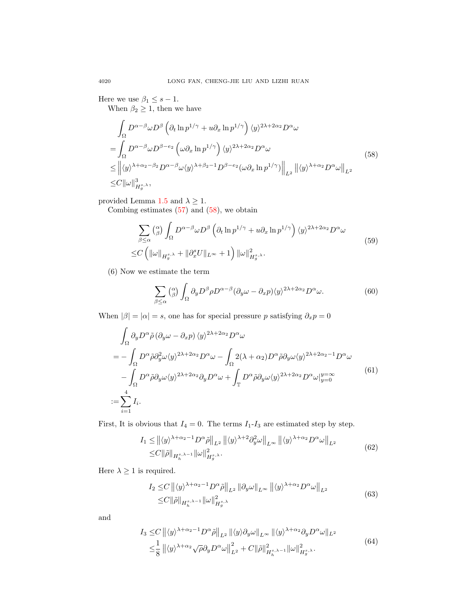Here we use  $\beta_1 \leq s - 1$ .

When  $\beta_2 \geq 1$ , then we have

<span id="page-11-0"></span>
$$
\int_{\Omega} D^{\alpha-\beta} \omega D^{\beta} \left( \partial_{t} \ln p^{1/\gamma} + u \partial_{x} \ln p^{1/\gamma} \right) \langle y \rangle^{2\lambda+2\alpha_{2}} D^{\alpha} \omega \n= \int_{\Omega} D^{\alpha-\beta} \omega D^{\beta-e_{2}} \left( \omega \partial_{x} \ln p^{1/\gamma} \right) \langle y \rangle^{2\lambda+2\alpha_{2}} D^{\alpha} \omega \n\leq \left\| \langle y \rangle^{\lambda+\alpha_{2}-\beta_{2}} D^{\alpha-\beta} \omega \langle y \rangle^{\lambda+\beta_{2}-1} D^{\beta-e_{2}} (\omega \partial_{x} \ln p^{1/\gamma}) \right\|_{L^{2}} \left\| \langle y \rangle^{\lambda+\alpha_{2}} D^{\alpha} \omega \right\|_{L^{2}} \n\leq C \|\omega\|_{H_{g}^{s,\lambda}}^{3},
$$
\n(58)

provided Lemma [1.5](#page-7-2) and  $\lambda \geq 1$ .

Combing estimates  $(57)$  and  $(58)$ , we obtain

$$
\sum_{\beta \leq \alpha} \binom{\alpha}{\beta} \int_{\Omega} D^{\alpha-\beta} \omega D^{\beta} \left( \partial_t \ln p^{1/\gamma} + u \partial_x \ln p^{1/\gamma} \right) \langle y \rangle^{2\lambda+2\alpha_2} D^{\alpha} \omega
$$
\n
$$
\leq C \left( \|\omega\|_{H_g^{s,\lambda}} + \|\partial_x^s U\|_{L^\infty} + 1 \right) \|\omega\|_{H_g^{s,\lambda}}^2.
$$
\n
$$
(59)
$$

(6) Now we estimate the term

$$
\sum_{\beta \le \alpha} \binom{\alpha}{\beta} \int_{\Omega} \partial_y D^{\beta} \rho D^{\alpha-\beta} (\partial_y \omega - \partial_x p) \langle y \rangle^{2\lambda + 2\alpha_2} D^{\alpha} \omega.
$$
 (60)

When  $|\beta| = |\alpha| = s$ , one has for special pressure p satisfying  $\partial_x p = 0$ 

$$
\int_{\Omega} \partial_y D^{\alpha} \tilde{\rho} (\partial_y \omega - \partial_x p) \langle y \rangle^{2\lambda + 2\alpha_2} D^{\alpha} \omega \n= - \int_{\Omega} D^{\alpha} \tilde{\rho} \partial_y^2 \omega \langle y \rangle^{2\lambda + 2\alpha_2} D^{\alpha} \omega - \int_{\Omega} 2(\lambda + \alpha_2) D^{\alpha} \tilde{\rho} \partial_y \omega \langle y \rangle^{2\lambda + 2\alpha_2 - 1} D^{\alpha} \omega \n- \int_{\Omega} D^{\alpha} \tilde{\rho} \partial_y \omega \langle y \rangle^{2\lambda + 2\alpha_2} \partial_y D^{\alpha} \omega + \int_{\mathbb{T}} D^{\alpha} \tilde{\rho} \partial_y \omega \langle y \rangle^{2\lambda + 2\alpha_2} D^{\alpha} \omega|_{y=0}^{y=\infty} \n= \sum_{i=1}^4 I_i.
$$
\n(61)

<span id="page-11-1"></span>First, It is obvious that  $I_4 = 0$ . The terms  $I_1$ - $I_3$  are estimated step by step.

$$
I_{1} \leq \left\| \langle y \rangle^{\lambda + \alpha_{2} - 1} D^{\alpha} \tilde{\rho} \right\|_{L^{2}} \left\| \langle y \rangle^{\lambda + 2} \partial_{y}^{2} \omega \right\|_{L^{\infty}} \left\| \langle y \rangle^{\lambda + \alpha_{2}} D^{\alpha} \omega \right\|_{L^{2}} \leq C \|\tilde{\rho}\|_{H_{h}^{s, \lambda - 1}} \|\omega\|_{H_{g}^{s, \lambda}}^{2}.
$$
\n
$$
(62)
$$

Here  $\lambda \geq 1$  is required.

$$
I_2 \leq C \left\| \langle y \rangle^{\lambda + \alpha_2 - 1} D^{\alpha} \tilde{\rho} \right\|_{L^2} \left\| \partial_y \omega \right\|_{L^{\infty}} \left\| \langle y \rangle^{\lambda + \alpha_2} D^{\alpha} \omega \right\|_{L^2}
$$
  

$$
\leq C \|\tilde{\rho}\|_{H_h^{s, \lambda - 1}} \|\omega\|_{H_g^{s, \lambda}}^2 \tag{63}
$$

and

$$
I_3 \leq C \left\| \langle y \rangle^{\lambda + \alpha_2 - 1} D^{\alpha} \tilde{\rho} \right\|_{L^2} \left\| \langle y \rangle \partial_y \omega \right\|_{L^{\infty}} \left\| \langle y \rangle^{\lambda + \alpha_2} \partial_y D^{\alpha} \omega \right\|_{L^2}
$$
  

$$
\leq \frac{1}{8} \left\| \langle y \rangle^{\lambda + \alpha_2} \sqrt{\rho} \partial_y D^{\alpha} \omega \right\|_{L^2}^2 + C \left\| \tilde{\rho} \right\|_{H_h^{s, \lambda - 1}}^2 \left\| \omega \right\|_{H_g^{s, \lambda}}^2.
$$
 (64)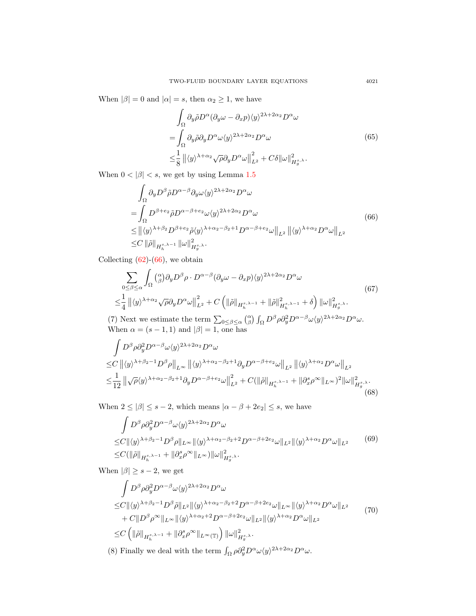When  $|\beta| = 0$  and  $|\alpha| = s$ , then  $\alpha_2 \geq 1$ , we have

$$
\int_{\Omega} \partial_y \tilde{\rho} D^{\alpha} (\partial_y \omega - \partial_x p) \langle y \rangle^{2\lambda + 2\alpha_2} D^{\alpha} \omega \n= \int_{\Omega} \partial_y \tilde{\rho} \partial_y D^{\alpha} \omega \langle y \rangle^{2\lambda + 2\alpha_2} D^{\alpha} \omega \n\leq \frac{1}{8} ||\langle y \rangle^{\lambda + \alpha_2} \sqrt{\rho} \partial_y D^{\alpha} \omega||_{L^2}^2 + C \delta ||\omega||_{H_g^{s,\lambda}}^2.
$$
\n(65)

<span id="page-12-0"></span>When  $0 < |\beta| < s$ , we get by using Lemma [1.5](#page-7-2)

$$
\int_{\Omega} \partial_y D^{\beta} \tilde{\rho} D^{\alpha-\beta} \partial_y \omega \langle y \rangle^{2\lambda+2\alpha_2} D^{\alpha} \omega
$$
\n
$$
= \int_{\Omega} D^{\beta+\epsilon_2} \tilde{\rho} D^{\alpha-\beta+\epsilon_2} \omega \langle y \rangle^{2\lambda+2\alpha_2} D^{\alpha} \omega
$$
\n
$$
\leq ||\langle y \rangle^{\lambda+\beta_2} D^{\beta+\epsilon_2} \tilde{\rho} \langle y \rangle^{\lambda+\alpha_2-\beta_2+1} D^{\alpha-\beta+\epsilon_2} \omega ||_{L^2} ||\langle y \rangle^{\lambda+\alpha_2} D^{\alpha} \omega ||_{L^2}
$$
\n
$$
\leq C ||\tilde{\rho}||_{H^{s,\lambda-1}_{h}} ||\omega||_{H^{s,\lambda}_{g}}^{2}.
$$
\n(66)

Collecting  $(62)-(66)$  $(62)-(66)$  $(62)-(66)$ , we obtain

$$
\sum_{0 \leq \beta \leq \alpha} \int_{\Omega} \left( \begin{array}{c} \alpha \\ \beta \end{array} \right) \partial_y D^{\beta} \rho \cdot D^{\alpha-\beta} (\partial_y \omega - \partial_x p) \langle y \rangle^{2\lambda + 2\alpha_2} D^{\alpha} \omega
$$
\n
$$
\leq \frac{1}{4} \left\| \langle y \rangle^{\lambda + \alpha_2} \sqrt{\rho} \partial_y D^{\alpha} \omega \right\|_{L^2}^2 + C \left( \|\tilde{\rho}\|_{H_b^{s, \lambda - 1}} + \|\tilde{\rho}\|_{H_b^{s, \lambda - 1}}^2 + \delta \right) \|\omega\|_{H_b^{s, \lambda}}^2.
$$
\n(67)

(7) Next we estimate the term  $\sum_{0 \leq \beta \leq \alpha} {(\alpha) \choose \beta} \int_{\Omega} D^{\beta} \rho \partial_y^2 D^{\alpha-\beta} \omega \langle y \rangle^{2\lambda+2\alpha_2} D^{\alpha} \omega$ . When  $\alpha = (s-1,1)$  and  $|\beta| = 1$ , one has

$$
\int D^{\beta} \rho \partial_y^2 D^{\alpha-\beta} \omega \langle y \rangle^{2\lambda+2\alpha_2} D^{\alpha} \omega
$$
\n
$$
\leq C \left\| \langle y \rangle^{\lambda+\beta_2-1} D^{\beta} \rho \right\|_{L^{\infty}} \left\| \langle y \rangle^{\lambda+\alpha_2-\beta_2+1} \partial_y D^{\alpha-\beta+e_2} \omega \right\|_{L^2} \left\| \langle y \rangle^{\lambda+\alpha_2} D^{\alpha} \omega \right\|_{L^2}
$$
\n
$$
\leq \frac{1}{12} \left\| \sqrt{\rho} \langle y \rangle^{\lambda+\alpha_2-\beta_2+1} \partial_y D^{\alpha-\beta+e_2} \omega \right\|_{L^2}^2 + C \left( \|\tilde{\rho}\|_{H_h^{s,\lambda-1}} + \|\partial_x^s \rho^{\infty}\|_{L^{\infty}} \right)^2 \|\omega\|_{H_g^{s,\lambda}}^2. \tag{68}
$$

When  $2 \le |\beta| \le s - 2$ , which means  $|\alpha - \beta + 2e_2| \le s$ , we have

$$
\int D^{\beta} \rho \partial_y^2 D^{\alpha-\beta} \omega \langle y \rangle^{2\lambda+2\alpha_2} D^{\alpha} \omega
$$
\n
$$
\leq C \|\langle y \rangle^{\lambda+\beta_2-1} D^{\beta} \rho\|_{L^{\infty}} \|\langle y \rangle^{\lambda+\alpha_2-\beta_2+2} D^{\alpha-\beta+2e_2} \omega\|_{L^2} \|\langle y \rangle^{\lambda+\alpha_2} D^{\alpha} \omega\|_{L^2}
$$
\n
$$
\leq C (\|\tilde{\rho}\|_{H_h^{s,\lambda-1}} + \|\partial_x^s \rho^{\infty}\|_{L^{\infty}}) \|\omega\|_{H_g^{s,\lambda}}^2.
$$
\n
$$
(69)
$$

When  $|\beta| \geq s - 2$ , we get

$$
\int D^{\beta} \rho \partial_y^2 D^{\alpha-\beta} \omega \langle y \rangle^{2\lambda+2\alpha_2} D^{\alpha} \omega
$$
\n
$$
\leq C \|\langle y \rangle^{\lambda+\beta_2-1} D^{\beta} \tilde{\rho} \|_{L^2} \|\langle y \rangle^{\lambda+\alpha_2-\beta_2+2} D^{\alpha-\beta+2e_2} \omega \|_{L^{\infty}} \|\langle y \rangle^{\lambda+\alpha_2} D^{\alpha} \omega \|_{L^2}
$$
\n
$$
+ C \| D^{\beta} \rho^{\infty} \|_{L^{\infty}} \|\langle y \rangle^{\lambda+\alpha_2+2} D^{\alpha-\beta+2e_2} \omega \|_{L^2} \|\langle y \rangle^{\lambda+\alpha_2} D^{\alpha} \omega \|_{L^2}
$$
\n
$$
\leq C \left( \|\tilde{\rho}\|_{H_h^{s,\lambda-1}} + \|\partial_x^s \rho^{\infty}\|_{L^{\infty}(\mathbb{T})} \right) \|\omega\|_{H_g^{s,\lambda}}^2.
$$
\n(70)

(8) Finally we deal with the term  $\int_{\Omega} \rho \partial_y^2 D^{\alpha} \omega \langle y \rangle^{2\lambda + 2\alpha_2} D^{\alpha} \omega$ .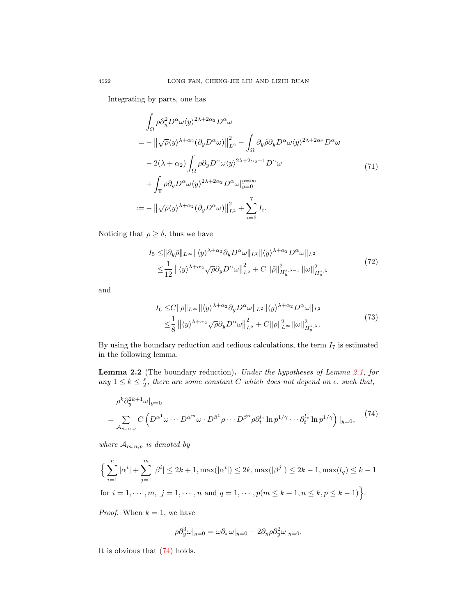Integrating by parts, one has

$$
\int_{\Omega} \rho \partial_y^2 D^{\alpha} \omega \langle y \rangle^{2\lambda + 2\alpha_2} D^{\alpha} \omega
$$
\n
$$
= - \left\| \sqrt{\rho} \langle y \rangle^{\lambda + \alpha_2} (\partial_y D^{\alpha} \omega) \right\|_{L^2}^2 - \int_{\Omega} \partial_y \tilde{\rho} \partial_y D^{\alpha} \omega \langle y \rangle^{2\lambda + 2\alpha_2} D^{\alpha} \omega
$$
\n
$$
- 2(\lambda + \alpha_2) \int_{\Omega} \rho \partial_y D^{\alpha} \omega \langle y \rangle^{2\lambda + 2\alpha_2 - 1} D^{\alpha} \omega
$$
\n
$$
+ \int_{\mathbb{T}} \rho \partial_y D^{\alpha} \omega \langle y \rangle^{2\lambda + 2\alpha_2} D^{\alpha} \omega \big|_{y=0}^{y=\infty}
$$
\n
$$
:= - \left\| \sqrt{\rho} \langle y \rangle^{\lambda + \alpha_2} (\partial_y D^{\alpha} \omega) \right\|_{L^2}^2 + \sum_{i=5}^7 I_i.
$$
\n(71)

Noticing that  $\rho \geq \delta$ , thus we have

$$
I_{5} \leq ||\partial_{y}\tilde{\rho}||_{L^{\infty}} ||\langle y\rangle^{\lambda+\alpha_{2}} \partial_{y}D^{\alpha}\omega||_{L^{2}} ||\langle y\rangle^{\lambda+\alpha_{2}} D^{\alpha}\omega||_{L^{2}} \leq \frac{1}{12} ||\langle y\rangle^{\lambda+\alpha_{2}} \sqrt{\rho} \partial_{y}D^{\alpha}\omega||_{L^{2}}^{2} + C ||\tilde{\rho}||_{H_{h}^{s,\lambda-1}}^{2} ||\omega||_{H_{g}^{s,\lambda}}^{2}
$$
\n
$$
(72)
$$

and

$$
I_6 \leq C \|\rho\|_{L^\infty} \|\langle y \rangle^{\lambda + \alpha_2} \partial_y D^\alpha \omega\|_{L^2} \|\langle y \rangle^{\lambda + \alpha_2} D^\alpha \omega\|_{L^2}
$$
  

$$
\leq \frac{1}{8} \| \langle y \rangle^{\lambda + \alpha_2} \sqrt{\rho} \partial_y D^\alpha \omega \|^2_{L^2} + C \|\rho\|_{L^\infty}^2 \|\omega\|_{H_g^{s,\lambda}}^2.
$$
 (73)

By using the boundary reduction and tedious calculations, the term  $I_7$  is estimated in the following lemma.

<span id="page-13-1"></span>Lemma 2.2 (The boundary reduction). Under the hypotheses of Lemma [2.1,](#page-7-3) for any  $1 \leq k \leq \frac{s}{2}$ , there are some constant C which does not depend on  $\epsilon$ , such that,

<span id="page-13-0"></span>
$$
\rho^k \partial_y^{2k+1} \omega |_{y=0}
$$
\n
$$
= \sum_{\mathcal{A}_{m,n,p}} C \left( D^{\alpha^1} \omega \cdots D^{\alpha^m} \omega \cdot D^{\beta^1} \rho \cdots D^{\beta^n} \rho \partial_t^{l_1} \ln p^{1/\gamma} \cdots \partial_t^{l_p} \ln p^{1/\gamma} \right) |_{y=0}, \tag{74}
$$

where  $A_{m,n,p}$  is denoted by

$$
\Big\{\sum_{i=1}^{n} |\alpha^{i}| + \sum_{j=1}^{m} |\beta^{i}| \leq 2k + 1, \max(|\alpha^{i}|) \leq 2k, \max(|\beta^{j}|) \leq 2k - 1, \max(l_q) \leq k - 1
$$
  
for  $i = 1, \dots, m, j = 1, \dots, n$  and  $q = 1, \dots, p(m \leq k + 1, n \leq k, p \leq k - 1)\Big\}$ .

*Proof.* When  $k = 1$ , we have

$$
\rho \partial_y^3 \omega\vert_{y=0} = \omega \partial_x \omega\vert_{y=0} - 2 \partial_y \rho \partial_y^2 \omega\vert_{y=0}.
$$

It is obvious that [\(74\)](#page-13-0) holds.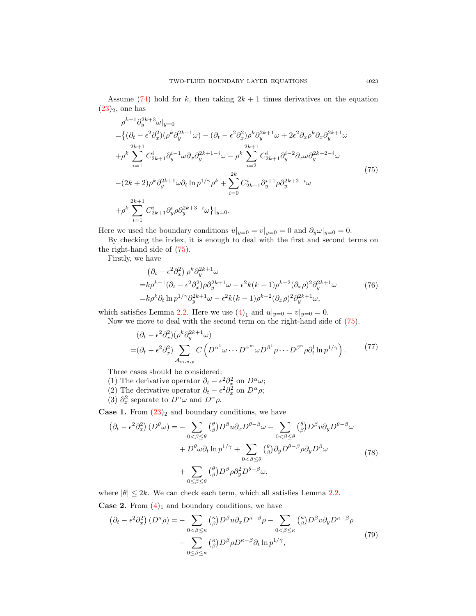Assume [\(74\)](#page-13-0) hold for k, then taking  $2k + 1$  times derivatives on the equation  $(23)_2$  $(23)_2$ , one has

<span id="page-14-0"></span>
$$
\rho^{k+1} \partial_y^{2k+3} \omega |_{y=0} \n= \left\{ (\partial_t - \epsilon^2 \partial_x^2)(\rho^k \partial_y^{2k+1} \omega) - (\partial_t - \epsilon^2 \partial_x^2)\rho^k \partial_y^{2k+1} \omega + 2\epsilon^2 \partial_x \rho^k \partial_x \partial_y^{2k+1} \omega \right.\n+ \rho^k \sum_{i=1}^{2k+1} C_{2k+1}^i \partial_y^{i-1} \omega \partial_x \partial_y^{2k+1-i} \omega - \rho^k \sum_{i=2}^{2k+1} C_{2k+1}^i \partial_y^{i-2} \partial_x \omega \partial_y^{2k+2-i} \omega \n- (2k+2) \rho^k \partial_y^{2k+1} \omega \partial_t \ln p^{1/\gamma} \rho^k + \sum_{i=0}^{2k} C_{2k+1}^i \partial_y^{i+1} \rho \partial_y^{2k+2-i} \omega \n+ \rho^k \sum_{i=1}^{2k+1} C_{2k+1}^i \partial_y^i \rho \partial_y^{2k+3-i} \omega \right\}|_{y=0}.
$$
\n(75)

Here we used the boundary conditions  $u|_{y=0} = v|_{y=0} = 0$  and  $\partial_y \omega|_{y=0} = 0$ .

By checking the index, it is enough to deal with the first and second terms on the right-hand side of [\(75\)](#page-14-0).

Firstly, we have

$$
\begin{split}\n&\left(\partial_t - \epsilon^2 \partial_x^2\right) \rho^k \partial_y^{2k+1} \omega \\
&= k \rho^{k-1} \left(\partial_t - \epsilon^2 \partial_x^2\right) \rho \partial_y^{2k+1} \omega - \epsilon^2 k(k-1) \rho^{k-2} (\partial_x \rho)^2 \partial_y^{2k+1} \omega \\
&= k \rho^k \partial_t \ln p^{1/\gamma} \partial_y^{2k+1} \omega - \epsilon^2 k(k-1) \rho^{k-2} (\partial_x \rho)^2 \partial_y^{2k+1} \omega,\n\end{split} \tag{76}
$$

which satisfies Lemma [2.2.](#page-13-1) Here we use  $(4)_1$  $(4)_1$  and  $u|_{y=0} = v|_{y=0} = 0$ .

Now we move to deal with the second term on the right-hand side of [\(75\)](#page-14-0).

$$
(\partial_t - \epsilon^2 \partial_x^2)(\rho^k \partial_y^{2k+1} \omega)
$$
  
=  $(\partial_t - \epsilon^2 \partial_x^2) \sum_{\mathcal{A}_{m,n,p}} C\left(D^{\alpha^1} \omega \cdots D^{\alpha^m} \omega D^{\beta^1} \rho \cdots D^{\beta^n} \rho \partial_t^l \ln p^{1/\gamma}\right).$  (77)

Three cases should be considered:

- (1) The derivative operator  $\partial_t \epsilon^2 \partial_x^2$  on  $D^{\alpha} \omega$ ;
- (2) The derivative operator  $\partial_t \epsilon^2 \partial_x^2$  on  $D^{\alpha} \rho$ ;
- (3)  $\partial_x^2$  separate to  $D^{\alpha}\omega$  and  $D^{\alpha}\rho$ .

**Case 1.** From  $(23)_2$  $(23)_2$  and boundary conditions, we have

$$
\left(\partial_t - \epsilon^2 \partial_x^2\right) \left(D^{\theta}\omega\right) = -\sum_{0 < \beta \leq \theta} \binom{\theta}{\beta} D^{\beta} u \partial_x D^{\theta - \beta} \omega - \sum_{0 < \beta \leq \theta} \binom{\theta}{\beta} D^{\beta} v \partial_y D^{\theta - \beta} \omega \n+ D^{\theta} \omega \partial_t \ln p^{1/\gamma} + \sum_{0 < \beta \leq \theta} \binom{\theta}{\beta} \partial_y D^{\theta - \beta} \rho \partial_y D^{\beta} \omega \n+ \sum_{0 < \beta \leq \theta} \binom{\theta}{\beta} D^{\beta} \rho \partial_y^2 D^{\theta - \beta} \omega,
$$
\n(78)

where  $|\theta| \leq 2k$ . We can check each term, which all satisfies Lemma [2.2.](#page-13-1)

**Case 2.** From  $(4)_1$  $(4)_1$  and boundary conditions, we have

$$
\left(\partial_t - \epsilon^2 \partial_x^2\right) \left(D^{\kappa}\rho\right) = -\sum_{0 < \beta \le \kappa} {\kappa \choose \beta} D^{\beta} u \partial_x D^{\kappa-\beta} \rho - \sum_{0 < \beta \le \kappa} {\kappa \choose \beta} D^{\beta} v \partial_y D^{\kappa-\beta} \rho
$$

$$
-\sum_{0 \le \beta \le \kappa} {\kappa \choose \beta} D^{\beta} \rho D^{\kappa-\beta} \partial_t \ln p^{1/\gamma}, \tag{79}
$$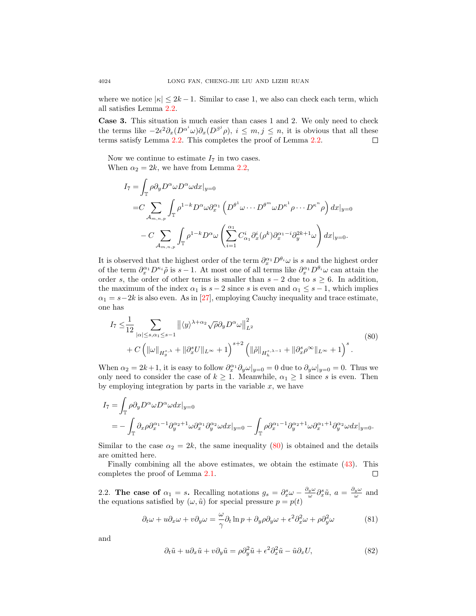where we notice  $|\kappa| \leq 2k - 1$ . Similar to case 1, we also can check each term, which all satisfies Lemma [2.2.](#page-13-1)

Case 3. This situation is much easier than cases 1 and 2. We only need to check the terms like  $-2\epsilon^2\partial_x(D^{\alpha^i}\omega)\partial_x(D^{\beta^j}\rho)$ ,  $i \leq m, j \leq n$ , it is obvious that all these terms satisfy Lemma [2.2.](#page-13-1) This completes the proof of Lemma [2.2.](#page-13-1)  $\Box$ 

Now we continue to estimate  $I_7$  in two cases. When  $\alpha_2 = 2k$ , we have from Lemma [2.2,](#page-13-1)

$$
I_7 = \int_{\mathbb{T}} \rho \partial_y D^{\alpha} \omega D^{\alpha} \omega dx |_{y=0}
$$
  
= $C \sum_{\mathcal{A}_{m,n,p}} \int_{\mathbb{T}} \rho^{1-k} D^{\alpha} \omega \partial_x^{\alpha_1} \left( D^{\theta^1} \omega \cdots D^{\theta^m} \omega D^{\kappa^1} \rho \cdots D^{\kappa^n} \rho \right) dx |_{y=0}$   
 $- C \sum_{\mathcal{A}_{m,n,p}} \int_{\mathbb{T}} \rho^{1-k} D^{\alpha} \omega \left( \sum_{i=1}^{\alpha_1} C^i_{\alpha_1} \partial_x^i (\rho^k) \partial_x^{\alpha_1-i} \partial_y^{2k+1} \omega \right) dx |_{y=0}.$ 

It is observed that the highest order of the term  $\partial_x^{\alpha_1} D^{\theta_i} \omega$  is s and the highest order of the term  $\partial_x^{\alpha_1} D^{\kappa_i} \tilde{\rho}$  is  $s-1$ . At most one of all terms like  $\partial_x^{\alpha_1} D^{\theta_i} \omega$  can attain the order s, the order of other terms is smaller than  $s - 2$  due to  $s \geq 6$ . In addition, the maximum of the index  $\alpha_1$  is  $s - 2$  since s is even and  $\alpha_1 \leq s - 1$ , which implies  $\alpha_1 = s-2k$  is also even. As in [\[27\]](#page-40-11), employing Cauchy inequality and trace estimate, one has

<span id="page-15-1"></span>
$$
I_7 \leq \frac{1}{12} \sum_{|\alpha| \leq s, \alpha_1 \leq s-1} ||\langle y \rangle^{\lambda+\alpha_2} \sqrt{\rho} \partial_y D^{\alpha} \omega||_{L^2}^2
$$
  
+  $C \left( ||\omega||_{H_g^{s,\lambda}} + ||\partial_x^s U||_{L^{\infty}} + 1 \right)^{s+2} \left( ||\tilde{\rho}||_{H_h^{s,\lambda-1}} + ||\partial_x^s \rho^{\infty}||_{L^{\infty}} + 1 \right)^s$ . (80)

When  $\alpha_2 = 2k + 1$ , it is easy to follow  $\partial_x^{\alpha_1} \partial_y \omega|_{y=0} = 0$  due to  $\partial_y \omega|_{y=0} = 0$ . Thus we only need to consider the case of  $k \geq 1$ . Meanwhile,  $\alpha_1 \geq 1$  since s is even. Then by employing integration by parts in the variable  $x$ , we have

$$
I_7 = \int_{\mathbb{T}} \rho \partial_y D^{\alpha} \omega D^{\alpha} \omega dx |_{y=0}
$$
  
= 
$$
- \int_{\mathbb{T}} \partial_x \rho \partial_x^{\alpha_1 - 1} \partial_y^{\alpha_2 + 1} \omega \partial_x^{\alpha_1} \partial_y^{\alpha_2} \omega dx |_{y=0} - \int_{\mathbb{T}} \rho \partial_x^{\alpha_1 - 1} \partial_y^{\alpha_2 + 1} \omega \partial_x^{\alpha_1 + 1} \partial_y^{\alpha_2} \omega dx |_{y=0}.
$$

Similar to the case  $\alpha_2 = 2k$ , the same inequality [\(80\)](#page-15-1) is obtained and the details are omitted here.

Finally combining all the above estimates, we obtain the estimate  $(43)$ . This completes the proof of Lemma [2.1.](#page-7-3)  $\Box$ 

<span id="page-15-0"></span>2.2. The case of  $\alpha_1 = s$ . Recalling notations  $g_s = \partial_x^s \omega - \frac{\partial_y \omega}{\omega} \partial_x^s \tilde{u}$ ,  $a = \frac{\partial_y \omega}{\omega}$  and the equations satisfied by  $(\omega, \tilde{u})$  for special pressure  $p = p(t)$ 

<span id="page-15-2"></span>
$$
\partial_t \omega + u \partial_x \omega + v \partial_y \omega = -\frac{\omega}{\gamma} \partial_t \ln p + \partial_y \rho \partial_y \omega + \epsilon^2 \partial_x^2 \omega + \rho \partial_y^2 \omega \tag{81}
$$

and

<span id="page-15-3"></span>
$$
\partial_t \tilde{u} + u \partial_x \tilde{u} + v \partial_y \tilde{u} = \rho \partial_y^2 \tilde{u} + \epsilon^2 \partial_x^2 \tilde{u} - \tilde{u} \partial_x U,\tag{82}
$$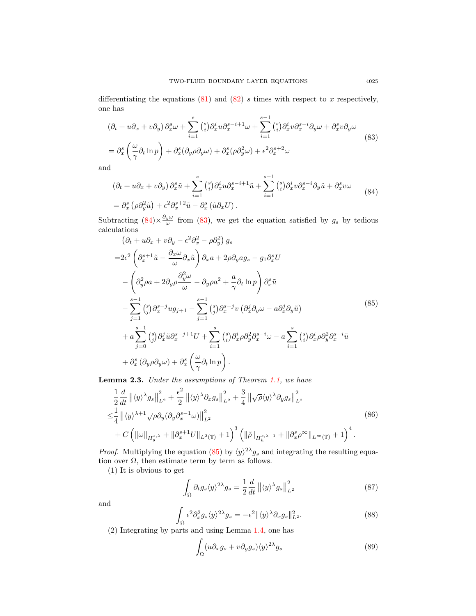differentiating the equations  $(81)$  and  $(82)$  s times with respect to x respectively, one has

<span id="page-16-1"></span>
$$
(\partial_t + u\partial_x + v\partial_y) \partial_x^s \omega + \sum_{i=1}^s \binom{s}{i} \partial_x^i u \partial_x^{s-i+1} \omega + \sum_{i=1}^{s-1} \binom{s}{i} \partial_x^i v \partial_x^{s-i} \partial_y \omega + \partial_x^s v \partial_y \omega
$$
  
=  $\partial_x^s \left( \frac{\omega}{\gamma} \partial_t \ln p \right) + \partial_x^s (\partial_y \rho \partial_y \omega) + \partial_x^s (\rho \partial_y^2 \omega) + \epsilon^2 \partial_x^{s+2} \omega$  (83)

and

<span id="page-16-0"></span>
$$
(\partial_t + u\partial_x + v\partial_y)\partial_x^s \tilde{u} + \sum_{i=1}^s \binom{s}{i} \partial_x^i u \partial_x^{s-i+1} \tilde{u} + \sum_{i=1}^{s-1} \binom{s}{i} \partial_x^i v \partial_x^{s-i} \partial_y \tilde{u} + \partial_x^s v\omega
$$
  
=  $\partial_x^s \left( \rho \partial_y^2 \tilde{u} \right) + \epsilon^2 \partial_x^{s+2} \tilde{u} - \partial_x^s \left( \tilde{u} \partial_x U \right).$  (84)

Subtracting  $(84) \times \frac{\partial_y \omega}{\omega}$  $(84) \times \frac{\partial_y \omega}{\omega}$  from  $(83)$ , we get the equation satisfied by  $g_s$  by tedious calculations

<span id="page-16-2"></span>
$$
(\partial_t + u\partial_x + v\partial_y - \epsilon^2 \partial_x^2 - \rho \partial_y^2) g_s
$$
  
\n
$$
= 2\epsilon^2 \left( \partial_x^{s+1} \tilde{u} - \frac{\partial_x \omega}{\omega} \partial_x \tilde{u} \right) \partial_x a + 2\rho \partial_y a g_s - g_1 \partial_x^s U
$$
  
\n
$$
- \left( \partial_y^2 \rho a + 2 \partial_y \rho \frac{\partial_y^2 \omega}{\omega} - \partial_y \rho a^2 + \frac{a}{\gamma} \partial_t \ln p \right) \partial_x^s \tilde{u}
$$
  
\n
$$
- \sum_{j=1}^{s-1} {s \choose j} \partial_x^{s-j} u g_{j+1} - \sum_{j=1}^{s-1} {s \choose j} \partial_x^{s-j} v \left( \partial_x^j \partial_y \omega - a \partial_x^j \partial_y \tilde{u} \right)
$$
  
\n
$$
+ a \sum_{j=0}^{s-1} {s \choose j} \partial_x^j \tilde{u} \partial_x^{s-j+1} U + \sum_{i=1}^s {s \choose i} \partial_x^i \rho \partial_y^2 \partial_x^{s-i} \omega - a \sum_{i=1}^s {s \choose i} \partial_x^i \rho \partial_y^2 \partial_x^{s-i} \tilde{u}
$$
  
\n
$$
+ \partial_x^s (\partial_y \rho \partial_y \omega) + \partial_x^s \left( \frac{\omega}{\gamma} \partial_t \ln p \right).
$$
  
\n(85)

<span id="page-16-3"></span>Lemma 2.3. Under the assumptions of Theorem [1.1,](#page-3-0) we have

$$
\frac{1}{2}\frac{d}{dt}\left\|\langle y\rangle^{\lambda}g_{s}\right\|_{L^{2}}^{2} + \frac{\epsilon^{2}}{2}\left\|\langle y\rangle^{\lambda}\partial_{x}g_{s}\right\|_{L^{2}}^{2} + \frac{3}{4}\left\|\sqrt{\rho}\langle y\rangle^{\lambda}\partial_{y}g_{s}\right\|_{L^{2}}^{2}
$$
\n
$$
\leq \frac{1}{4}\left\|\langle y\rangle^{\lambda+1}\sqrt{\rho}\partial_{y}(\partial_{y}\partial_{x}^{s-1}\omega)\right\|_{L^{2}}^{2}
$$
\n
$$
+ C\left(\|\omega\|_{H_{g}^{s,\lambda}} + \|\partial_{x}^{s+1}U\|_{L^{2}(\mathbb{T})} + 1\right)^{3}\left(\|\tilde{\rho}\|_{H_{h}^{s,\lambda-1}} + \|\partial_{x}^{s}\rho^{\infty}\|_{L^{\infty}(\mathbb{T})} + 1\right)^{4}.
$$
\n
$$
(86)
$$

*Proof.* Multiplying the equation [\(85\)](#page-16-2) by  $\langle y \rangle^{2\lambda} g_s$  and integrating the resulting equation over  $\Omega$ , then estimate term by term as follows.

(1) It is obvious to get

$$
\int_{\Omega} \partial_t g_s \langle y \rangle^{2\lambda} g_s = \frac{1}{2} \frac{d}{dt} ||\langle y \rangle^{\lambda} g_s||_{L^2}^2 \tag{87}
$$

and

$$
\int_{\Omega} \epsilon^2 \partial_x^2 g_s \langle y \rangle^{2\lambda} g_s = -\epsilon^2 \| \langle y \rangle^{\lambda} \partial_x g_s \|_{L^2}^2.
$$
 (88)

(2) Integrating by parts and using Lemma [1.4,](#page-5-1) one has

$$
\int_{\Omega} (u \partial_x g_s + v \partial_y g_s) \langle y \rangle^{2\lambda} g_s \tag{89}
$$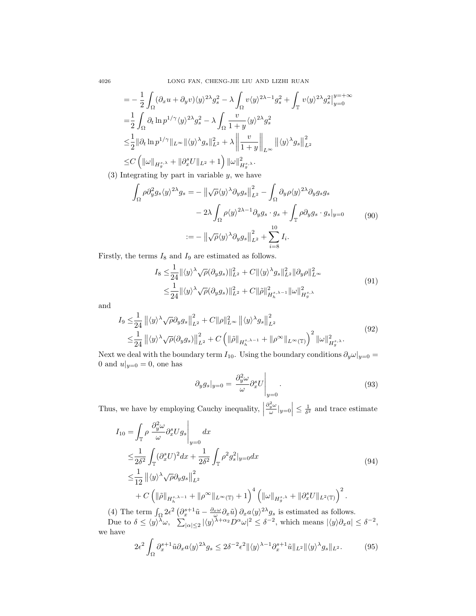$$
= -\frac{1}{2} \int_{\Omega} (\partial_x u + \partial_y v) \langle y \rangle^{2\lambda} g_s^2 - \lambda \int_{\Omega} v \langle y \rangle^{2\lambda - 1} g_s^2 + \int_{\mathbb{T}} v \langle y \rangle^{2\lambda} g_s^2 \vert_{y=0}^{y=\pm \infty}
$$
  
\n
$$
= \frac{1}{2} \int_{\Omega} \partial_t \ln p^{1/\gamma} \langle y \rangle^{2\lambda} g_s^2 - \lambda \int_{\Omega} \frac{v}{1+y} \langle y \rangle^{2\lambda} g_s^2
$$
  
\n
$$
\leq \frac{1}{2} ||\partial_t \ln p^{1/\gamma}||_{L^{\infty}} ||\langle y \rangle^{\lambda} g_s||_{L^2}^2 + \lambda \left\| \frac{v}{1+y} \right\|_{L^{\infty}} ||\langle y \rangle^{\lambda} g_s||_{L^2}^2
$$
  
\n
$$
\leq C \left( ||\omega||_{H_g^{s,\lambda}} + ||\partial_x^s U||_{L^2} + 1 \right) ||\omega||_{H_g^{s,\lambda}}^2.
$$

(3) Integrating by part in variable  $y$ , we have

$$
\int_{\Omega} \rho \partial_y^2 g_s \langle y \rangle^{2\lambda} g_s = - \left\| \sqrt{\rho} \langle y \rangle^{\lambda} \partial_y g_s \right\|_{L^2}^2 - \int_{\Omega} \partial_y \rho \langle y \rangle^{2\lambda} \partial_y g_s g_s
$$
  

$$
- 2\lambda \int_{\Omega} \rho \langle y \rangle^{2\lambda - 1} \partial_y g_s \cdot g_s + \int_{\mathbb{T}} \rho \partial_y g_s \cdot g_s \vert_{y=0} \tag{90}
$$
  

$$
:= - \left\| \sqrt{\rho} \langle y \rangle^{\lambda} \partial_y g_s \right\|_{L^2}^2 + \sum_{i=8}^{10} I_i.
$$

Firstly, the terms  $I_8$  and  $I_9$  are estimated as follows.

$$
I_8 \leq \frac{1}{24} \|\langle y \rangle^{\lambda} \sqrt{\rho} (\partial_y g_s) \|_{L^2}^2 + C \| \langle y \rangle^{\lambda} g_s \|_{L^2}^2 \| \partial_y \rho \|_{L^\infty}^2
$$
  

$$
\leq \frac{1}{24} \| \langle y \rangle^{\lambda} \sqrt{\rho} (\partial_y g_s) \|_{L^2}^2 + C \| \tilde{\rho} \|_{H_h^{s,\lambda-1}}^2 \| \omega \|_{H_g^{s,\lambda}}^2
$$
(91)

and

$$
I_9 \leq \frac{1}{24} ||\langle y \rangle^{\lambda} \sqrt{\rho} \partial_y g_s||_{L^2}^2 + C ||\rho||_{L^{\infty}}^2 ||\langle y \rangle^{\lambda} g_s||_{L^2}^2
$$
  

$$
\leq \frac{1}{24} ||\langle y \rangle^{\lambda} \sqrt{\rho} (\partial_y g_s) ||_{L^2}^2 + C \left( ||\tilde{\rho}||_{H_h^{s,\lambda-1}} + ||\rho^{\infty}||_{L^{\infty}(\mathbb{T})} \right)^2 ||\omega||_{H_g^{s,\lambda}}^2.
$$
 (92)

Next we deal with the boundary term  $I_{10}$ . Using the boundary conditions  $\partial_y \omega|_{y=0}$  = 0 and  $u|_{y=0} = 0$ , one has

$$
\partial_y g_s|_{y=0} = \frac{\partial_y^2 \omega}{\omega} \partial_x^s U \Big|_{y=0}.
$$
\n(93)

Thus, we have by employing Cauchy inequality,  $\Big\vert$  $\left|\frac{\partial_y^2 \omega}{\omega}\right|_{y=0} \leq \frac{1}{\delta^2}$  and trace estimate

$$
I_{10} = \int_{\mathbb{T}} \rho \left. \frac{\partial_y^2 \omega}{\omega} \partial_x^s U g_s \right|_{y=0} dx
$$
  
\n
$$
\leq \frac{1}{2\delta^2} \int_{\mathbb{T}} (\partial_x^s U)^2 dx + \frac{1}{2\delta^2} \int_{\mathbb{T}} \rho^2 g_s^2 |_{y=0} dx
$$
  
\n
$$
\leq \frac{1}{12} ||\langle y \rangle^{\lambda} \sqrt{\rho} \partial_y g_s ||_{L^2}^2
$$
  
\n
$$
+ C \left( ||\tilde{\rho}||_{H_h^{s,\lambda-1}} + ||\rho^{\infty}||_{L^{\infty}(\mathbb{T})} + 1 \right)^4 \left( ||\omega||_{H_g^{s,\lambda}} + ||\partial_x^s U||_{L^2(\mathbb{T})} \right)^2.
$$
\n(94)

(4) The term  $\int_{\Omega} 2\epsilon^2 \left( \partial_x^{s+1} \tilde{u} - \frac{\partial_x \omega}{\omega} \partial_x \tilde{u} \right) \partial_x a \langle y \rangle^{2\lambda} g_s$  is estimated as follows.

Due to  $\delta \leq \langle y \rangle^{\lambda} \omega$ ,  $\sum_{|\alpha| \leq 2} |\langle y \rangle^{\lambda+\alpha_2} D^{\alpha} \omega|^2 \leq \delta^{-2}$ , which means  $|\langle y \rangle \partial_x a| \leq \delta^{-2}$ , we have

$$
2\epsilon^2 \int_{\Omega} \partial_x^{s+1} \tilde{u} \partial_x a \langle y \rangle^{2\lambda} g_s \le 2\delta^{-2} \epsilon^2 \| \langle y \rangle^{\lambda-1} \partial_x^{s+1} \tilde{u} \|_{L^2} \| \langle y \rangle^{\lambda} g_s \|_{L^2}.
$$
 (95)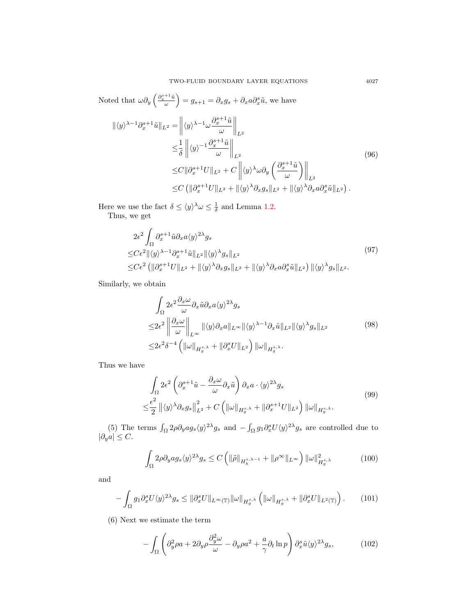Noted that

\n
$$
\omega \partial_y \left( \frac{\partial_z^{s+1} \tilde{u}}{\omega} \right) = g_{s+1} = \partial_x g_s + \partial_x a \partial_x^s \tilde{u}, \text{ we have}
$$
\n
$$
\|\langle y \rangle^{\lambda-1} \partial_x^{s+1} \tilde{u} \|_{L^2} = \left\| \langle y \rangle^{\lambda-1} \omega \frac{\partial_z^{s+1} \tilde{u}}{\omega} \right\|_{L^2}
$$
\n
$$
\leq \frac{1}{\delta} \left\| \langle y \rangle^{-1} \frac{\partial_x^{s+1} \tilde{u}}{\omega} \right\|_{L^2}
$$
\n
$$
\leq C \|\partial_x^{s+1} U\|_{L^2} + C \left\| \langle y \rangle^{\lambda} \omega \partial_y \left( \frac{\partial_x^{s+1} \tilde{u}}{\omega} \right) \right\|_{L^2}
$$
\n
$$
\leq C \left( \|\partial_x^{s+1} U\|_{L^2} + \|\langle y \rangle^{\lambda} \partial_x g_s\|_{L^2} + \|\langle y \rangle^{\lambda} \partial_x a \partial_x^s \tilde{u} \|_{L^2} \right).
$$
\n(96)

<span id="page-18-0"></span>Here we use the fact  $\delta \leq \langle y \rangle^{\lambda} \omega \leq \frac{1}{\delta}$  and Lemma [1.2.](#page-5-3)

Thus, we get

$$
2\epsilon^2 \int_{\Omega} \partial_x^{s+1} \tilde{u} \partial_x a \langle y \rangle^{2\lambda} g_s
$$
  
\n
$$
\leq C\epsilon^2 ||\langle y \rangle^{\lambda-1} \partial_x^{s+1} \tilde{u}||_{L^2} ||\langle y \rangle^{\lambda} g_s||_{L^2}
$$
  
\n
$$
\leq C\epsilon^2 \left( \|\partial_x^{s+1} U\|_{L^2} + \|\langle y \rangle^{\lambda} \partial_x g_s\|_{L^2} + \|\langle y \rangle^{\lambda} \partial_x a \partial_x^s \tilde{u}||_{L^2} \right) \|\langle y \rangle^{\lambda} g_s||_{L^2}.
$$
\n(97)

Similarly, we obtain

$$
\int_{\Omega} 2\epsilon^2 \frac{\partial_x \omega}{\omega} \partial_x \tilde{u} \partial_x a \langle y \rangle^{2\lambda} g_s
$$
\n
$$
\leq 2\epsilon^2 \left\| \frac{\partial_x \omega}{\omega} \right\|_{L^\infty} \| \langle y \rangle \partial_x a \|_{L^\infty} \| \langle y \rangle^{\lambda - 1} \partial_x \tilde{u} \|_{L^2} \| \langle y \rangle^{\lambda} g_s \|_{L^2}
$$
\n
$$
\leq 2\epsilon^2 \delta^{-4} \left( \| \omega \|_{H_g^{s,\lambda}} + \| \partial_x^s U \|_{L^2} \right) \| \omega \|_{H_g^{s,\lambda}}.
$$
\n
$$
(98)
$$

Thus we have

$$
\int_{\Omega} 2\epsilon^2 \left( \partial_x^{s+1} \tilde{u} - \frac{\partial_x \omega}{\omega} \partial_x \tilde{u} \right) \partial_x a \cdot \langle y \rangle^{2\lambda} g_s
$$
\n
$$
\leq \frac{\epsilon^2}{2} \left\| \langle y \rangle^{\lambda} \partial_x g_s \right\|_{L^2}^2 + C \left( \|\omega\|_{H_g^{s,\lambda}} + \|\partial_x^{s+1} U\|_{L^2} \right) \|\omega\|_{H_g^{s,\lambda}}.
$$
\n(99)

(5) The terms  $\int_{\Omega} 2\rho \partial_y a g_s \langle y \rangle^{2\lambda} g_s$  and  $-\int_{\Omega} g_1 \partial_x^s U \langle y \rangle^{2\lambda} g_s$  are controlled due to  $|\partial_y a| \leq C.$ 

$$
\int_{\Omega} 2\rho \partial_y a g_s \langle y \rangle^{2\lambda} g_s \le C \left( \|\tilde{\rho}\|_{H_h^{s,\lambda-1}} + \|\rho^{\infty}\|_{L^\infty} \right) \|\omega\|_{H_g^{s,\lambda}}^2 \tag{100}
$$

and

$$
-\int_{\Omega} g_1 \partial_x^s U \langle y \rangle^{2\lambda} g_s \leq \|\partial_x^s U\|_{L^\infty(\mathbb{T})} \|\omega\|_{H_g^{s,\lambda}} \left( \|\omega\|_{H_g^{s,\lambda}} + \|\partial_x^s U\|_{L^2(\mathbb{T})} \right). \tag{101}
$$

(6) Next we estimate the term

$$
-\int_{\Omega} \left( \partial_y^2 \rho a + 2\partial_y \rho \frac{\partial_y^2 \omega}{\omega} - \partial_y \rho a^2 + \frac{a}{\gamma} \partial_t \ln p \right) \partial_x^s \tilde{u} \langle y \rangle^{2\lambda} g_s, \tag{102}
$$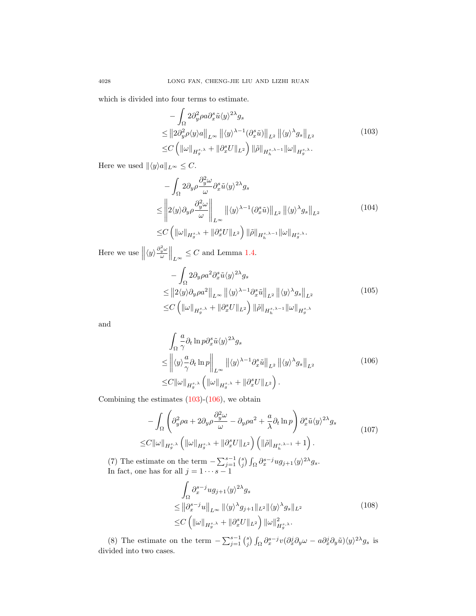<span id="page-19-0"></span>which is divided into four terms to estimate.

$$
-\int_{\Omega} 2\partial_y^2 \rho a \partial_x^s \tilde{u} \langle y \rangle^{2\lambda} g_s
$$
  
\n
$$
\leq ||2\partial_y^2 \rho \langle y \rangle a||_{L^{\infty}} ||\langle y \rangle^{\lambda-1} (\partial_x^s \tilde{u})||_{L^2} ||\langle y \rangle^{\lambda} g_s||_{L^2}
$$
  
\n
$$
\leq C \left( ||\omega||_{H_g^{s,\lambda}} + ||\partial_x^s U||_{L^2} \right) ||\tilde{\rho}||_{H_h^{s,\lambda-1}} ||\omega||_{H_g^{s,\lambda}}.
$$
\n(103)

Here we used  $\|\langle y\rangle a\|_{L^{\infty}} \leq C.$ 

$$
-\int_{\Omega} 2 \partial_y \rho \frac{\partial_y^2 \omega}{\omega} \partial_x^s \tilde{u} \langle y \rangle^{2\lambda} g_s
$$
  
\n
$$
\leq \left\| 2 \langle y \rangle \partial_y \rho \frac{\partial_y^2 \omega}{\omega} \right\|_{L^{\infty}} \left\| \langle y \rangle^{\lambda - 1} (\partial_x^s \tilde{u}) \right\|_{L^2} \left\| \langle y \rangle^{\lambda} g_s \right\|_{L^2}
$$
  
\n
$$
\leq C \left( \|\omega\|_{H_g^{s,\lambda}} + \|\partial_x^s U\|_{L^2} \right) \|\tilde{\rho}\|_{H_h^{s,\lambda - 1}} \|\omega\|_{H_g^{s,\lambda}}.
$$
\n(104)

Here we use  $\left\| \langle y \rangle \frac{\partial_y^2 \omega}{\omega} \right\|_{L^\infty} \leq C$  and Lemma [1.4.](#page-5-1)

$$
-\int_{\Omega} 2\partial_y \rho a^2 \partial_x^s \tilde{u} \langle y \rangle^{2\lambda} g_s
$$
  
\n
$$
\leq ||2\langle y \rangle \partial_y \rho a^2||_{L^{\infty}} ||\langle y \rangle^{\lambda-1} \partial_x^s \tilde{u}||_{L^2} ||\langle y \rangle^{\lambda} g_s||_{L^2}
$$
  
\n
$$
\leq C \left( ||\omega||_{H_g^{s,\lambda}} + ||\partial_x^s U||_{L^2} \right) ||\tilde{\rho}||_{H_h^{s,\lambda-1}} ||\omega||_{H_g^{s,\lambda}}
$$
\n(105)

<span id="page-19-1"></span>and

$$
\int_{\Omega} \frac{a}{\gamma} \partial_t \ln p \partial_x^s \tilde{u} \langle y \rangle^{2\lambda} g_s
$$
\n
$$
\leq \left\| \langle y \rangle \frac{a}{\gamma} \partial_t \ln p \right\|_{L^{\infty}} \left\| \langle y \rangle^{\lambda - 1} \partial_x^s \tilde{u} \right\|_{L^2} \left\| \langle y \rangle^{\lambda} g_s \right\|_{L^2}
$$
\n
$$
\leq C \|\omega\|_{H_g^{s,\lambda}} \left( \|\omega\|_{H_g^{s,\lambda}} + \|\partial_x^s U\|_{L^2} \right).
$$
\n(106)

Combining the estimates  $(103)-(106)$  $(103)-(106)$  $(103)-(106)$ , we obtain

$$
- \int_{\Omega} \left( \partial_y^2 \rho a + 2 \partial_y \rho \frac{\partial_y^2 \omega}{\omega} - \partial_y \rho a^2 + \frac{a}{\lambda} \partial_t \ln p \right) \partial_x^s \tilde{u} \langle y \rangle^{2\lambda} g_s
$$
  
\n
$$
\leq C \|\omega\|_{H_g^{s,\lambda}} \left( \|\omega\|_{H_g^{s,\lambda}} + \|\partial_x^s U\|_{L^2} \right) \left( \|\tilde{\rho}\|_{H_h^{s,\lambda-1}} + 1 \right).
$$
\n(107)

(7) The estimate on the term  $-\sum_{j=1}^{s-1} {s \choose j} \int_{\Omega} \partial_x^{s-j} u g_{j+1} \langle y \rangle^{2\lambda} g_s$ . In fact, one has for all  $j = 1 \cdots s - 1$ 

$$
\int_{\Omega} \partial_x^{s-j} u g_{j+1} \langle y \rangle^{2\lambda} g_s
$$
\n
$$
\leq \left\| \partial_x^{s-j} u \right\|_{L^\infty} \left\| \langle y \rangle^{\lambda} g_{j+1} \right\|_{L^2} \left\| \langle y \rangle^{\lambda} g_s \right\|_{L^2}
$$
\n
$$
\leq C \left( \left\| \omega \right\|_{H_g^{s,\lambda}} + \left\| \partial_x^s U \right\|_{L^2} \right) \left\| \omega \right\|_{H_g^{s,\lambda}}^2. \tag{108}
$$

(8) The estimate on the term  $-\sum_{j=1}^{s-1} {s \choose j} \int_{\Omega} \partial_x^{s-j} v (\partial_x^j \partial_y \omega - a \partial_x^j \partial_y \tilde{u}) \langle y \rangle^{2\lambda} g_s$  is divided into two cases.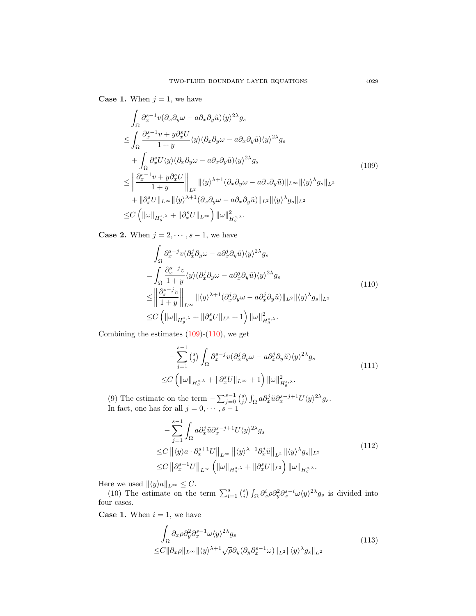**Case 1.** When  $j = 1$ , we have

<span id="page-20-0"></span>
$$
\int_{\Omega} \partial_x^{s-1} v (\partial_x \partial_y \omega - a \partial_x \partial_y \tilde{u}) \langle y \rangle^{2\lambda} g_s
$$
\n
$$
\leq \int_{\Omega} \frac{\partial_x^{s-1} v + y \partial_x^s U}{1 + y} \langle y \rangle (\partial_x \partial_y \omega - a \partial_x \partial_y \tilde{u}) \langle y \rangle^{2\lambda} g_s
$$
\n
$$
+ \int_{\Omega} \partial_x^s U \langle y \rangle (\partial_x \partial_y \omega - a \partial_x \partial_y \tilde{u}) \langle y \rangle^{2\lambda} g_s
$$
\n
$$
\leq \left\| \frac{\partial_x^{s-1} v + y \partial_x^s U}{1 + y} \right\|_{L^2} \| \langle y \rangle^{\lambda+1} (\partial_x \partial_y \omega - a \partial_x \partial_y \tilde{u}) \|_{L^\infty} \| \langle y \rangle^{\lambda} g_s \|_{L^2}
$$
\n
$$
+ \| \partial_x^s U \|_{L^\infty} \| \langle y \rangle^{\lambda+1} (\partial_x \partial_y \omega - a \partial_x \partial_y \tilde{u}) \|_{L^2} \| \langle y \rangle^{\lambda} g_s \|_{L^2}
$$
\n
$$
\leq C \left( \| \omega \|_{H^{s,\lambda}_g} + \| \partial_x^s U \|_{L^\infty} \right) \| \omega \|_{H^{s,\lambda}_g}^2.
$$
\n(109)

<span id="page-20-1"></span>**Case 2.** When  $j = 2, \dots, s-1$ , we have

$$
\int_{\Omega} \partial_x^{s-j} v (\partial_x^j \partial_y \omega - a \partial_x^j \partial_y \tilde{u}) \langle y \rangle^{2\lambda} g_s
$$
\n
$$
= \int_{\Omega} \frac{\partial_x^{s-j} v}{1+y} \langle y \rangle (\partial_x^j \partial_y \omega - a \partial_x^j \partial_y \tilde{u}) \langle y \rangle^{2\lambda} g_s
$$
\n
$$
\leq \left\| \frac{\partial_x^{s-j} v}{1+y} \right\|_{L^{\infty}} \| \langle y \rangle^{\lambda+1} (\partial_x^j \partial_y \omega - a \partial_x^j \partial_y \tilde{u}) \|_{L^2} \| \langle y \rangle^{\lambda} g_s \|_{L^2}
$$
\n
$$
\leq C \left( \| \omega \|_{H_g^{s,\lambda}} + \| \partial_x^s U \|_{L^2} + 1 \right) \| \omega \|_{H_g^{s,\lambda}}^2.
$$
\n
$$
(110)
$$

Combining the estimates  $(109)-(110)$  $(109)-(110)$  $(109)-(110)$ , we get

$$
-\sum_{j=1}^{s-1} \binom{s}{j} \int_{\Omega} \partial_x^{s-j} v(\partial_x^j \partial_y \omega - a \partial_x^j \partial_y \tilde{u}) \langle y \rangle^{2\lambda} g_s
$$
  

$$
\leq C \left( \|\omega\|_{H_g^{s,\lambda}} + \|\partial_x^s U\|_{L^\infty} + 1 \right) \|\omega\|_{H_g^{s,\lambda}}^2.
$$
 (111)

(9) The estimate on the term  $-\sum_{j=0}^{s-1} {s \choose j} \int_{\Omega} a \partial_x^j \tilde{u} \partial_x^{s-j+1} U \langle y \rangle^{2\lambda} g_s$ . In fact, one has for all  $j = 0, \dots, s - 1$ 

$$
- \sum_{j=1}^{s-1} \int_{\Omega} a \partial_x^j \tilde{u} \partial_x^{s-j+1} U \langle y \rangle^{2\lambda} g_s
$$
  
\n
$$
\leq C \left\| \langle y \rangle a \cdot \partial_x^{s+1} U \right\|_{L^\infty} \left\| \langle y \rangle^{\lambda-1} \partial_x^j \tilde{u} \right\|_{L^2} \left\| \langle y \rangle^{\lambda} g_s \right\|_{L^2}
$$
  
\n
$$
\leq C \left\| \partial_x^{s+1} U \right\|_{L^\infty} \left( \left\| \omega \right\|_{H_g^{s,\lambda}} + \left\| \partial_x^s U \right\|_{L^2} \right) \left\| \omega \right\|_{H_g^{s,\lambda}}.
$$
\n
$$
(112)
$$

Here we used  $\|\langle y\rangle a\|_{L^{\infty}} \leq C.$ 

(10) The estimate on the term  $\sum_{i=1}^{s} {s \choose i} \int_{\Omega} \partial_x^i \rho \partial_y^2 \partial_x^{s-i} \omega \langle y \rangle^{2\lambda} g_s$  is divided into four cases.

<span id="page-20-2"></span>**Case 1.** When  $i = 1$ , we have

$$
\int_{\Omega} \partial_x \rho \partial_y^2 \partial_x^{s-1} \omega \langle y \rangle^{2\lambda} g_s
$$
\n
$$
\leq C \|\partial_x \rho\|_{L^\infty} \|\langle y \rangle^{\lambda+1} \sqrt{\rho} \partial_y (\partial_y \partial_x^{s-1} \omega) \|_{L^2} \|\langle y \rangle^{\lambda} g_s \|_{L^2}
$$
\n
$$
(113)
$$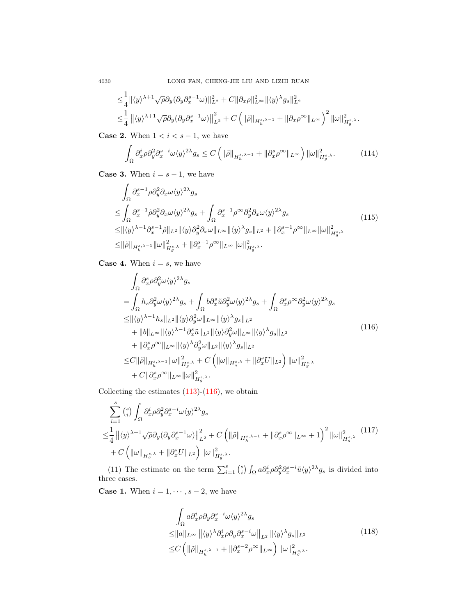4030 LONG FAN, CHENG-JIE LIU AND LIZHI RUAN

$$
\begin{aligned} &\leq \!\frac{1}{4} \| \langle y \rangle^{\lambda+1} \sqrt{\rho} \partial_y (\partial_y \partial_x^{s-1} \omega) \|_{L^2}^2 + C \| \partial_x \rho \|_{L^\infty}^2 \| \langle y \rangle^{\lambda} g_s \|_{L^2}^2 \\ &\leq & \!\frac{1}{4} \left\| \langle y \rangle^{\lambda+1} \sqrt{\rho} \partial_y (\partial_y \partial_x^{s-1} \omega) \right\|_{L^2}^2 + C \left( \| \tilde{\rho} \|_{H_h^{s,\lambda-1}} + \| \partial_x \rho^\infty \|_{L^\infty} \right)^2 \| \omega \|_{H_g^{s,\lambda}}^2. \end{aligned}
$$

**Case 2.** When  $1 < i < s - 1$ , we have

$$
\int_{\Omega} \partial_x^i \rho \partial_y^2 \partial_x^{s-i} \omega \langle y \rangle^{2\lambda} g_s \le C \left( \|\tilde{\rho}\|_{H_h^{s,\lambda-1}} + \|\partial_x^s \rho^\infty\|_{L^\infty} \right) \|\omega\|_{H_g^{s,\lambda}}^2. \tag{114}
$$

**Case 3.** When  $i = s - 1$ , we have

$$
\int_{\Omega} \partial_x^{s-1} \rho \partial_y^2 \partial_x \omega \langle y \rangle^{2\lambda} g_s
$$
\n
$$
\leq \int_{\Omega} \partial_x^{s-1} \tilde{\rho} \partial_y^2 \partial_x \omega \langle y \rangle^{2\lambda} g_s + \int_{\Omega} \partial_x^{s-1} \rho^\infty \partial_y^2 \partial_x \omega \langle y \rangle^{2\lambda} g_s
$$
\n
$$
\leq \|\langle y \rangle^{\lambda-1} \partial_x^{s-1} \tilde{\rho} \|_{L^2} \|\langle y \rangle \partial_y^2 \partial_x \omega \|_{L^\infty} \|\langle y \rangle^{\lambda} g_s \|_{L^2} + \|\partial_x^{s-1} \rho^\infty \|_{L^\infty} \|\omega\|_{H_g^{s,\lambda}}^2
$$
\n
$$
\leq \|\tilde{\rho}\|_{H_h^{s,\lambda-1}} \|\omega\|_{H_g^{s,\lambda}}^2 + \|\partial_x^{s-1} \rho^\infty\|_{L^\infty} \|\omega\|_{H_g^{s,\lambda}}^2.
$$
\n(115)

**Case 4.** When  $i = s$ , we have

 $\overline{a}$ 

<span id="page-21-0"></span>
$$
\int_{\Omega} \partial_x^s \rho \partial_y^2 \omega \langle y \rangle^{2\lambda} g_s
$$
\n
$$
= \int_{\Omega} h_s \partial_y^2 \omega \langle y \rangle^{2\lambda} g_s + \int_{\Omega} b \partial_x^s \tilde{u} \partial_y^2 \omega \langle y \rangle^{2\lambda} g_s + \int_{\Omega} \partial_x^s \rho^\infty \partial_y^2 \omega \langle y \rangle^{2\lambda} g_s
$$
\n
$$
\leq ||\langle y \rangle^{\lambda-1} h_s||_{L^2} ||\langle y \rangle \partial_y^2 \omega||_{L^\infty} ||\langle y \rangle^{\lambda} g_s||_{L^2}
$$
\n
$$
+ ||b||_{L^\infty} ||\langle y \rangle^{\lambda-1} \partial_x^s \tilde{u}||_{L^2} ||\langle y \rangle \partial_y^2 \omega||_{L^\infty} ||\langle y \rangle^{\lambda} g_s||_{L^2}
$$
\n
$$
+ ||\partial_x^s \rho^\infty||_{L^\infty} ||\langle y \rangle^{\lambda} \partial_y^2 \omega||_{L^2} ||\langle y \rangle^{\lambda} g_s||_{L^2}
$$
\n
$$
\leq C ||\tilde{\rho}||_{H_h^{s,\lambda-1}} ||\omega||_{H_g^{s,\lambda}}^2 + C \left( ||\omega||_{H_g^{s,\lambda}} + ||\partial_x^s U||_{L^2} \right) ||\omega||_{H_g^{s,\lambda}}^2
$$
\n
$$
+ C ||\partial_x^s \rho^\infty||_{L^\infty} ||\omega||_{H_g^{s,\lambda}}^2.
$$
\n(116)

Collecting the estimates  $(113)-(116)$  $(113)-(116)$  $(113)-(116)$ , we obtain

$$
\sum_{i=1}^{s} \binom{s}{i} \int_{\Omega} \partial_x^i \rho \partial_y^2 \partial_x^{s-i} \omega \langle y \rangle^{2\lambda} g_s
$$
\n
$$
\leq \frac{1}{4} \left\| \langle y \rangle^{\lambda+1} \sqrt{\rho} \partial_y (\partial_y \partial_x^{s-1} \omega) \right\|_{L^2}^2 + C \left( \|\tilde{\rho}\|_{H_h^{s,\lambda-1}} + \|\partial_x^s \rho^{\infty}\|_{L^{\infty}} + 1 \right)^2 \|\omega\|_{H_g^{s,\lambda}}^2 \tag{117}
$$
\n
$$
+ C \left( \|\omega\|_{H_g^{s,\lambda}} + \|\partial_x^s U\|_{L^2} \right) \|\omega\|_{H_g^{s,\lambda}}^2.
$$

(11) The estimate on the term  $\sum_{i=1}^{s} {s \choose i} \int_{\Omega} a \partial_x^i \rho \partial_y^2 \partial_x^{s-i} \tilde{u} \langle y \rangle^{2\lambda} g_s$  is divided into three cases.

<span id="page-21-1"></span>**Case 1.** When  $i = 1, \dots, s - 2$ , we have

$$
\int_{\Omega} a \partial_x^i \rho \partial_y \partial_x^{s-i} \omega \langle y \rangle^{2\lambda} g_s
$$
\n
$$
\leq ||a||_{L^{\infty}} ||\langle y \rangle^{\lambda} \partial_x^i \rho \partial_y \partial_x^{s-i} \omega||_{L^2} ||\langle y \rangle^{\lambda} g_s||_{L^2}
$$
\n
$$
\leq C \left( ||\tilde{\rho}||_{H_h^{s,\lambda-1}} + ||\partial_x^{s-2} \rho^{\infty}||_{L^{\infty}} \right) ||\omega||_{H_h^{s,\lambda}}^2.
$$
\n(118)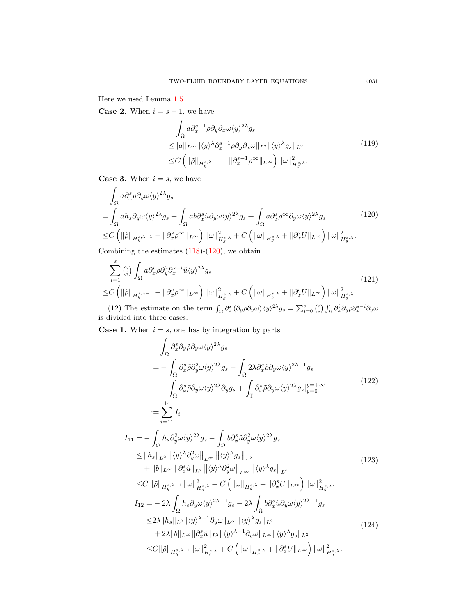Here we used Lemma [1.5.](#page-7-2)

**Case 2.** When  $i = s - 1$ , we have

$$
\int_{\Omega} a \partial_x^{s-1} \rho \partial_y \partial_x \omega \langle y \rangle^{2\lambda} g_s
$$
\n
$$
\leq ||a||_{L^{\infty}} ||\langle y \rangle^{\lambda} \partial_x^{s-1} \rho \partial_y \partial_x \omega ||_{L^2} ||\langle y \rangle^{\lambda} g_s ||_{L^2}
$$
\n
$$
\leq C \left( ||\tilde{\rho}||_{H_h^{s,\lambda-1}} + ||\partial_x^{s-1} \rho^{\infty}||_{L^{\infty}} \right) ||\omega||_{H_g^{s,\lambda}}^2.
$$
\n(119)

**Case 3.** When  $i = s$ , we have

<span id="page-22-0"></span>
$$
\int_{\Omega} a \partial_x^s \rho \partial_y \omega \langle y \rangle^{2\lambda} g_s
$$
\n
$$
= \int_{\Omega} a h_s \partial_y \omega \langle y \rangle^{2\lambda} g_s + \int_{\Omega} a b \partial_x^s \tilde{u} \partial_y \omega \langle y \rangle^{2\lambda} g_s + \int_{\Omega} a \partial_x^s \rho^\infty \partial_y \omega \langle y \rangle^{2\lambda} g_s \qquad (120)
$$
\n
$$
\leq C \left( \| \tilde{\rho} \|_{H_h^{s,\lambda-1}} + \| \partial_x^s \rho^\infty \|_{L^\infty} \right) \| \omega \|_{H_h^{s,\lambda}}^2 + C \left( \| \omega \|_{H_h^{s,\lambda}} + \| \partial_x^s U \|_{L^\infty} \right) \| \omega \|_{H_h^{s,\lambda}}^2.
$$

Combining the estimates  $(118)-(120)$  $(118)-(120)$  $(118)-(120)$ , we obtain

$$
\sum_{i=1}^{s} {s \choose i} \int_{\Omega} a \partial_x^i \rho \partial_y^2 \partial_x^{s-i} \tilde{u} \langle y \rangle^{2\lambda} g_s
$$
\n
$$
\leq C \left( \| \tilde{\rho} \|_{H_h^{s,\lambda-1}} + \| \partial_x^s \rho^\infty \|_{L^\infty} \right) \| \omega \|_{H_g^{s,\lambda}}^2 + C \left( \| \omega \|_{H_g^{s,\lambda}} + \| \partial_x^s U \|_{L^\infty} \right) \| \omega \|_{H_g^{s,\lambda}}^2.
$$
\n(12) The estimate on the term  $\int_{\Omega} \partial_s^s (\partial_s \rho \partial_s \psi) \langle \psi \rangle^{2\lambda} g_s = \sum_{s} {s \choose s} \int_{\Omega} \partial_s^i \partial_s \rho \partial_s^{s-i} \partial_s \psi_s^{(s-i)} d\mathcal{H}_g$ 

(12) The estimate on the term  $\int_{\Omega} \partial_x^s (\partial_y \rho \partial_y \omega) \langle y \rangle^{2\lambda} g_s = \sum_{i=0}^s \binom{s}{i} \int_{\Omega} \partial_x^i \partial_y \rho \partial_x^{s-i} \partial_y \omega$ is divided into three cases.

**Case 1.** When  $i = s$ , one has by integration by parts

$$
\int_{\Omega} \partial_{x}^{s} \partial_{y} \tilde{\rho} \partial_{y} \omega \langle y \rangle^{2\lambda} g_{s} \n= - \int_{\Omega} \partial_{x}^{s} \tilde{\rho} \partial_{y}^{2} \omega \langle y \rangle^{2\lambda} g_{s} - \int_{\Omega} 2\lambda \partial_{x}^{s} \tilde{\rho} \partial_{y} \omega \langle y \rangle^{2\lambda - 1} g_{s} \n- \int_{\Omega} \partial_{x}^{s} \tilde{\rho} \partial_{y} \omega \langle y \rangle^{2\lambda} \partial_{y} g_{s} + \int_{\mathbb{T}} \partial_{x}^{s} \tilde{\rho} \partial_{y} \omega \langle y \rangle^{2\lambda} g_{s} |_{y=0}^{y=+\infty}
$$
\n(122)  
\n
$$
= \sum_{i=11}^{14} I_{i}.
$$
\n
$$
I_{11} = - \int_{\Omega} h_{s} \partial_{y}^{2} \omega \langle y \rangle^{2\lambda} g_{s} - \int_{\Omega} b \partial_{x}^{s} \tilde{u} \partial_{y}^{2} \omega \langle y \rangle^{2\lambda} g_{s}
$$
\n
$$
\leq ||h_{s}||_{L^{2}} ||\langle y \rangle^{\lambda} \partial_{y}^{2} \omega||_{L^{\infty}} ||\langle y \rangle^{\lambda} g_{s}||_{L^{2}}
$$
\n
$$
\leq C ||\tilde{\rho}||_{H_{h}^{s, \lambda - 1}} ||\omega||_{H_{g}^{s, \lambda}}^{2} + C \left( ||\omega||_{H_{g}^{s, \lambda}} + ||\partial_{x}^{s} U||_{L^{\infty}} \right) ||\omega||_{H_{g}^{s, \lambda}}^{2}.
$$
\n
$$
I_{12} = - 2\lambda \int_{\Omega} h_{s} \partial_{y} \omega \langle y \rangle^{2\lambda - 1} g_{s} - 2\lambda \int_{\Omega} b \partial_{x}^{s} \tilde{u} \partial_{y} \omega \langle y \rangle^{2\lambda - 1} g_{s}
$$
\n
$$
\leq 2\lambda ||h_{s}||_{L^{2}} ||\langle y \rangle^{\lambda - 1} \partial_{y} \omega||_{L^{\infty}} ||\langle y \rangle^{\lambda} g_{s}||_{L^{2}}
$$
\n
$$
+ 2\lambda ||
$$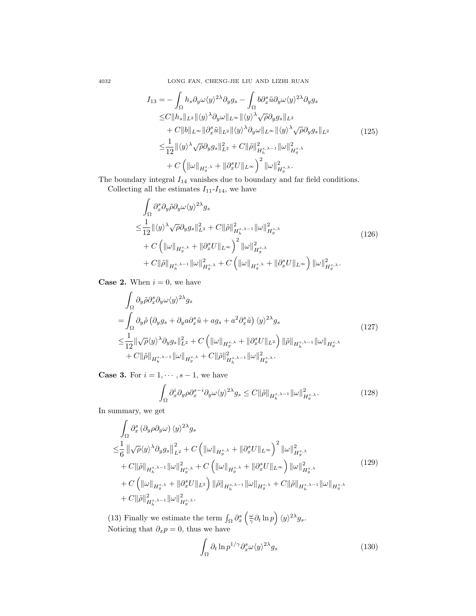4032 LONG FAN, CHENG-JIE LIU AND LIZHI RUAN

$$
I_{13} = -\int_{\Omega} h_s \partial_y \omega \langle y \rangle^{2\lambda} \partial_y g_s - \int_{\Omega} b \partial_x^s \tilde{u} \partial_y \omega \langle y \rangle^{2\lambda} \partial_y g_s
$$
  
\n
$$
\leq C \|h_s\|_{L^2} \|\langle y \rangle^{\lambda} \partial_y \omega\|_{L^{\infty}} \|\langle y \rangle^{\lambda} \sqrt{\rho} \partial_y g_s\|_{L^2}
$$
  
\n
$$
+ C \|b\|_{L^{\infty}} \|\partial_x^s \tilde{u}\|_{L^2} \|\langle y \rangle^{\lambda} \partial_y \omega\|_{L^{\infty}} \|\langle y \rangle^{\lambda} \sqrt{\rho} \partial_y g_s\|_{L^2}
$$
  
\n
$$
\leq \frac{1}{12} \|\langle y \rangle^{\lambda} \sqrt{\rho} \partial_y g_s\|_{L^2}^2 + C \|\tilde{\rho}\|_{H_h^{s,\lambda-1}}^2 \|\omega\|_{H_g^{s,\lambda}}^2
$$
  
\n
$$
+ C \left( \|\omega\|_{H_g^{s,\lambda}} + \|\partial_x^s U\|_{L^{\infty}} \right)^2 \|\omega\|_{H_g^{s,\lambda}}^2.
$$
 (125)

The boundary integral  $\mathcal{I}_{14}$  vanishes due to boundary and far field conditions. Collecting all the estimates  $I_{11}$ - $I_{14}$ , we have

$$
\int_{\Omega} \partial_x^s \partial_y \tilde{\rho} \partial_y \omega \langle y \rangle^{2\lambda} g_s
$$
\n
$$
\leq \frac{1}{12} \| \langle y \rangle^{\lambda} \sqrt{\rho} \partial_y g_s \|_{L^2}^2 + C \| \tilde{\rho} \|_{H_h^{s, \lambda-1}}^2 \| \omega \|_{H_g^{s, \lambda}}^2
$$
\n
$$
+ C \left( \| \omega \|_{H_g^{s, \lambda}} + \| \partial_x^s U \|_{L^\infty} \right)^2 \| \omega \|_{H_g^{s, \lambda}}^2
$$
\n
$$
+ C \| \tilde{\rho} \|_{H_h^{s, \lambda-1}} \| \omega \|_{H_g^{s, \lambda}}^2 + C \left( \| \omega \|_{H_g^{s, \lambda}} + \| \partial_x^s U \|_{L^\infty} \right) \| \omega \|_{H_g^{s, \lambda}}^2.
$$
\n
$$
(126)
$$

**Case 2.** When  $i = 0$ , we have

$$
\int_{\Omega} \partial_y \tilde{\rho} \partial_x^s \partial_y \omega \langle y \rangle^{2\lambda} g_s
$$
\n
$$
= \int_{\Omega} \partial_y \tilde{\rho} \left( \partial_y g_s + \partial_y a \partial_x^s \tilde{u} + a g_s + a^2 \partial_x^s \tilde{u} \right) \langle y \rangle^{2\lambda} g_s
$$
\n
$$
\leq \frac{1}{12} \| \sqrt{\rho} \langle y \rangle^{\lambda} \partial_y g_s \|_{L^2}^2 + C \left( \| \omega \|_{H_g^{s,\lambda}} + \| \partial_x^s U \|_{L^2} \right) \| \tilde{\rho} \|_{H_h^{s,\lambda-1}} \| \omega \|_{H_g^{s,\lambda}} + C \| \tilde{\rho} \|_{H_h^{s,\lambda-1}} \| \omega \|_{H_g^{s,\lambda}} + C \| \tilde{\rho} \|_{H_h^{s,\lambda-1}}^2 \| \omega \|_{H_g^{s,\lambda}}^2.
$$
\n
$$
(127)
$$

**Case 3.** For  $i = 1, \dots, s-1$ , we have

$$
\int_{\Omega} \partial_x^i \partial_y \rho \partial_x^{s-i} \partial_y \omega \langle y \rangle^{2\lambda} g_s \leq C \|\tilde{\rho}\|_{H_h^{s,\lambda-1}} \|\omega\|_{H_g^{s,\lambda}}^2. \tag{128}
$$

In summary, we get

$$
\int_{\Omega} \partial_x^s \left(\partial_y \rho \partial_y \omega\right) \langle y \rangle^{2\lambda} g_s
$$
\n
$$
\leq \frac{1}{6} \left\| \sqrt{\rho} \langle y \rangle^{\lambda} \partial_y g_s \right\|_{L^2}^2 + C \left( \|\omega\|_{H_g^{s,\lambda}} + \|\partial_x^s U\|_{L^\infty} \right)^2 \|\omega\|_{H_g^{s,\lambda}}^2
$$
\n
$$
+ C \|\tilde{\rho}\|_{H_h^{s,\lambda-1}} \|\omega\|_{H_g^{s,\lambda}}^2 + C \left( \|\omega\|_{H_g^{s,\lambda}} + \|\partial_x^s U\|_{L^\infty} \right) \|\omega\|_{H_g^{s,\lambda}}^2
$$
\n
$$
+ C \left( \|\omega\|_{H_g^{s,\lambda}} + \|\partial_x^s U\|_{L^2} \right) \|\tilde{\rho}\|_{H_h^{s,\lambda-1}} \|\omega\|_{H_g^{s,\lambda}} + C \|\tilde{\rho}\|_{H_h^{s,\lambda-1}} \|\omega\|_{H_g^{s,\lambda}} \right)
$$
\n
$$
+ C \|\tilde{\rho}\|_{H_h^{s,\lambda-1}}^2 \|\omega\|_{H_g^{s,\lambda}}^2.
$$
\n(129)

(13) Finally we estimate the term  $\int_{\Omega} \partial_x^s \left( \frac{\omega}{\gamma} \partial_t \ln p \right) \langle y \rangle^{2\lambda} g_s$ . Noticing that  $\partial_x p = 0$ , thus we have

$$
\int_{\Omega} \partial_t \ln p^{1/\gamma} \partial_x^s \omega \langle y \rangle^{2\lambda} g_s \tag{130}
$$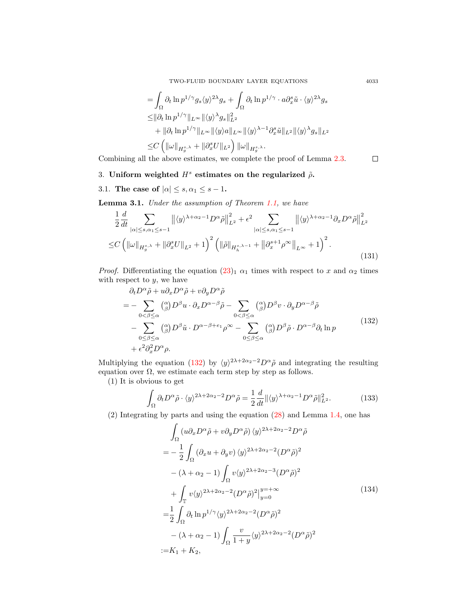TWO-FLUID BOUNDARY LAYER EQUATIONS 4033

$$
\begin{split} &= \int_{\Omega} \partial_t \ln p^{1/\gamma} g_s \langle y \rangle^{2\lambda} g_s + \int_{\Omega} \partial_t \ln p^{1/\gamma} \cdot a \partial_x^s \tilde{u} \cdot \langle y \rangle^{2\lambda} g_s \\ &\leq & \|\partial_t \ln p^{1/\gamma} \|_{L^\infty} \|\langle y \rangle^{\lambda} g_s\|_{L^2}^2 \\ &+ \|\partial_t \ln p^{1/\gamma} \|_{L^\infty} \|\langle y \rangle a \|_{L^\infty} \|\langle y \rangle^{\lambda-1} \partial_x^s \tilde{u} \|_{L^2} \|\langle y \rangle^{\lambda} g_s \|_{L^2} \\ &\leq & C \left( \|\omega\|_{H_g^{s,\lambda}} + \|\partial_x^s U\|_{L^2} \right) \|\omega\|_{H_g^{s,\lambda}} . \end{split}
$$

Combining all the above estimates, we complete the proof of Lemma [2.3.](#page-16-3)

## <span id="page-24-0"></span>3. Uniform weighted  $H^s$  estimates on the regularized  $\tilde{\rho}$ .

<span id="page-24-1"></span>3.1. The case of  $|\alpha| \leq s, \alpha_1 \leq s - 1$ .

<span id="page-24-6"></span>Lemma 3.1. Under the assumption of Theorem [1.1,](#page-3-0) we have

<span id="page-24-5"></span>
$$
\frac{1}{2}\frac{d}{dt}\sum_{|\alpha|\leq s,\alpha_1\leq s-1} \left\| \langle y \rangle^{\lambda+\alpha_2-1} D^{\alpha}\tilde{\rho} \right\|_{L^2}^2 + \epsilon^2 \sum_{|\alpha|\leq s,\alpha_1\leq s-1} \left\| \langle y \rangle^{\lambda+\alpha_2-1} \partial_x D^{\alpha}\tilde{\rho} \right\|_{L^2}^2
$$
  
 
$$
\leq C \left( \left\| \omega \right\|_{H_g^{s,\lambda}} + \left\| \partial_x^s U \right\|_{L^2} + 1 \right)^2 \left( \left\| \tilde{\rho} \right\|_{H_h^{s,\lambda-1}} + \left\| \partial_x^{s+1}\rho^{\infty} \right\|_{L^{\infty}} + 1 \right)^2.
$$
 (131)

*Proof.* Differentiating the equation  $(23)_1 \alpha_1$  $(23)_1 \alpha_1$  times with respect to x and  $\alpha_2$  times with respect to  $y$ , we have

<span id="page-24-2"></span>
$$
\partial_t D^{\alpha} \tilde{\rho} + u \partial_x D^{\alpha} \tilde{\rho} + v \partial_y D^{\alpha} \tilde{\rho}
$$
\n
$$
= - \sum_{0 < \beta \leq \alpha} \binom{\alpha}{\beta} D^{\beta} u \cdot \partial_x D^{\alpha - \beta} \tilde{\rho} - \sum_{0 < \beta \leq \alpha} \binom{\alpha}{\beta} D^{\beta} v \cdot \partial_y D^{\alpha - \beta} \tilde{\rho}
$$
\n
$$
- \sum_{0 \leq \beta \leq \alpha} \binom{\alpha}{\beta} D^{\beta} \tilde{u} \cdot D^{\alpha - \beta + \epsilon_1} \rho^{\infty} - \sum_{0 \leq \beta \leq \alpha} \binom{\alpha}{\beta} D^{\beta} \tilde{\rho} \cdot D^{\alpha - \beta} \partial_t \ln p
$$
\n
$$
+ \epsilon^2 \partial_x^2 D^{\alpha} \rho. \tag{132}
$$

Multiplying the equation [\(132\)](#page-24-2) by  $\langle y \rangle^{2\lambda+2\alpha_2-2}D^{\alpha}\tilde{\rho}$  and integrating the resulting equation over  $\Omega$ , we estimate each term step by step as follows.

(1) It is obvious to get

<span id="page-24-4"></span>
$$
\int_{\Omega} \partial_t D^{\alpha} \tilde{\rho} \cdot \langle y \rangle^{2\lambda + 2\alpha_2 - 2} D^{\alpha} \tilde{\rho} = \frac{1}{2} \frac{d}{dt} ||\langle y \rangle^{\lambda + \alpha_2 - 1} D^{\alpha} \tilde{\rho}||_{L^2}^2.
$$
 (133)

<span id="page-24-3"></span>(2) Integrating by parts and using the equation [\(28\)](#page-5-2) and Lemma [1.4,](#page-5-1) one has

$$
\int_{\Omega} (u \partial_x D^{\alpha} \tilde{\rho} + v \partial_y D^{\alpha} \tilde{\rho}) \langle y \rangle^{2\lambda + 2\alpha_2 - 2} D^{\alpha} \tilde{\rho}
$$
\n
$$
= -\frac{1}{2} \int_{\Omega} (\partial_x u + \partial_y v) \langle y \rangle^{2\lambda + 2\alpha_2 - 2} (D^{\alpha} \tilde{\rho})^2
$$
\n
$$
- (\lambda + \alpha_2 - 1) \int_{\Omega} v \langle y \rangle^{2\lambda + 2\alpha_2 - 3} (D^{\alpha} \tilde{\rho})^2
$$
\n
$$
+ \int_{\mathbb{T}} v \langle y \rangle^{2\lambda + 2\alpha_2 - 2} (D^{\alpha} \tilde{\rho})^2 \Big|_{y=0}^{y=+\infty}
$$
\n
$$
= \frac{1}{2} \int_{\Omega} \partial_t \ln p^{1/\gamma} \langle y \rangle^{2\lambda + 2\alpha_2 - 2} (D^{\alpha} \tilde{\rho})^2
$$
\n
$$
- (\lambda + \alpha_2 - 1) \int_{\Omega} \frac{v}{1+y} \langle y \rangle^{2\lambda + 2\alpha_2 - 2} (D^{\alpha} \tilde{\rho})^2
$$
\n
$$
:= K_1 + K_2,
$$
\n(134)

 $\Box$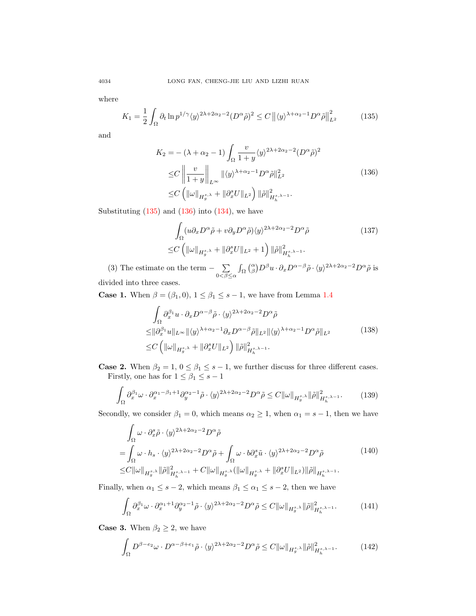where

<span id="page-25-0"></span>
$$
K_1 = \frac{1}{2} \int_{\Omega} \partial_t \ln p^{1/\gamma} \langle y \rangle^{2\lambda + 2\alpha_2 - 2} (D^\alpha \tilde{\rho})^2 \le C \left\| \langle y \rangle^{\lambda + \alpha_2 - 1} D^\alpha \tilde{\rho} \right\|_{L^2}^2 \tag{135}
$$

<span id="page-25-1"></span>and

$$
K_2 = -(\lambda + \alpha_2 - 1) \int_{\Omega} \frac{v}{1 + y} \langle y \rangle^{2\lambda + 2\alpha_2 - 2} (D^{\alpha} \tilde{\rho})^2
$$
  
\n
$$
\leq C \left\| \frac{v}{1 + y} \right\|_{L^{\infty}} \| \langle y \rangle^{\lambda + \alpha_2 - 1} D^{\alpha} \tilde{\rho} \|_{L^2}^2
$$
  
\n
$$
\leq C \left( \| \omega \|_{H_g^{s,\lambda}} + \| \partial_x^s U \|_{L^2} \right) \| \tilde{\rho} \|_{H_h^{s,\lambda - 1}}^2.
$$
\n(136)

Substituting  $(135)$  and  $(136)$  into  $(134)$ , we have

<span id="page-25-4"></span>
$$
\int_{\Omega} (u \partial_x D^{\alpha} \tilde{\rho} + v \partial_y D^{\alpha} \tilde{\rho}) \langle y \rangle^{2\lambda + 2\alpha_2 - 2} D^{\alpha} \tilde{\rho}
$$
\n
$$
\leq C \left( \| \omega \|_{H_g^{s,\lambda}} + \| \partial_x^s U \|_{L^2} + 1 \right) \| \tilde{\rho} \|_{H_h^{s,\lambda - 1}}^2.
$$
\n
$$
(137)
$$

(3) The estimate on the term  $-\sum$  $0<\beta\leq\alpha$  $\int_{\Omega} \binom{\alpha}{\beta} D^{\beta} u \cdot \partial_x D^{\alpha-\beta} \tilde{\rho} \cdot \langle y \rangle^{2\lambda+2\alpha_2-2} D^{\alpha} \tilde{\rho}$  is divided into three cases.

<span id="page-25-2"></span>**Case 1.** When  $\beta = (\beta_1, 0), 1 \leq \beta_1 \leq s - 1$ , we have from Lemma [1.4](#page-5-1)

$$
\int_{\Omega} \partial_x^{\beta_1} u \cdot \partial_x D^{\alpha-\beta} \tilde{\rho} \cdot \langle y \rangle^{2\lambda+2\alpha_2-2} D^{\alpha} \tilde{\rho}
$$
\n
$$
\leq \|\partial_x^{\beta_1} u\|_{L^{\infty}} \|\langle y \rangle^{\lambda+\alpha_2-1} \partial_x D^{\alpha-\beta} \tilde{\rho}\|_{L^2} \|\langle y \rangle^{\lambda+\alpha_2-1} D^{\alpha} \tilde{\rho}\|_{L^2}
$$
\n
$$
\leq C \left( \|\omega\|_{H_g^{s,\lambda}} + \|\partial_x^s U\|_{L^2} \right) \|\tilde{\rho}\|_{H_h^{s,\lambda-1}}^2.
$$
\n(138)

**Case 2.** When  $\beta_2 = 1, 0 \le \beta_1 \le s - 1$ , we further discuss for three different cases. Firstly, one has for  $1 \leq \beta_1 \leq s - 1$ 

$$
\int_{\Omega} \partial_x^{\beta_1} \omega \cdot \partial_x^{\alpha_1 - \beta_1 + 1} \partial_y^{\alpha_2 - 1} \tilde{\rho} \cdot \langle y \rangle^{2\lambda + 2\alpha_2 - 2} D^{\alpha} \tilde{\rho} \le C \| \omega \|_{H^{s, \lambda}_{g}} \| \tilde{\rho} \|_{H^{s, \lambda - 1}_{h}}^2. \tag{139}
$$

Secondly, we consider  $\beta_1 = 0$ , which means  $\alpha_2 \ge 1$ , when  $\alpha_1 = s - 1$ , then we have

$$
\int_{\Omega} \omega \cdot \partial_x^s \tilde{\rho} \cdot \langle y \rangle^{2\lambda + 2\alpha_2 - 2} D^{\alpha} \tilde{\rho} \n= \int_{\Omega} \omega \cdot h_s \cdot \langle y \rangle^{2\lambda + 2\alpha_2 - 2} D^{\alpha} \tilde{\rho} + \int_{\Omega} \omega \cdot b \partial_x^s \tilde{u} \cdot \langle y \rangle^{2\lambda + 2\alpha_2 - 2} D^{\alpha} \tilde{\rho} \n\leq C \| \omega \|_{H_g^{s,\lambda}} \| \tilde{\rho} \|_{H_h^{s,\lambda - 1}}^2 + C \| \omega \|_{H_g^{s,\lambda}} ( \| \omega \|_{H_g^{s,\lambda}} + \| \partial_x^s U \|_{L^2}) \| \tilde{\rho} \|_{H_h^{s,\lambda - 1}}.
$$
\n(140)

Finally, when  $\alpha_1 \leq s - 2$ , which means  $\beta_1 \leq \alpha_1 \leq s - 2$ , then we have

$$
\int_{\Omega} \partial_x^{\beta_1} \omega \cdot \partial_x^{\alpha_1+1} \partial_y^{\alpha_2-1} \tilde{\rho} \cdot \langle y \rangle^{2\lambda+2\alpha_2-2} D^{\alpha} \tilde{\rho} \le C \| \omega \|_{H_g^{s,\lambda}} \| \tilde{\rho} \|_{H_h^{s,\lambda-1}}^2. \tag{141}
$$

<span id="page-25-3"></span>**Case 3.** When  $\beta_2 \geq 2$ , we have

$$
\int_{\Omega} D^{\beta - e_2} \omega \cdot D^{\alpha - \beta + e_1} \tilde{\rho} \cdot \langle y \rangle^{2\lambda + 2\alpha_2 - 2} D^{\alpha} \tilde{\rho} \le C \| \omega \|_{H^{s, \lambda}_g} \| \tilde{\rho} \|_{H^{s, \lambda - 1}_h}^2. \tag{142}
$$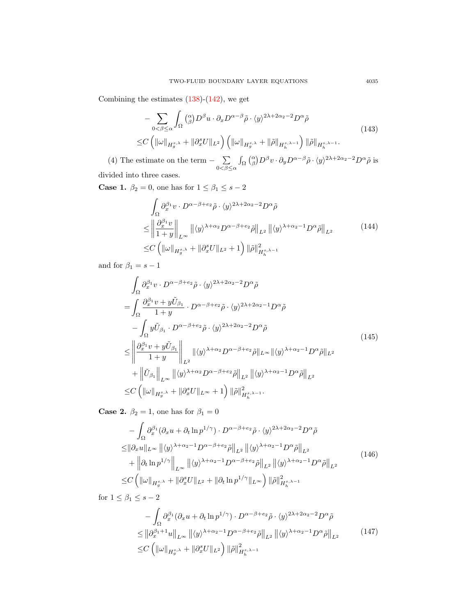Combining the estimates  $(138)-(142)$  $(138)-(142)$  $(138)-(142)$ , we get

$$
- \sum_{0 < \beta \le \alpha} \int_{\Omega} \binom{\alpha}{\beta} D^{\beta} u \cdot \partial_x D^{\alpha - \beta} \tilde{\rho} \cdot \langle y \rangle^{2\lambda + 2\alpha_2 - 2} D^{\alpha} \tilde{\rho}
$$
  

$$
\le C \left( \|\omega\|_{H_g^{s,\lambda}} + \|\partial_x^s U\|_{L^2} \right) \left( \|\omega\|_{H_g^{s,\lambda}} + \|\tilde{\rho}\|_{H_h^{s,\lambda - 1}} \right) \|\tilde{\rho}\|_{H_h^{s,\lambda - 1}}.
$$
 (143)

(4) The estimate on the term  $-\sum$  $0<\beta\leq\alpha$  $\int_{\Omega} \binom{\alpha}{\beta} D^{\beta} v \cdot \partial_{y} D^{\alpha-\beta} \tilde{\rho} \cdot \langle y \rangle^{2\lambda+2\alpha_{2}-2} D^{\alpha} \tilde{\rho}$  is divided into three cases.

<span id="page-26-1"></span>**Case 1.**  $\beta_2 = 0$ , one has for  $1 \leq \beta_1 \leq s - 2$ 

$$
\int_{\Omega} \partial_x^{\beta_1} v \cdot D^{\alpha-\beta+e_2} \tilde{\rho} \cdot \langle y \rangle^{2\lambda+2\alpha_2-2} D^{\alpha} \tilde{\rho}
$$
\n
$$
\leq \left\| \frac{\partial_x^{\beta_1} v}{1+y} \right\|_{L^{\infty}} \left\| \langle y \rangle^{\lambda+\alpha_2} D^{\alpha-\beta+e_2} \tilde{\rho} \right\|_{L^2} \left\| \langle y \rangle^{\lambda+\alpha_2-1} D^{\alpha} \tilde{\rho} \right\|_{L^2}
$$
\n
$$
\leq C \left( \left\| \omega \right\|_{H_g^{s,\lambda}} + \left\| \partial_x^s U \right\|_{L^2} + 1 \right) \left\| \tilde{\rho} \right\|_{H_h^{s,\lambda-1}}^2
$$
\n(144)

and for  $\beta_1=s-1$ 

<span id="page-26-2"></span>
$$
\int_{\Omega} \partial_x^{\beta_1} v \cdot D^{\alpha-\beta+e_2} \tilde{\rho} \cdot \langle y \rangle^{2\lambda+2\alpha_2-2} D^{\alpha} \tilde{\rho}
$$
\n
$$
= \int_{\Omega} \frac{\partial_x^{\beta_1} v + y \tilde{U}_{\beta_1}}{1+y} \cdot D^{\alpha-\beta+e_2} \tilde{\rho} \cdot \langle y \rangle^{2\lambda+2\alpha_2-1} D^{\alpha} \tilde{\rho}
$$
\n
$$
- \int_{\Omega} y \tilde{U}_{\beta_1} \cdot D^{\alpha-\beta+e_2} \tilde{\rho} \cdot \langle y \rangle^{2\lambda+2\alpha_2-2} D^{\alpha} \tilde{\rho}
$$
\n
$$
\leq \left\| \frac{\partial_x^{\beta_1} v + y \tilde{U}_{\beta_1}}{1+y} \right\|_{L^2} \| \langle y \rangle^{\lambda+\alpha_2} D^{\alpha-\beta+e_2} \tilde{\rho} \|_{L^{\infty}} \| \langle y \rangle^{\lambda+\alpha_2-1} D^{\alpha} \tilde{\rho} \|_{L^2}
$$
\n
$$
+ \left\| \tilde{U}_{\beta_1} \right\|_{L^{\infty}} \| \langle y \rangle^{\lambda+\alpha_2} D^{\alpha-\beta+e_2} \tilde{\rho} \|_{L^2} \| \langle y \rangle^{\lambda+\alpha_2-1} D^{\alpha} \tilde{\rho} \|_{L^2}
$$
\n
$$
\leq C \left( \| \omega \|_{H_g^{s,\lambda}} + \| \partial_x^s U \|_{L^{\infty}} + 1 \right) \| \tilde{\rho} \|_{H_h^{s,\lambda-1}}^2.
$$
\n(145)

**Case 2.**  $\beta_2 = 1$ , one has for  $\beta_1 = 0$ 

<span id="page-26-0"></span>
$$
-\int_{\Omega} \partial_{x}^{\beta_{1}} (\partial_{x} u + \partial_{t} \ln p^{1/\gamma}) \cdot D^{\alpha-\beta+e_{2}} \tilde{\rho} \cdot \langle y \rangle^{2\lambda+2\alpha_{2}-2} D^{\alpha} \tilde{\rho}
$$
  
\n
$$
\leq ||\partial_{x} u||_{L^{\infty}} ||\langle y \rangle^{\lambda+\alpha_{2}-1} D^{\alpha-\beta+e_{2}} \tilde{\rho}||_{L^{2}} ||\langle y \rangle^{\lambda+\alpha_{2}-1} D^{\alpha} \tilde{\rho}||_{L^{2}}\n+ \left\| \partial_{t} \ln p^{1/\gamma} \right\|_{L^{\infty}} ||\langle y \rangle^{\lambda+\alpha_{2}-1} D^{\alpha-\beta+e_{2}} \tilde{\rho}||_{L^{2}} ||\langle y \rangle^{\lambda+\alpha_{2}-1} D^{\alpha} \tilde{\rho}||_{L^{2}}\n\leq C \left( \|\omega\|_{H_{g}^{s}} \cdot + \|\partial_{x}^{s} U\|_{L^{2}} + \|\partial_{t} \ln p^{1/\gamma}\|_{L^{\infty}} \right) \|\tilde{\rho}\|_{H_{h}^{s,\lambda-1}}^{2} \tag{146}
$$

for  $1 \leq \beta_1 \leq s-2$ 

$$
- \int_{\Omega} \partial_x^{\beta_1} (\partial_x u + \partial_t \ln p^{1/\gamma}) \cdot D^{\alpha-\beta+e_2} \tilde{\rho} \cdot \langle y \rangle^{2\lambda+2\alpha_2-2} D^{\alpha} \tilde{\rho}
$$
  
\n
$$
\leq \left\| \partial_x^{\beta_1+1} u \right\|_{L^{\infty}} \left\| \langle y \rangle^{\lambda+\alpha_2-1} D^{\alpha-\beta+e_2} \tilde{\rho} \right\|_{L^2} \left\| \langle y \rangle^{\lambda+\alpha_2-1} D^{\alpha} \tilde{\rho} \right\|_{L^2}
$$
  
\n
$$
\leq C \left( \left\| \omega \right\|_{H_g^{s,\lambda}} + \left\| \partial_x^s U \right\|_{L^2} \right) \left\| \tilde{\rho} \right\|_{H_h^{s,\lambda-1}}^2
$$
\n(147)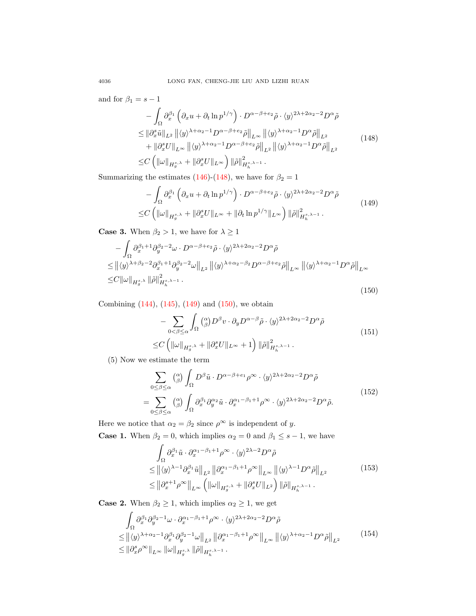<span id="page-27-0"></span>and for  $\beta_1=s-1$ 

$$
-\int_{\Omega} \partial_x^{\beta_1} \left( \partial_x u + \partial_t \ln p^{1/\gamma} \right) \cdot D^{\alpha - \beta + e_2} \tilde{\rho} \cdot \langle y \rangle^{2\lambda + 2\alpha_2 - 2} D^{\alpha} \tilde{\rho}
$$
  
\n
$$
\leq \|\partial_x^s \tilde{u}\|_{L^2} \left\| \langle y \rangle^{\lambda + \alpha_2 - 1} D^{\alpha - \beta + e_2} \tilde{\rho} \right\|_{L^{\infty}} \left\| \langle y \rangle^{\lambda + \alpha_2 - 1} D^{\alpha} \tilde{\rho} \right\|_{L^2}
$$
  
\n
$$
+ \|\partial_x^s U\|_{L^{\infty}} \left\| \langle y \rangle^{\lambda + \alpha_2 - 1} D^{\alpha - \beta + e_2} \tilde{\rho} \right\|_{L^2} \left\| \langle y \rangle^{\lambda + \alpha_2 - 1} D^{\alpha} \tilde{\rho} \right\|_{L^2}
$$
  
\n
$$
\leq C \left( \|\omega\|_{H_g^{s,\lambda}} + \|\partial_x^s U\|_{L^{\infty}} \right) \|\tilde{\rho}\|_{H_h^{s,\lambda - 1}}^2.
$$
 (148)

<span id="page-27-1"></span>Summarizing the estimates [\(146\)](#page-26-0)-[\(148\)](#page-27-0), we have for  $\beta_2 = 1$ 

$$
- \int_{\Omega} \partial_x^{\beta_1} \left( \partial_x u + \partial_t \ln p^{1/\gamma} \right) \cdot D^{\alpha - \beta + e_2} \tilde{\rho} \cdot \langle y \rangle^{2\lambda + 2\alpha_2 - 2} D^{\alpha} \tilde{\rho}
$$
  
 
$$
\leq C \left( \|\omega\|_{H_g^{s,\lambda}} + \|\partial_x^s U\|_{L^\infty} + \|\partial_t \ln p^{1/\gamma}\|_{L^\infty} \right) \|\tilde{\rho}\|_{H_h^{s,\lambda - 1}}^2.
$$
 (149)

**Case 3.** When  $\beta_2 > 1$ , we have for  $\lambda \geq 1$ 

<span id="page-27-2"></span>
$$
-\int_{\Omega} \partial_x^{\beta_1+1} \partial_y^{\beta_2-2} \omega \cdot D^{\alpha-\beta+e_2} \tilde{\rho} \cdot \langle y \rangle^{2\lambda+2\alpha_2-2} D^{\alpha} \tilde{\rho}
$$
  
\n
$$
\leq ||\langle y \rangle^{\lambda+\beta_2-2} \partial_x^{\beta_1+1} \partial_y^{\beta_2-2} \omega ||_{L^2} ||\langle y \rangle^{\lambda+\alpha_2-\beta_2} D^{\alpha-\beta+e_2} \tilde{\rho} ||_{L^{\infty}} ||\langle y \rangle^{\lambda+\alpha_2-1} D^{\alpha} \tilde{\rho} ||_{L^{\infty}}
$$
  
\n
$$
\leq C ||\omega||_{H_g^{s,\lambda}} ||\tilde{\rho}||_{H_h^{s,\lambda-1}}^2 . \tag{150}
$$

<span id="page-27-5"></span>Combining  $(144)$ ,  $(145)$ ,  $(149)$  and  $(150)$ , we obtain

$$
- \sum_{0 < \beta \leq \alpha} \int_{\Omega} \binom{\alpha}{\beta} D^{\beta} v \cdot \partial_y D^{\alpha - \beta} \tilde{\rho} \cdot \langle y \rangle^{2\lambda + 2\alpha_2 - 2} D^{\alpha} \tilde{\rho}
$$
\n
$$
\leq C \left( \|\omega\|_{H_g^{s,\lambda}} + \|\partial_x^s U\|_{L^\infty} + 1 \right) \|\tilde{\rho}\|_{H_h^{s,\lambda - 1}}^2. \tag{151}
$$

(5) Now we estimate the term

$$
\sum_{0 \le \beta \le \alpha} \binom{\alpha}{\beta} \int_{\Omega} D^{\beta} \tilde{u} \cdot D^{\alpha - \beta + e_1} \rho^{\infty} \cdot \langle y \rangle^{2\lambda + 2\alpha_2 - 2} D^{\alpha} \tilde{\rho}
$$
\n
$$
= \sum_{0 \le \beta \le \alpha} \binom{\alpha}{\beta} \int_{\Omega} \partial_x^{\beta_1} \partial_y^{\alpha_2} \tilde{u} \cdot \partial_x^{\alpha_1 - \beta_1 + 1} \rho^{\infty} \cdot \langle y \rangle^{2\lambda + 2\alpha_2 - 2} D^{\alpha} \tilde{\rho}.
$$
\n(152)

Here we notice that  $\alpha_2 = \beta_2$  since  $\rho^{\infty}$  is independent of y. **Case 1.** When  $\beta_2 = 0$ , which implies  $\alpha_2 = 0$  and  $\beta_1 \leq s - 1$ , we have

$$
\int_{\Omega} \partial_x^{\beta_1} \tilde{u} \cdot \partial_x^{\alpha_1 - \beta_1 + 1} \rho^{\infty} \cdot \langle y \rangle^{2\lambda - 2} D^{\alpha} \tilde{\rho}
$$
\n
$$
\leq \left\| \langle y \rangle^{\lambda - 1} \partial_x^{\beta_1} \tilde{u} \right\|_{L^2} \left\| \partial_x^{\alpha_1 - \beta_1 + 1} \rho^{\infty} \right\|_{L^{\infty}} \left\| \langle y \rangle^{\lambda - 1} D^{\alpha} \tilde{\rho} \right\|_{L^2}
$$
\n
$$
\leq \left\| \partial_x^{s+1} \rho^{\infty} \right\|_{L^{\infty}} \left( \left\| \omega \right\|_{H_g^{s,\lambda}} + \left\| \partial_x^s U \right\|_{L^2} \right) \left\| \tilde{\rho} \right\|_{H_h^{s,\lambda - 1}}. \tag{153}
$$

<span id="page-27-3"></span>**Case 2.** When  $\beta_2 \geq 1$ , which implies  $\alpha_2 \geq 1$ , we get

<span id="page-27-4"></span>
$$
\int_{\Omega} \partial_x^{\beta_1} \partial_y^{\beta_2 - 1} \omega \cdot \partial_x^{\alpha_1 - \beta_1 + 1} \rho^{\infty} \cdot \langle y \rangle^{2\lambda + 2\alpha_2 - 2} D^{\alpha} \tilde{\rho}
$$
\n
$$
\leq \left\| \langle y \rangle^{\lambda + \alpha_2 - 1} \partial_x^{\beta_1} \partial_y^{\beta_2 - 1} \omega \right\|_{L^2} \left\| \partial_x^{\alpha_1 - \beta_1 + 1} \rho^{\infty} \right\|_{L^{\infty}} \left\| \langle y \rangle^{\lambda + \alpha_2 - 1} D^{\alpha} \tilde{\rho} \right\|_{L^2}
$$
\n
$$
\leq \left\| \partial_x^s \rho^{\infty} \right\|_{L^{\infty}} \left\| \omega \right\|_{H_g^{s, \lambda}} \left\| \tilde{\rho} \right\|_{H_h^{s, \lambda - 1}}. \tag{154}
$$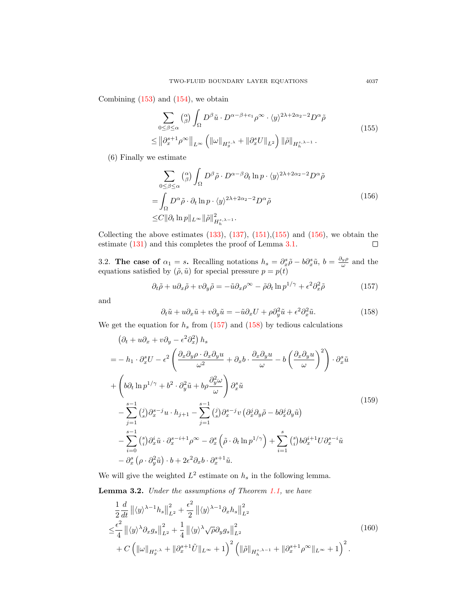<span id="page-28-1"></span>Combining  $(153)$  and  $(154)$ , we obtain

$$
\sum_{0 \leq \beta \leq \alpha} \binom{\alpha}{\beta} \int_{\Omega} D^{\beta} \tilde{u} \cdot D^{\alpha-\beta+e_1} \rho^{\infty} \cdot \langle y \rangle^{2\lambda+2\alpha_2-2} D^{\alpha} \tilde{\rho}
$$
\n
$$
\leq \left\| \partial_x^{s+1} \rho^{\infty} \right\|_{L^{\infty}} \left( \left\| \omega \right\|_{H_g^{s,\lambda}} + \left\| \partial_x^s U \right\|_{L^2} \right) \left\| \tilde{\rho} \right\|_{H_h^{s,\lambda-1}}. \tag{155}
$$

<span id="page-28-2"></span>(6) Finally we estimate

$$
\sum_{0 \le \beta \le \alpha} \binom{\alpha}{\beta} \int_{\Omega} D^{\beta} \tilde{\rho} \cdot D^{\alpha - \beta} \partial_t \ln p \cdot \langle y \rangle^{2\lambda + 2\alpha_2 - 2} D^{\alpha} \tilde{\rho}
$$
\n
$$
= \int_{\Omega} D^{\alpha} \tilde{\rho} \cdot \partial_t \ln p \cdot \langle y \rangle^{2\lambda + 2\alpha_2 - 2} D^{\alpha} \tilde{\rho}
$$
\n
$$
\leq C \| \partial_t \ln p \|_{L^{\infty}} \| \tilde{\rho} \|_{H_h^{s, \lambda - 1}}^2. \tag{156}
$$

Collecting the above estimates  $(133)$ ,  $(137)$ ,  $(151)$ ,  $(155)$  and  $(156)$ , we obtain the estimate [\(131\)](#page-24-5) and this completes the proof of Lemma [3.1.](#page-24-6)  $\Box$ 

<span id="page-28-0"></span>3.2. The case of  $\alpha_1 = s$ . Recalling notations  $h_s = \partial_x^s \tilde{\rho} - b \partial_x^s \tilde{u}$ ,  $b = \frac{\partial_y \rho}{\omega}$  and the equations satisfied by  $(\tilde{\rho}, \tilde{u})$  for special pressure  $p = p(t)$ 

<span id="page-28-3"></span>
$$
\partial_t \tilde{\rho} + u \partial_x \tilde{\rho} + v \partial_y \tilde{\rho} = -\tilde{u} \partial_x \rho^{\infty} - \tilde{\rho} \partial_t \ln p^{1/\gamma} + \epsilon^2 \partial_x^2 \tilde{\rho}
$$
 (157)

and

<span id="page-28-4"></span>
$$
\partial_t \tilde{u} + u \partial_x \tilde{u} + v \partial_y \tilde{u} = -\tilde{u} \partial_x U + \rho \partial_y^2 \tilde{u} + \epsilon^2 \partial_x^2 \tilde{u}.
$$
 (158)

We get the equation for  $h_s$  from [\(157\)](#page-28-3) and [\(158\)](#page-28-4) by tedious calculations

<span id="page-28-5"></span>
$$
(\partial_t + u\partial_x + v\partial_y - \epsilon^2 \partial_x^2) h_s
$$
  
=  $-h_1 \cdot \partial_x^s U - \epsilon^2 \left( \frac{\partial_x \partial_y \rho \cdot \partial_x \partial_y u}{\omega^2} + \partial_x b \cdot \frac{\partial_x \partial_y u}{\omega} - b \left( \frac{\partial_x \partial_y u}{\omega} \right)^2 \right) \cdot \partial_x^s \tilde{u}$   
+  $\left( b\partial_t \ln p^{1/\gamma} + b^2 \cdot \partial_y^2 \tilde{u} + b\rho \frac{\partial_y^2 \omega}{\omega} \right) \partial_x^s \tilde{u}$   
-  $\sum_{j=1}^{s-1} {j \choose s} \partial_x^{s-j} u \cdot h_{j+1} - \sum_{j=1}^{s-1} {j \choose s} \partial_x^{s-j} v \left( \partial_x^j \partial_y \tilde{\rho} - b \partial_x^j \partial_y \tilde{u} \right)$   
-  $\sum_{i=0}^{s-1} {s \choose i} \partial_x^i \tilde{u} \cdot \partial_x^{s-i+1} \rho^\infty - \partial_x^s \left( \tilde{\rho} \cdot \partial_t \ln p^{1/\gamma} \right) + \sum_{i=1}^s {s \choose i} b \partial_x^{i+1} U \partial_x^{s-i} \tilde{u}$   
-  $\partial_x^s (\rho \cdot \partial_y^2 \tilde{u}) \cdot b + 2\epsilon^2 \partial_x b \cdot \partial_x^{s+1} \tilde{u}.$  (159)

We will give the weighted  $L^2$  estimate on  $h_s$  in the following lemma.

<span id="page-28-7"></span>Lemma 3.2. Under the assumptions of Theorem [1.1,](#page-3-0) we have

<span id="page-28-6"></span>
$$
\frac{1}{2}\frac{d}{dt}\left\|\langle y\rangle^{\lambda-1}h_s\right\|_{L^2}^2 + \frac{\epsilon^2}{2}\left\|\langle y\rangle^{\lambda-1}\partial_xh_s\right\|_{L^2}^2
$$
\n
$$
\leq \frac{\epsilon^2}{4}\left\|\langle y\rangle^{\lambda}\partial_xg_s\right\|_{L^2}^2 + \frac{1}{4}\left\|\langle y\rangle^{\lambda}\sqrt{\rho}\partial_yg_s\right\|_{L^2}^2
$$
\n
$$
+ C\left(\|\omega\|_{H_g^{s,\lambda}} + \|\partial_x^{s+1}\tilde{U}\|_{L^\infty} + 1\right)^2 \left(\|\tilde{\rho}\|_{H_h^{s,\lambda-1}} + \|\partial_x^{s+1}\rho^\infty\|_{L^\infty} + 1\right)^2.
$$
\n(160)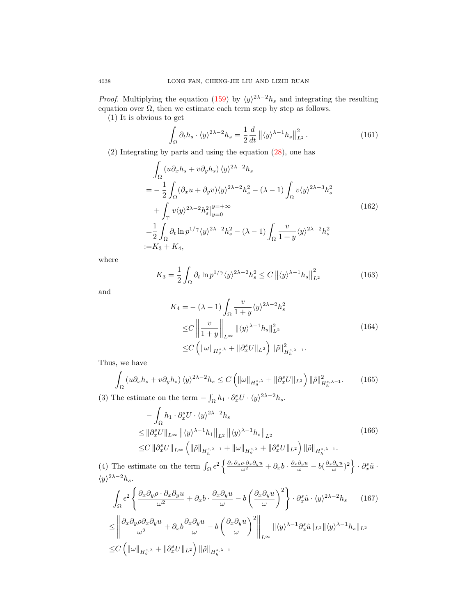*Proof.* Multiplying the equation [\(159\)](#page-28-5) by  $\langle y \rangle^{2\lambda-2}h_s$  and integrating the resulting equation over  $\Omega$ , then we estimate each term step by step as follows.

(1) It is obvious to get

$$
\int_{\Omega} \partial_t h_s \cdot \langle y \rangle^{2\lambda - 2} h_s = \frac{1}{2} \frac{d}{dt} \left\| \langle y \rangle^{\lambda - 1} h_s \right\|_{L^2}^2.
$$
 (161)

(2) Integrating by parts and using the equation [\(28\)](#page-5-2), one has

$$
\int_{\Omega} (u \partial_x h_s + v \partial_y h_s) \langle y \rangle^{2\lambda - 2} h_s
$$
\n
$$
= -\frac{1}{2} \int_{\Omega} (\partial_x u + \partial_y v) \langle y \rangle^{2\lambda - 2} h_s^2 - (\lambda - 1) \int_{\Omega} v \langle y \rangle^{2\lambda - 3} h_s^2
$$
\n
$$
+ \int_{\mathbb{T}} v \langle y \rangle^{2\lambda - 2} h_s^2 \Big|_{y=0}^{y=+\infty}
$$
\n
$$
= \frac{1}{2} \int_{\Omega} \partial_t \ln p^{1/\gamma} \langle y \rangle^{2\lambda - 2} h_s^2 - (\lambda - 1) \int_{\Omega} \frac{v}{1+y} \langle y \rangle^{2\lambda - 2} h_s^2
$$
\n
$$
:= K_3 + K_4,
$$
\n(162)

where

$$
K_3 = \frac{1}{2} \int_{\Omega} \partial_t \ln p^{1/\gamma} \langle y \rangle^{2\lambda - 2} h_s^2 \le C \left\| \langle y \rangle^{\lambda - 1} h_s \right\|_{L^2}^2 \tag{163}
$$

and

$$
K_4 = -(\lambda - 1) \int_{\Omega} \frac{v}{1 + y} \langle y \rangle^{2\lambda - 2} h_s^2
$$
  
\n
$$
\leq C \left\| \frac{v}{1 + y} \right\|_{L^{\infty}} \| \langle y \rangle^{\lambda - 1} h_s \|_{L^2}^2
$$
  
\n
$$
\leq C \left( \| \omega \|_{H_g^{s,\lambda}} + \| \partial_x^s U \|_{L^2} \right) \| \tilde{\rho} \|_{H_h^{s,\lambda - 1}}^2.
$$
\n(164)

Thus, we have

$$
\int_{\Omega} \left( u \partial_x h_s + v \partial_y h_s \right) \langle y \rangle^{2\lambda - 2} h_s \le C \left( \|\omega\|_{H_g^{s,\lambda}} + \|\partial_x^s U\|_{L^2} \right) \|\tilde{\rho}\|_{H_h^{s,\lambda - 1}}^2. \tag{165}
$$

(3) The estimate on the term  $-\int_{\Omega} h_1 \cdot \partial_x^s U \cdot \langle y \rangle^{2\lambda - 2} h_s$ .

$$
-\int_{\Omega} h_1 \cdot \partial_x^s U \cdot \langle y \rangle^{2\lambda - 2} h_s
$$
  
\n
$$
\leq \|\partial_x^s U\|_{L^\infty} \|\langle y \rangle^{\lambda - 1} h_1\|_{L^2} \|\langle y \rangle^{\lambda - 1} h_s\|_{L^2}
$$
  
\n
$$
\leq C \|\partial_x^s U\|_{L^\infty} \left( \|\tilde{\rho}\|_{H_h^{s, \lambda - 1}} + \|\omega\|_{H_g^{s, \lambda}} + \|\partial_x^s U\|_{L^2} \right) \|\tilde{\rho}\|_{H_h^{s, \lambda - 1}}. \tag{166}
$$

(4) The estimate on the term  $\int_{\Omega} \epsilon^2 \left\{ \frac{\partial_x \partial_y \rho \cdot \partial_x \partial_y u}{\omega^2} + \partial_x b \cdot \frac{\partial_x \partial_y u}{\omega} - b \left( \frac{\partial_x \partial_y u}{\omega} \right)^2 \right\} \cdot \partial_x^s \tilde{u}$ .  $\langle y \rangle^{2\lambda-2} h_s.$ 

$$
\int_{\Omega} \epsilon^{2} \left\{ \frac{\partial_{x} \partial_{y} \rho \cdot \partial_{x} \partial_{y} u}{\omega^{2}} + \partial_{x} b \cdot \frac{\partial_{x} \partial_{y} u}{\omega} - b \left( \frac{\partial_{x} \partial_{y} u}{\omega} \right)^{2} \right\} \cdot \partial_{x}^{s} \tilde{u} \cdot \langle y \rangle^{2\lambda - 2} h_{s} \qquad (167)
$$
\n
$$
\leq \left\| \frac{\partial_{x} \partial_{y} \rho \partial_{x} \partial_{y} u}{\omega^{2}} + \partial_{x} b \frac{\partial_{x} \partial_{y} u}{\omega} - b \left( \frac{\partial_{x} \partial_{y} u}{\omega} \right)^{2} \right\|_{L^{\infty}} \| \langle y \rangle^{\lambda - 1} \partial_{x}^{s} \tilde{u} \|_{L^{2}} \| \langle y \rangle^{\lambda - 1} h_{s} \|_{L^{2}}
$$
\n
$$
\leq C \left( \|\omega\|_{H_{g}^{s,\lambda}} + \|\partial_{x}^{s} U\|_{L^{2}} \right) \|\tilde{\rho}\|_{H_{h}^{s,\lambda - 1}} \qquad (167)
$$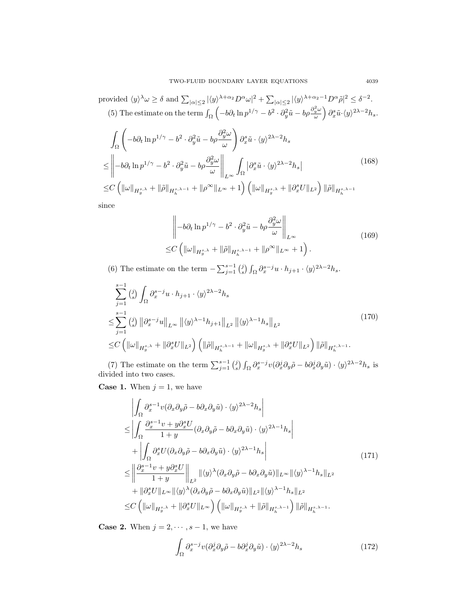provided  $\langle y \rangle^{\lambda} \omega \ge \delta$  and  $\sum_{|\alpha| \le 2} |\langle y \rangle^{\lambda+\alpha_2} D^{\alpha} \omega|^2 + \sum_{|\alpha| \le 2} |\langle y \rangle^{\lambda+\alpha_2-1} D^{\alpha} \tilde{\rho}|^2 \le \delta^{-2}$ . (5) The estimate on the term  $\int_{\Omega} \left( -b \partial_t \ln p^{1/\gamma} - b^2 \cdot \partial_y^2 \tilde{u} - b \rho \frac{\partial_y^2 \omega}{\omega} \right) \partial_x^s \tilde{u} \cdot \langle y \rangle^{2\lambda - 2} h_s$ .

$$
\int_{\Omega} \left( -b \partial_t \ln p^{1/\gamma} - b^2 \cdot \partial_y^2 \tilde{u} - b \rho \frac{\partial_y^2 \omega}{\omega} \right) \partial_x^s \tilde{u} \cdot \langle y \rangle^{2\lambda - 2} h_s
$$
\n
$$
\leq \left\| -b \partial_t \ln p^{1/\gamma} - b^2 \cdot \partial_y^2 \tilde{u} - b \rho \frac{\partial_y^2 \omega}{\omega} \right\|_{L^\infty} \int_{\Omega} \left| \partial_x^s \tilde{u} \cdot \langle y \rangle^{2\lambda - 2} h_s \right|
$$
\n
$$
\leq C \left( \|\omega\|_{H_g^{s,\lambda}} + \|\tilde{\rho}\|_{H_h^{s,\lambda - 1}} + \|\rho^\infty\|_{L^\infty} + 1 \right) \left( \|\omega\|_{H_g^{s,\lambda}} + \|\partial_x^s U\|_{L^2} \right) \|\tilde{\rho}\|_{H_h^{s,\lambda - 1}}
$$
\n
$$
.
$$
\n(168)

since

$$
\left\| -b\partial_t \ln p^{1/\gamma} - b^2 \cdot \partial_y^2 \tilde{u} - b\rho \frac{\partial_y^2 \omega}{\omega} \right\|_{L^\infty}
$$
  
\n
$$
\leq C \left( \|\omega\|_{H_g^{s,\lambda}} + \|\tilde{\rho}\|_{H_h^{s,\lambda-1}} + \|\rho^{\infty}\|_{L^\infty} + 1 \right). \tag{169}
$$

(6) The estimate on the term  $-\sum_{j=1}^{s-1} {j \choose s} \int_{\Omega} \partial_x^{s-j} u \cdot h_{j+1} \cdot \langle y \rangle^{2\lambda-2} h_s$ .

$$
\sum_{j=1}^{s-1} {j \choose s} \int_{\Omega} \partial_x^{s-j} u \cdot h_{j+1} \cdot \langle y \rangle^{2\lambda - 2} h_s
$$
\n
$$
\leq \sum_{j=1}^{s-1} {j \choose s} \left\| \partial_x^{s-j} u \right\|_{L^\infty} \left\| \langle y \rangle^{\lambda - 1} h_{j+1} \right\|_{L^2} \left\| \langle y \rangle^{\lambda - 1} h_s \right\|_{L^2}
$$
\n
$$
\leq C \left( \left\| \omega \right\|_{H_g^{s,\lambda}} + \left\| \partial_x^s U \right\|_{L^2} \right) \left( \left\| \tilde{\rho} \right\|_{H_h^{s,\lambda - 1}} + \left\| \omega \right\|_{H_g^{s,\lambda}} + \left\| \partial_x^s U \right\|_{L^2} \right) \left\| \tilde{\rho} \right\|_{H_h^{s,\lambda - 1}}.
$$
\n(170)

(7) The estimate on the term  $\sum_{j=1}^{s-1} {j \choose s} \int_{\Omega} \partial_x^{s-j} v (\partial_x^j \partial_y \tilde{\rho} - b \partial_x^j \partial_y \tilde{u}) \cdot \langle y \rangle^{2\lambda-2} h_s$  is divided into two cases.

**Case 1.** When  $j = 1$ , we have

$$
\begin{split}\n&\left|\int_{\Omega} \partial_x^{s-1} v(\partial_x \partial_y \tilde{\rho} - b \partial_x \partial_y \tilde{u}) \cdot \langle y \rangle^{2\lambda - 2} h_s \right| \\
&\leq \left| \int_{\Omega} \frac{\partial_x^{s-1} v + y \partial_x^s U}{1 + y} (\partial_x \partial_y \tilde{\rho} - b \partial_x \partial_y \tilde{u}) \cdot \langle y \rangle^{2\lambda - 1} h_s \right| \\
&+ \left| \int_{\Omega} \partial_x^s U(\partial_x \partial_y \tilde{\rho} - b \partial_x \partial_y \tilde{u}) \cdot \langle y \rangle^{2\lambda - 1} h_s \right| \\
&\leq \left\| \frac{\partial_x^{s-1} v + y \partial_x^s U}{1 + y} \right\|_{L^2} \left\| \langle y \rangle^{\lambda} (\partial_x \partial_y \tilde{\rho} - b \partial_x \partial_y \tilde{u}) \right\|_{L^{\infty}} \left\| \langle y \rangle^{\lambda - 1} h_s \right\|_{L^2} \\
&+ \left\| \partial_x^s U \right\|_{L^{\infty}} \left\| \langle y \rangle^{\lambda} (\partial_x \partial_y \tilde{\rho} - b \partial_x \partial_y \tilde{u}) \right\|_{L^2} \left\| \langle y \rangle^{\lambda - 1} h_s \right\|_{L^2} \\
&\leq C \left( \|\omega\|_{H_g^{s,\lambda}} + \|\partial_x^s U\|_{L^{\infty}} \right) \left( \|\omega\|_{H_g^{s,\lambda}} + \|\tilde{\rho}\|_{H_h^{s,\lambda - 1}} \right) \|\tilde{\rho}\|_{H_h^{s,\lambda - 1}}.\n\end{split} \tag{171}
$$

<span id="page-30-0"></span>**Case 2.** When  $j = 2, \dots, s - 1$ , we have

$$
\int_{\Omega} \partial_x^{s-j} v (\partial_x^j \partial_y \tilde{\rho} - b \partial_x^j \partial_y \tilde{u}) \cdot \langle y \rangle^{2\lambda - 2} h_s \tag{172}
$$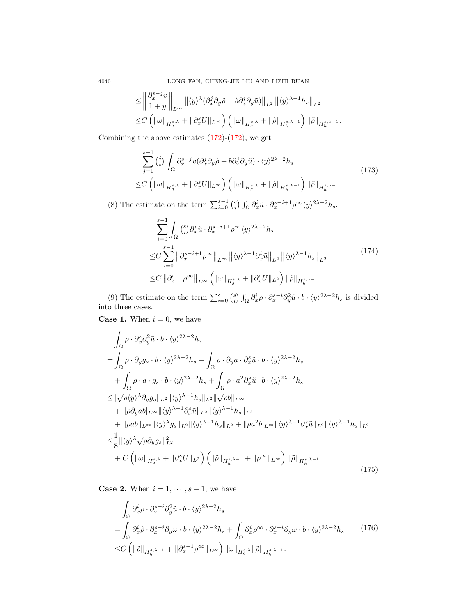4040 LONG FAN, CHENG-JIE LIU AND LIZHI RUAN

$$
\leq \left\| \frac{\partial_x^{s-j} v}{1+y} \right\|_{L^\infty} \left\| \langle y \rangle^{\lambda} (\partial_x^j \partial_y \tilde{\rho} - b \partial_x^j \partial_y \tilde{u}) \right\|_{L^2} \left\| \langle y \rangle^{\lambda-1} h_s \right\|_{L^2}
$$
  

$$
\leq C \left( \|\omega\|_{H_g^{s,\lambda}} + \|\partial_x^s U\|_{L^\infty} \right) \left( \|\omega\|_{H_g^{s,\lambda}} + \|\tilde{\rho}\|_{H_h^{s,\lambda-1}} \right) \|\tilde{\rho}\|_{H_h^{s,\lambda-1}}.
$$

Combining the above estimates  $(172)-(172)$  $(172)-(172)$ , we get

$$
\sum_{j=1}^{s-1} {j \choose s} \int_{\Omega} \partial_x^{s-j} v(\partial_x^j \partial_y \tilde{\rho} - b \partial_x^j \partial_y \tilde{u}) \cdot \langle y \rangle^{2\lambda - 2} h_s
$$
\n
$$
\leq C \left( \|\omega\|_{H_g^{s,\lambda}} + \|\partial_x^s U\|_{L^\infty} \right) \left( \|\omega\|_{H_g^{s,\lambda}} + \|\tilde{\rho}\|_{H_h^{s,\lambda - 1}} \right) \|\tilde{\rho}\|_{H_h^{s,\lambda - 1}}.
$$
\n(173)

(8) The estimate on the term  $\sum_{i=0}^{s-1} {s \choose i} \int_{\Omega} \partial_x^i \tilde{u} \cdot \partial_x^{s-i+1} \rho^{\infty} \langle y \rangle^{2\lambda-2} h_s$ .

$$
\sum_{i=0}^{s-1} \int_{\Omega} \binom{s}{i} \partial_x^i \tilde{u} \cdot \partial_x^{s-i+1} \rho^{\infty} \langle y \rangle^{2\lambda - 2} h_s
$$
\n
$$
\leq C \sum_{i=0}^{s-1} \left\| \partial_x^{s-i+1} \rho^{\infty} \right\|_{L^{\infty}} \left\| \langle y \rangle^{\lambda - 1} \partial_x^i \tilde{u} \right\|_{L^2} \left\| \langle y \rangle^{\lambda - 1} h_s \right\|_{L^2}
$$
\n
$$
\leq C \left\| \partial_x^{s+1} \rho^{\infty} \right\|_{L^{\infty}} \left( \|\omega\|_{H_g^{s,\lambda}} + \|\partial_x^s U\|_{L^2} \right) \|\tilde{\rho}\|_{H_h^{s,\lambda - 1}}.
$$
\n
$$
(174)
$$

(9) The estimate on the term  $\sum_{i=0}^{s} {s \choose i} \int_{\Omega} \partial_x^i \rho \cdot \partial_x^{s-i} \partial_y^2 \tilde{u} \cdot b \cdot \langle y \rangle^{2\lambda-2} h_s$  is divided into three cases.

**Case 1.** When  $i = 0$ , we have

<span id="page-31-0"></span>
$$
\int_{\Omega} \rho \cdot \partial_x^s \partial_y^2 \tilde{u} \cdot b \cdot \langle y \rangle^{2\lambda - 2} h_s
$$
\n
$$
= \int_{\Omega} \rho \cdot \partial_y g_s \cdot b \cdot \langle y \rangle^{2\lambda - 2} h_s + \int_{\Omega} \rho \cdot \partial_y a \cdot \partial_x^s \tilde{u} \cdot b \cdot \langle y \rangle^{2\lambda - 2} h_s
$$
\n
$$
+ \int_{\Omega} \rho \cdot a \cdot g_s \cdot b \cdot \langle y \rangle^{2\lambda - 2} h_s + \int_{\Omega} \rho \cdot a^2 \partial_x^s \tilde{u} \cdot b \cdot \langle y \rangle^{2\lambda - 2} h_s
$$
\n
$$
\leq ||\sqrt{\rho} \langle y \rangle^{\lambda} \partial_y g_s ||_{L^2} ||\langle y \rangle^{\lambda - 1} h_s ||_{L^2} ||\sqrt{\rho} b||_{L^{\infty}}
$$
\n
$$
+ ||\rho \partial_y a b ||_{L^{\infty}} ||\langle y \rangle^{\lambda - 1} \partial_x^s \tilde{u} ||_{L^2} ||\langle y \rangle^{\lambda - 1} h_s ||_{L^2}
$$
\n
$$
+ ||\rho a b ||_{L^{\infty}} ||\langle y \rangle^{\lambda} g_s ||_{L^2} ||\langle y \rangle^{\lambda - 1} h_s ||_{L^2} + ||\rho a^2 b |_{L^{\infty}} ||\langle y \rangle^{\lambda - 1} \partial_x^s \tilde{u} ||_{L^2} ||\langle y \rangle^{\lambda - 1} h_s ||_{L^2}
$$
\n
$$
\leq \frac{1}{8} ||\langle y \rangle^{\lambda} \sqrt{\rho} \partial_y g_s ||_{L^2}^2
$$
\n
$$
+ C \left( ||\omega||_{H_g^{s,\lambda}} + ||\partial_x^s U||_{L^2} \right) \left( ||\tilde{\rho}||_{H_h^{s,\lambda - 1}} + ||\rho^{\infty}||_{L^{\infty}} \right) ||\tilde{\rho}||_{H_h^{s,\lambda - 1}}.
$$
\n(175)

**Case 2.** When  $i = 1, \dots, s - 1$ , we have

$$
\int_{\Omega} \partial_x^i \rho \cdot \partial_x^{s-i} \partial_y^2 \tilde{u} \cdot b \cdot \langle y \rangle^{2\lambda - 2} h_s
$$
\n
$$
= \int_{\Omega} \partial_x^i \tilde{\rho} \cdot \partial_x^{s-i} \partial_y \omega \cdot b \cdot \langle y \rangle^{2\lambda - 2} h_s + \int_{\Omega} \partial_x^i \rho^\infty \cdot \partial_x^{s-i} \partial_y \omega \cdot b \cdot \langle y \rangle^{2\lambda - 2} h_s \qquad (176)
$$
\n
$$
\leq C \left( \| \tilde{\rho} \|_{H_h^{s,\lambda - 1}} + \| \partial_x^{s-1} \rho^\infty \|_{L^\infty} \right) \| \omega \|_{H_g^{s,\lambda}} \| \tilde{\rho} \|_{H_h^{s,\lambda - 1}}.
$$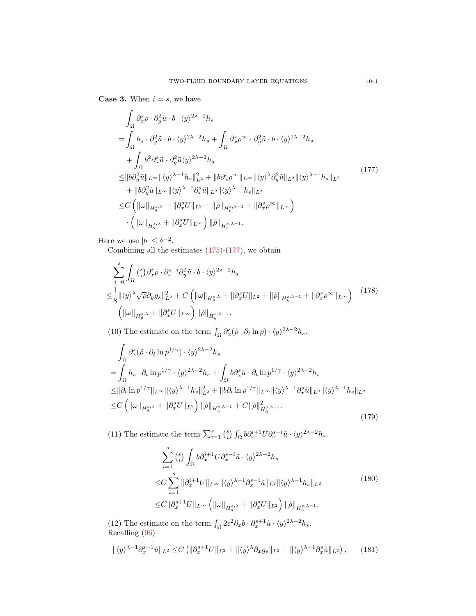**Case 3.** When  $i = s$ , we have

<span id="page-32-0"></span>
$$
\int_{\Omega} \partial_x^s \rho \cdot \partial_y^2 \tilde{u} \cdot b \cdot \langle y \rangle^{2\lambda - 2} h_s
$$
\n
$$
= \int_{\Omega} h_s \cdot \partial_y^2 \tilde{u} \cdot b \cdot \langle y \rangle^{2\lambda - 2} h_s + \int_{\Omega} \partial_x^s \rho^\infty \cdot \partial_y^2 \tilde{u} \cdot b \cdot \langle y \rangle^{2\lambda - 2} h_s
$$
\n
$$
+ \int_{\Omega} b^2 \partial_x^s \tilde{u} \cdot \partial_y^2 \tilde{u} \langle y \rangle^{2\lambda - 2} h_s
$$
\n
$$
\leq ||b \partial_y^2 \tilde{u}||_{L^\infty} ||\langle y \rangle^{\lambda - 1} h_s||_{L^2}^2 + ||b \partial_x^s \rho^\infty||_{L^\infty} ||\langle y \rangle^{\lambda} \partial_y^2 \tilde{u}||_{L^2} ||\langle y \rangle^{\lambda - 1} h_s||_{L^2}
$$
\n
$$
+ ||b \partial_y^2 \tilde{u}||_{L^\infty} ||\langle y \rangle^{\lambda - 1} \partial_x^s \tilde{u}||_{L^2} ||\langle y \rangle^{\lambda - 1} h_s||_{L^2}
$$
\n
$$
\leq C \left( ||\omega||_{H_g^{s,\lambda}} + ||\partial_x^s U||_{L^2} + ||\tilde{\rho}||_{H_h^{s,\lambda - 1}} + ||\partial_x^s \rho^\infty||_{L^\infty} \right)
$$
\n
$$
\cdot \left( ||\omega||_{H_g^{s,\lambda}} + ||\partial_x^s U||_{L^\infty} \right) ||\tilde{\rho}||_{H_h^{s,\lambda - 1}}.
$$
\n(177)

Here we use  $|b| \leq \delta^{-2}$ .

Combining all the estimates  $(175)-(177)$  $(175)-(177)$  $(175)-(177)$ , we obtain

$$
\sum_{i=0}^{s} \int_{\Omega} \left(\frac{s}{i}\right) \partial_x^i \rho \cdot \partial_x^{s-i} \partial_y^2 \tilde{u} \cdot b \cdot \langle y \rangle^{2\lambda - 2} h_s
$$
\n
$$
\leq \frac{1}{8} \| \langle y \rangle^{\lambda} \sqrt{\rho} \partial_y g_s \|_{L^2}^2 + C \left( \| \omega \|_{H_g^{s,\lambda}} + \| \partial_x^s U \|_{L^2} + \| \tilde{\rho} \|_{H_h^{s,\lambda - 1}} + \| \partial_x^s \rho^{\infty} \|_{L^{\infty}} \right) \quad (178)
$$
\n
$$
\cdot \left( \| \omega \|_{H_g^{s,\lambda}} + \| \partial_x^s U \|_{L^{\infty}} \right) \| \tilde{\rho} \|_{H_h^{s,\lambda - 1}}.
$$

(10) The estimate on the term  $\int_{\Omega} \partial_x^s (\tilde{\rho} \cdot \partial_t \ln p) \cdot \langle y \rangle^{2\lambda - 2} h_s$ .

$$
\int_{\Omega} \partial_x^s (\tilde{\rho} \cdot \partial_t \ln p^{1/\gamma}) \cdot \langle y \rangle^{2\lambda - 2} h_s
$$
\n
$$
= \int_{\Omega} h_s \cdot \partial_t \ln p^{1/\gamma} \cdot \langle y \rangle^{2\lambda - 2} h_s + \int_{\Omega} b \partial_x^s \tilde{u} \cdot \partial_t \ln p^{1/\gamma} \cdot \langle y \rangle^{2\lambda - 2} h_s
$$
\n
$$
\leq ||\partial_t \ln p^{1/\gamma}||_{L^\infty} ||\langle y \rangle^{\lambda - 1} h_s||_{L^2}^2 + ||b \partial_t \ln p^{1/\gamma}||_{L^\infty} ||\langle y \rangle^{\lambda - 1} \partial_x^s \tilde{u}||_{L^2} ||\langle y \rangle^{\lambda - 1} h_s||_{L^2}
$$
\n
$$
\leq C \left( ||\omega||_{H_g^{s,\lambda}} + ||\partial_x^s U||_{L^2} \right) ||\tilde{\rho}||_{H_h^{s,\lambda - 1}} + C ||\tilde{\rho}||_{H_h^{s,\lambda - 1}}^2. \tag{179}
$$

(11) The estimate the term  $\sum_{i=1}^{s} {s \choose i} \int_{\Omega} b \partial_x^{i+1} U \partial_x^{s-i} \tilde{u} \cdot \langle y \rangle^{2\lambda-2} h_s$ .

$$
\sum_{i=1}^{s} {s \choose i} \int_{\Omega} b \partial_x^{i+1} U \partial_x^{s-i} \tilde{u} \cdot \langle y \rangle^{2\lambda - 2} h_s
$$
  
\n
$$
\leq C \sum_{i=1}^{s} \|\partial_x^{i+1} U\|_{L^{\infty}} \|\langle y \rangle^{\lambda - 1} \partial_x^{s-i} \tilde{u}\|_{L^2} \|\langle y \rangle^{\lambda - 1} h_s\|_{L^2}
$$
  
\n
$$
\leq C \|\partial_x^{s+1} U\|_{L^{\infty}} \left( \|\omega\|_{H_g^{s,\lambda}} + \|\partial_x^s U\|_{L^2} \right) \|\tilde{\rho}\|_{H_h^{s,\lambda - 1}}.
$$
\n(180)

(12) The estimate on the term  $\int_{\Omega} 2\epsilon^2 \partial_x b \cdot \partial_x^{s+1} \tilde{u} \cdot \langle y \rangle^{2\lambda - 2} h_s$ . Recalling [\(96\)](#page-18-0)

$$
\|\langle y \rangle^{\lambda-1} \partial_x^{s+1} \tilde{u}\|_{L^2} \le C \left( \|\partial_x^{s+1} U\|_{L^2} + \|\langle y \rangle^{\lambda} \partial_x g_s\|_{L^2} + \|\langle y \rangle^{\lambda-1} \partial_x^s \tilde{u}\|_{L^2} \right), \qquad (181)
$$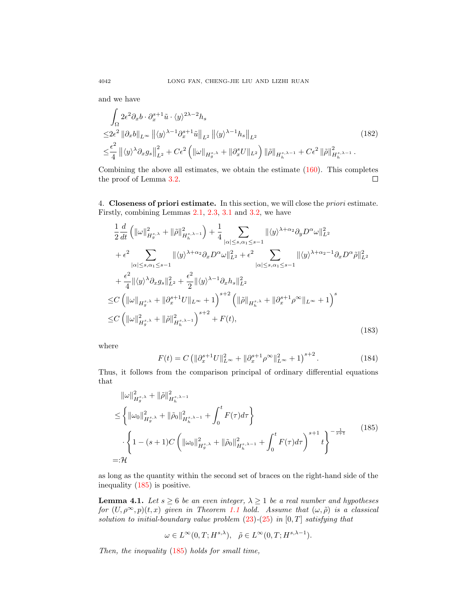and we have

$$
\int_{\Omega} 2\varepsilon^{2} \partial_{x} b \cdot \partial_{x}^{s+1} \tilde{u} \cdot \langle y \rangle^{2\lambda - 2} h_{s}
$$
\n
$$
\leq 2\varepsilon^{2} \|\partial_{x} b\|_{L^{\infty}} \|\langle y \rangle^{\lambda - 1} \partial_{x}^{s+1} \tilde{u}\|_{L^{2}} \|\langle y \rangle^{\lambda - 1} h_{s}\|_{L^{2}}
$$
\n
$$
\leq \frac{\epsilon^{2}}{4} \|\langle y \rangle^{\lambda} \partial_{x} g_{s}\|_{L^{2}}^{2} + C\varepsilon^{2} \left( \|\omega\|_{H_{g}^{s,\lambda}} + \|\partial_{x}^{s} U\|_{L^{2}} \right) \|\tilde{\rho}\|_{H_{h}^{s,\lambda - 1}} + C\varepsilon^{2} \|\tilde{\rho}\|_{H_{h}^{s,\lambda - 1}}^{2}.
$$
\n
$$
(182)
$$

Combining the above all estimates, we obtain the estimate [\(160\)](#page-28-6). This completes the proof of Lemma [3.2.](#page-28-7)  $\Box$ 

4. Closeness of priori estimate. In this section, we will close the priori estimate. Firstly, combining Lemmas [2.1,](#page-7-3) [2.3,](#page-16-3) [3.1](#page-24-6) and [3.2,](#page-28-7) we have

$$
\frac{1}{2}\frac{d}{dt}\left(\|\omega\|_{H_g^{s,\lambda}}^2 + \|\tilde{\rho}\|_{H_h^{s,\lambda-1}}^2\right) + \frac{1}{4}\sum_{|\alpha| \le s, \alpha_1 \le s-1} \|\langle y \rangle^{\lambda + \alpha_2} \partial_y D^{\alpha} \omega\|_{L^2}^2 \n+ \epsilon^2 \sum_{|\alpha| \le s, \alpha_1 \le s-1} \|\langle y \rangle^{\lambda + \alpha_2} \partial_x D^{\alpha} \omega\|_{L^2}^2 + \epsilon^2 \sum_{|\alpha| \le s, \alpha_1 \le s-1} \|\langle y \rangle^{\lambda + \alpha_2 - 1} \partial_x D^{\alpha} \tilde{\rho}\|_{L^2}^2 \n+ \frac{\epsilon^2}{4}\|\langle y \rangle^{\lambda} \partial_x g_s\|_{L^2}^2 + \frac{\epsilon^2}{2}\|\langle y \rangle^{\lambda - 1} \partial_x h_s\|_{L^2}^2 \n\le C \left(\|\omega\|_{H_g^{s,\lambda}} + \|\partial_x^{s+1} U\|_{L^\infty} + 1\right)^{s+2} \left(\|\tilde{\rho}\|_{H_h^{s,\lambda}} + \|\partial_x^{s+1} \rho^{\infty}\|_{L^\infty} + 1\right)^s \n\le C \left(\|\omega\|_{H_g^{s,\lambda}}^2 + \|\tilde{\rho}\|_{H_h^{s,\lambda-1}}^2\right)^{s+2} + F(t),
$$
\n(183)

where

<span id="page-33-1"></span>
$$
F(t) = C \left( \|\partial_x^{s+1} U\|_{L^\infty}^2 + \|\partial_x^{s+1} \rho^\infty\|_{L^\infty}^2 + 1 \right)^{s+2}.
$$
 (184)

Thus, it follows from the comparison principal of ordinary differential equations that

<span id="page-33-0"></span>
$$
\| \omega \|_{H_g^{s,\lambda}}^2 + \| \tilde{\rho} \|_{H_h^{s,\lambda-1}}^2
$$
\n
$$
\leq \left\{ \| \omega_0 \|_{H_g^{s,\lambda}}^2 + \| \tilde{\rho}_0 \|_{H_h^{s,\lambda-1}}^2 + \int_0^t F(\tau) d\tau \right\}
$$
\n
$$
\cdot \left\{ 1 - (s+1) C \left( \| \omega_0 \|_{H_g^{s,\lambda}}^2 + \| \tilde{\rho}_0 \|_{H_h^{s,\lambda-1}}^2 + \int_0^t F(\tau) d\tau \right)^{s+1} t \right\}^{-\frac{1}{s+1}} \qquad (185)
$$
\n
$$
= \mathcal{H}
$$

as long as the quantity within the second set of braces on the right-hand side of the inequality [\(185\)](#page-33-0) is positive.

**Lemma 4.1.** Let  $s \ge 6$  be an even integer,  $\lambda \ge 1$  be a real number and hypotheses for  $(U, \rho^{\infty}, p)(t, x)$  given in Theorem [1.1](#page-3-0) hold. Assume that  $(\omega, \tilde{\rho})$  is a classical solution to initial-boundary value problem  $(23)-(25)$  $(23)-(25)$  $(23)-(25)$  in  $[0, T]$  satisfying that

$$
\omega \in L^{\infty}(0,T;H^{s,\lambda}), \quad \tilde{\rho} \in L^{\infty}(0,T;H^{s,\lambda-1}).
$$

Then, the inequality [\(185\)](#page-33-0) holds for small time,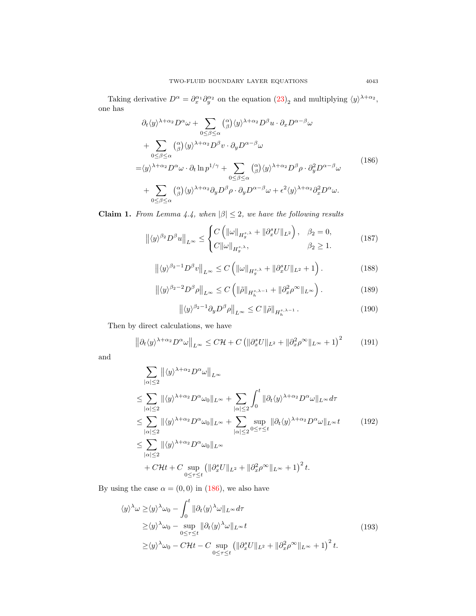Taking derivative  $D^{\alpha} = \partial_x^{\alpha_1} \partial_y^{\alpha_2}$  on the equation  $(23)_2$  $(23)_2$  and multiplying  $\langle y \rangle^{\lambda+\alpha_2}$ , one has

<span id="page-34-0"></span>
$$
\partial_t \langle y \rangle^{\lambda + \alpha_2} D^{\alpha} \omega + \sum_{0 \le \beta \le \alpha} \binom{\alpha}{\beta} \langle y \rangle^{\lambda + \alpha_2} D^{\beta} u \cdot \partial_x D^{\alpha - \beta} \omega \n+ \sum_{0 \le \beta \le \alpha} \binom{\alpha}{\beta} \langle y \rangle^{\lambda + \alpha_2} D^{\beta} v \cdot \partial_y D^{\alpha - \beta} \omega \n= \langle y \rangle^{\lambda + \alpha_2} D^{\alpha} \omega \cdot \partial_t \ln p^{1/\gamma} + \sum_{0 \le \beta \le \alpha} \binom{\alpha}{\beta} \langle y \rangle^{\lambda + \alpha_2} D^{\beta} \rho \cdot \partial_y^2 D^{\alpha - \beta} \omega \n+ \sum_{0 \le \beta \le \alpha} \binom{\alpha}{\beta} \langle y \rangle^{\lambda + \alpha_2} \partial_y D^{\beta} \rho \cdot \partial_y D^{\alpha - \beta} \omega + \epsilon^2 \langle y \rangle^{\lambda + \alpha_2} \partial_x^2 D^{\alpha} \omega.
$$
\n(186)

<span id="page-34-1"></span>**Claim 1.** From Lemma 4.4, when  $|\beta| \leq 2$ , we have the following results

$$
\left\| \langle y \rangle^{\beta_2} D^{\beta} u \right\|_{L^{\infty}} \leq \begin{cases} C\left( \|\omega\|_{H_g^{s,\lambda}} + \|\partial_x^s U\|_{L^2} \right), & \beta_2 = 0, \\ C\|\omega\|_{H_g^{s,\lambda}}, & \beta_2 \geq 1. \end{cases}
$$
(187)

$$
\left\| \langle y \rangle^{\beta_2 - 1} D^{\beta} v \right\|_{L^{\infty}} \le C \left( \|\omega\|_{H_g^{s,\lambda}} + \|\partial_x^s U\|_{L^2} + 1 \right). \tag{188}
$$

$$
\left\| \langle y \rangle^{\beta_2 - 2} D^{\beta} \rho \right\|_{L^{\infty}} \le C \left( \|\tilde{\rho}\|_{H_h^{s, \lambda - 1}} + \|\partial_x^2 \rho^{\infty}\|_{L^{\infty}} \right). \tag{189}
$$

$$
\left\| \langle y \rangle^{\beta_2 - 1} \partial_y D^\beta \rho \right\|_{L^\infty} \le C \left\| \tilde{\rho} \right\|_{H_h^{s, \lambda - 1}}. \tag{190}
$$

Then by direct calculations, we have

$$
\left\|\partial_t \langle y \rangle^{\lambda + \alpha_2} D^{\alpha} \omega \right\|_{L^{\infty}} \leq C \mathcal{H} + C \left( \|\partial_x^s U\|_{L^2} + \|\partial_x^2 \rho^{\infty}\|_{L^{\infty}} + 1 \right)^2 \tag{191}
$$

<span id="page-34-3"></span>and

$$
\sum_{|\alpha| \leq 2} ||\langle y \rangle^{\lambda + \alpha_2} D^{\alpha} \omega||_{L^{\infty}}\n\n\leq \sum_{|\alpha| \leq 2} ||\langle y \rangle^{\lambda + \alpha_2} D^{\alpha} \omega_0||_{L^{\infty}} + \sum_{|\alpha| \leq 2} \int_0^t ||\partial_t \langle y \rangle^{\lambda + \alpha_2} D^{\alpha} \omega||_{L^{\infty}} d\tau\n\n\leq \sum_{|\alpha| \leq 2} ||\langle y \rangle^{\lambda + \alpha_2} D^{\alpha} \omega_0||_{L^{\infty}} + \sum_{|\alpha| \leq 2} \sup_{0 \leq \tau \leq t} ||\partial_t \langle y \rangle^{\lambda + \alpha_2} D^{\alpha} \omega||_{L^{\infty}} t\n\n\leq \sum_{|\alpha| \leq 2} ||\langle y \rangle^{\lambda + \alpha_2} D^{\alpha} \omega_0||_{L^{\infty}}\n\n+ C \mathcal{H}t + C \sup_{0 \leq \tau \leq t} (||\partial_x^s U||_{L^2} + ||\partial_x^2 \rho^{\infty}||_{L^{\infty}} + 1)^2 t.
$$
\n
$$
(192)
$$

By using the case  $\alpha = (0, 0)$  in [\(186\)](#page-34-0), we also have

<span id="page-34-2"></span>
$$
\langle y \rangle^{\lambda} \omega \ge \langle y \rangle^{\lambda} \omega_0 - \int_0^t \|\partial_t \langle y \rangle^{\lambda} \omega\|_{L^\infty} d\tau
$$
  
\n
$$
\ge \langle y \rangle^{\lambda} \omega_0 - \sup_{0 \le \tau \le t} \|\partial_t \langle y \rangle^{\lambda} \omega\|_{L^\infty} t
$$
  
\n
$$
\ge \langle y \rangle^{\lambda} \omega_0 - C \mathcal{H} t - C \sup_{0 \le \tau \le t} \left( \|\partial_x^s U\|_{L^2} + \|\partial_x^2 \rho^\infty\|_{L^\infty} + 1 \right)^2 t.
$$
\n(193)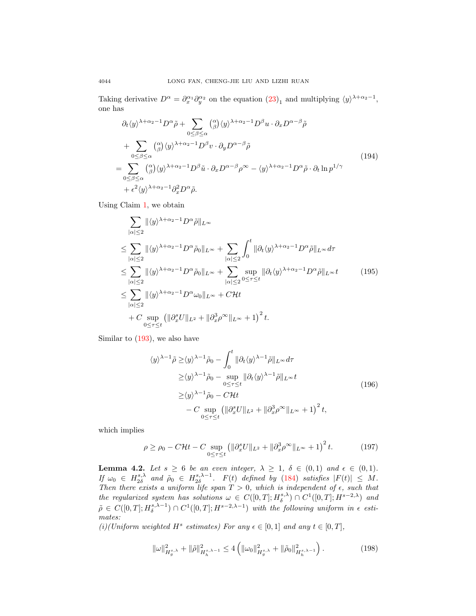Taking derivative  $D^{\alpha} = \partial_x^{\alpha_1} \partial_y^{\alpha_2}$  on the equation  $(23)_1$  $(23)_1$  and multiplying  $\langle y \rangle^{\lambda + \alpha_2 - 1}$ , one has

$$
\partial_t \langle y \rangle^{\lambda + \alpha_2 - 1} D^{\alpha} \tilde{\rho} + \sum_{0 \le \beta \le \alpha} {\alpha \choose \beta} \langle y \rangle^{\lambda + \alpha_2 - 1} D^{\beta} u \cdot \partial_x D^{\alpha - \beta} \tilde{\rho}
$$
  
+ 
$$
\sum_{0 \le \beta \le \alpha} {\alpha \choose \beta} \langle y \rangle^{\lambda + \alpha_2 - 1} D^{\beta} v \cdot \partial_y D^{\alpha - \beta} \tilde{\rho}
$$
  
= 
$$
\sum_{0 \le \beta \le \alpha} {\alpha \choose \beta} \langle y \rangle^{\lambda + \alpha_2 - 1} D^{\beta} \tilde{u} \cdot \partial_x D^{\alpha - \beta} \rho^{\infty} - \langle y \rangle^{\lambda + \alpha_2 - 1} D^{\alpha} \tilde{\rho} \cdot \partial_t \ln p^{1/\gamma}
$$
  
+ 
$$
\epsilon^2 \langle y \rangle^{\lambda + \alpha_2 - 1} \partial_x^2 D^{\alpha} \tilde{\rho}.
$$
 (194)

Using Claim [1,](#page-34-1) we obtain

<span id="page-35-0"></span>
$$
\sum_{|\alpha| \leq 2} ||\langle y \rangle^{\lambda + \alpha_2 - 1} D^{\alpha} \tilde{\rho}||_{L^{\infty}}\n\n\leq \sum_{|\alpha| \leq 2} ||\langle y \rangle^{\lambda + \alpha_2 - 1} D^{\alpha} \tilde{\rho}_0||_{L^{\infty}} + \sum_{|\alpha| \leq 2} \int_0^t ||\partial_t \langle y \rangle^{\lambda + \alpha_2 - 1} D^{\alpha} \tilde{\rho}||_{L^{\infty}} d\tau\n\n\leq \sum_{|\alpha| \leq 2} ||\langle y \rangle^{\lambda + \alpha_2 - 1} D^{\alpha} \tilde{\rho}_0||_{L^{\infty}} + \sum_{|\alpha| \leq 2} \sup_{0 \leq \tau \leq t} ||\partial_t \langle y \rangle^{\lambda + \alpha_2 - 1} D^{\alpha} \tilde{\rho}||_{L^{\infty}} t\n\n\leq \sum_{|\alpha| \leq 2} ||\langle y \rangle^{\lambda + \alpha_2 - 1} D^{\alpha} \omega_0||_{L^{\infty}} + C \mathcal{H}t\n\n+ C \sup_{0 \leq \tau \leq t} (||\partial_x^s U||_{L^2} + ||\partial_x^3 \rho^{\infty}||_{L^{\infty}} + 1)^2 t.
$$
\n
$$
(195)
$$

Similar to [\(193\)](#page-34-2), we also have

$$
\langle y \rangle^{\lambda-1} \tilde{\rho} \ge \langle y \rangle^{\lambda-1} \tilde{\rho}_0 - \int_0^t \|\partial_t \langle y \rangle^{\lambda-1} \tilde{\rho} \|_{L^\infty} d\tau
$$
  
\n
$$
\ge \langle y \rangle^{\lambda-1} \tilde{\rho}_0 - \sup_{0 \le \tau \le t} \|\partial_t \langle y \rangle^{\lambda-1} \tilde{\rho} \|_{L^\infty} t
$$
  
\n
$$
\ge \langle y \rangle^{\lambda-1} \tilde{\rho}_0 - C \mathcal{H} t
$$
  
\n
$$
- C \sup_{0 \le \tau \le t} \left( \|\partial_x^s U\|_{L^2} + \|\partial_x^3 \rho^\infty\|_{L^\infty} + 1 \right)^2 t,
$$
\n(196)

which implies

<span id="page-35-1"></span>
$$
\rho \ge \rho_0 - C\mathcal{H}t - C \sup_{0 \le \tau \le t} \left( \|\partial_x^s U\|_{L^2} + \|\partial_x^3 \rho^\infty\|_{L^\infty} + 1 \right)^2 t. \tag{197}
$$

<span id="page-35-2"></span>**Lemma 4.2.** Let  $s \ge 6$  be an even integer,  $\lambda \ge 1$ ,  $\delta \in (0,1)$  and  $\epsilon \in (0,1)$ . If  $\omega_0 \in H_{2\delta}^{s,\lambda}$  and  $\tilde{\rho}_0 \in H_{2\delta}^{s,\lambda-1}$ .  $F(t)$  defined by [\(184\)](#page-33-1) satisfies  $|F(t)| \leq M$ . Then there exists a uniform life span  $T > 0$ , which is independent of  $\epsilon$ , such that the regularized system has solutions  $\omega \in C([0,T];H^{s,\lambda}_\delta) \cap C^1([0,T];H^{s-2,\lambda})$  and  $\tilde{\rho} \in C([0,T];H^{{s},\lambda-1}_{\delta}) \cap C^{1}([0,T];H^{{s}-2,\lambda-1})$  with the following uniform in  $\epsilon$  estimates:

(i)(Uniform weighted H<sup>s</sup> estimates) For any  $\epsilon \in [0,1]$  and any  $t \in [0,T]$ ,

$$
\|\omega\|_{H_g^{s,\lambda}}^2 + \|\tilde{\rho}\|_{H_h^{s,\lambda-1}}^2 \le 4\left(\|\omega_0\|_{H_g^{s,\lambda}}^2 + \|\tilde{\rho}_0\|_{H_h^{s,\lambda-1}}^2\right). \tag{198}
$$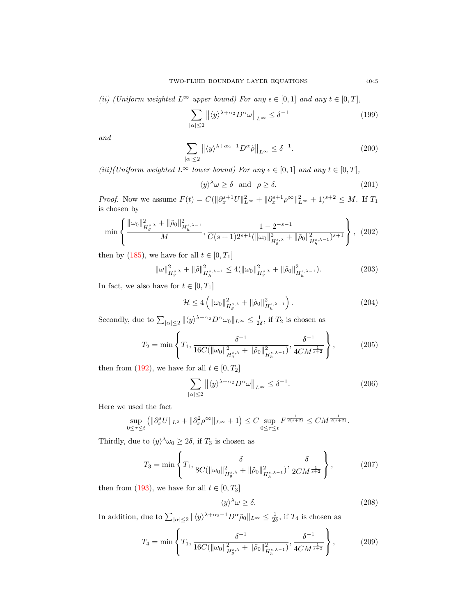(ii) (Uniform weighted  $L^{\infty}$  upper bound) For any  $\epsilon \in [0,1]$  and any  $t \in [0,T]$ ,

<span id="page-36-0"></span>
$$
\sum_{|\alpha| \le 2} \left\| \langle y \rangle^{\lambda + \alpha_2} D^{\alpha} \omega \right\|_{L^{\infty}} \le \delta^{-1}
$$
\n(199)

and

$$
\sum_{|\alpha| \le 2} \left\| \langle y \rangle^{\lambda + \alpha_2 - 1} D^{\alpha} \tilde{\rho} \right\|_{L^{\infty}} \le \delta^{-1}.
$$
 (200)

(iii)(Uniform weighted  $L^{\infty}$  lower bound) For any  $\epsilon \in [0,1]$  and any  $t \in [0,T]$ ,

$$
\langle y \rangle^{\lambda} \omega \ge \delta \quad \text{and} \quad \rho \ge \delta. \tag{201}
$$

*Proof.* Now we assume  $F(t) = C(||\partial_x^{s+1}U||_{L^{\infty}}^2 + ||\partial_x^{s+1}\rho^{\infty}||_{L^{\infty}}^2 + 1)^{s+2} \leq M$ . If  $T_1$ is chosen by

$$
\min\left\{\frac{\|\omega_0\|_{H_g^{s,\lambda}}^2 + \|\tilde{\rho}_0\|_{H_h^{s,\lambda-1}}^2}{M}, \frac{1 - 2^{-s-1}}{C(s+1)2^{s+1}(\|\omega_0\|_{H_g^{s,\lambda}}^2 + \|\tilde{\rho}_0\|_{H_h^{s,\lambda-1}}^2)^{s+1}}\right\},\tag{202}
$$

then by [\(185\)](#page-33-0), we have for all  $t \in [0, T_1]$ 

$$
\|\omega\|_{H_g^{s,\lambda}}^2 + \|\tilde{\rho}\|_{H_h^{s,\lambda-1}}^2 \le 4(\|\omega_0\|_{H_g^{s,\lambda}}^2 + \|\tilde{\rho}_0\|_{H_h^{s,\lambda-1}}^2). \tag{203}
$$

In fact, we also have for  $t \in [0, T_1]$ 

$$
\mathcal{H} \le 4\left(\|\omega_0\|_{H_g^{s,\lambda}}^2 + \|\tilde{\rho}_0\|_{H_h^{s,\lambda-1}}^2\right). \tag{204}
$$

Secondly, due to  $\sum_{|\alpha| \leq 2} ||\langle y \rangle^{\lambda + \alpha_2} D^{\alpha} \omega_0 ||_{L^{\infty}} \leq \frac{1}{2\delta}$ , if  $T_2$  is chosen as

$$
T_2 = \min\left\{T_1, \frac{\delta^{-1}}{16C(\|\omega_0\|_{H_g^{s,\lambda}}^2 + \|\tilde{\rho}_0\|_{H_h^{s,\lambda-1}}^2)}, \frac{\delta^{-1}}{4CM^{\frac{1}{s+2}}}\right\},\tag{205}
$$

then from [\(192\)](#page-34-3), we have for all  $t \in [0, T_2]$ 

$$
\sum_{|\alpha| \le 2} \left\| \langle y \rangle^{\lambda + \alpha_2} D^{\alpha} \omega \right\|_{L^{\infty}} \le \delta^{-1}.
$$
 (206)

Here we used the fact

$$
\sup_{0 \le \tau \le t} \left( \| \partial_x^s U \|_{L^2} + \| \partial_x^2 \rho^\infty \|_{L^\infty} + 1 \right) \le C \sup_{0 \le \tau \le t} F^{\frac{1}{2(s+2)}} \le CM^{\frac{1}{2(s+2)}}.
$$

Thirdly, due to  $\langle y \rangle^{\lambda} \omega_0 \geq 2\delta$ , if  $T_3$  is chosen as

$$
T_3 = \min\left\{T_1, \frac{\delta}{8C(\|\omega_0\|_{H_g^{s,\lambda}}^2 + \|\tilde{\rho}_0\|_{H_h^{s,\lambda-1}}^2)}, \frac{\delta}{2CM^{\frac{1}{s+2}}}\right\},\tag{207}
$$

then from [\(193\)](#page-34-2), we have for all  $t \in [0, T_3]$ 

$$
\langle y \rangle^{\lambda} \omega \ge \delta. \tag{208}
$$

In addition, due to  $\sum_{|\alpha| \leq 2} ||\langle y \rangle^{\lambda+\alpha_2-1} D^{\alpha} \tilde{\rho}_0 ||_{L^{\infty}} \leq \frac{1}{2\delta}$ , if  $T_4$  is chosen as

$$
T_4 = \min\left\{T_1, \frac{\delta^{-1}}{16C(\|\omega_0\|_{H_g^{s,\lambda}}^2 + \|\tilde{\rho}_0\|_{H_h^{s,\lambda-1}}^2)}, \frac{\delta^{-1}}{4CM^{\frac{1}{s+2}}}\right\},\tag{209}
$$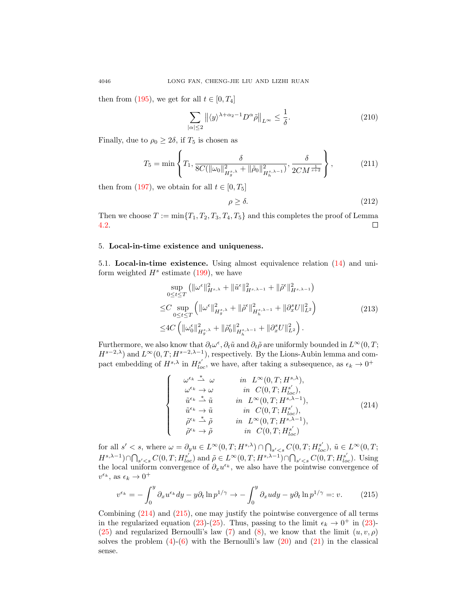then from [\(195\)](#page-35-0), we get for all  $t \in [0, T_4]$ 

$$
\sum_{|\alpha| \le 2} \left\| \langle y \rangle^{\lambda + \alpha_2 - 1} D^{\alpha} \tilde{\rho} \right\|_{L^{\infty}} \le \frac{1}{\delta}.
$$
 (210)

Finally, due to  $\rho_0 \geq 2\delta$ , if  $T_5$  is chosen as

$$
T_5 = \min\left\{T_1, \frac{\delta}{8C(\|\omega_0\|_{H_g^{s,\lambda}}^2 + \|\tilde{\rho}_0\|_{H_h^{s,\lambda-1}}^2)}, \frac{\delta}{2CM^{\frac{1}{s+2}}}\right\},\tag{211}
$$

then from [\(197\)](#page-35-1), we obtain for all  $t \in [0, T_5]$ 

$$
\rho \ge \delta. \tag{212}
$$

Then we choose  $T := \min\{T_1, T_2, T_3, T_4, T_5\}$  and this completes the proof of Lemma [4.2.](#page-35-2)  $\Box$ 

### 5. Local-in-time existence and uniqueness.

<span id="page-37-0"></span>5.1. Local-in-time existence. Using almost equivalence relation [\(14\)](#page-3-1) and uniform weighted  $H^s$  estimate [\(199\)](#page-36-0), we have

$$
\sup_{0 \le t \le T} (\|\omega^{\epsilon}\|_{H^{s,\lambda}}^2 + \|\tilde{u}^{\epsilon}\|_{H^{s,\lambda-1}}^2 + \|\tilde{\rho}^{\epsilon}\|_{H^{s,\lambda-1}}^2)
$$
  
\n
$$
\le C \sup_{0 \le t \le T} (\|\omega^{\epsilon}\|_{H^{s,\lambda}_g}^2 + \|\tilde{\rho}^{\epsilon}\|_{H^{s,\lambda-1}_h}^2 + \|\partial_x^s U\|_{L^2}^2)
$$
  
\n
$$
\le 4C (\|\omega^{\epsilon}_0\|_{H^{s,\lambda}_g}^2 + \|\tilde{\rho}^{\epsilon}_0\|_{H^{s,\lambda-1}_h}^2 + \|\partial_x^s U\|_{L^2}^2).
$$
\n(213)

Furthermore, we also know that  $\partial_t \omega^{\epsilon}$ ,  $\partial_t \tilde{u}$  and  $\partial_t \tilde{\rho}$  are uniformly bounded in  $L^{\infty}(0,T;$  $H^{s-2,\lambda}$  and  $L^{\infty}(0,T;H^{s-2,\lambda-1})$ , respectively. By the Lions-Aubin lemma and compact embedding of  $H^{s,\lambda}$  in  $H^{s'}_{loc}$ , we have, after taking a subsequence, as  $\epsilon_k \to 0^+$ 

<span id="page-37-1"></span>
$$
\begin{cases}\n\omega^{\epsilon_k} \stackrel{*}{\rightarrow} \omega & \text{in } L^{\infty}(0, T; H^{s,\lambda}), \\
\omega^{\epsilon_k} \rightarrow \omega & \text{in } C(0, T; H^{s',}) \\
\tilde{u}^{\epsilon_k} \stackrel{*}{\rightarrow} \tilde{u} & \text{in } L^{\infty}(0, T; H^{s',\lambda-1}), \\
\tilde{u}^{\epsilon_k} \rightarrow \tilde{u} & \text{in } C(0, T; H^{s',\lambda-1}), \\
\tilde{\rho}^{\epsilon_k} \stackrel{*}{\rightarrow} \tilde{\rho} & \text{in } L^{\infty}(0, T; H^{s',\lambda-1}), \\
\tilde{\rho}^{\epsilon_k} \rightarrow \tilde{\rho} & \text{in } C(0, T; H^{s,\lambda-1}),\n\end{cases} (214)
$$

for all  $s' < s$ , where  $\omega = \partial_y u \in L^{\infty}(0,T;H^{s,\lambda}) \cap \bigcap_{s' < s} C(0,T;H^{s'}_{loc}), \tilde{u} \in L^{\infty}(0,T;H^{s'}_{loc})$  $H^{s,\lambda-1}) \cap \bigcap_{s' < s} C(0,T; H^{s'}_{loc})$  and  $\tilde{\rho} \in L^{\infty}(0,T; H^{s,\lambda-1}) \cap \bigcap_{s' < s} C(0,T; H^{s'}_{loc})$ . Using the local uniform convergence of  $\partial_x u^{\epsilon_k}$ , we also have the pointwise convergence of  $v^{\epsilon_k}$ , as  $\epsilon_k \to 0^+$ 

<span id="page-37-2"></span>
$$
v^{\epsilon_k} = -\int_0^y \partial_x u^{\epsilon_k} dy - y \partial_t \ln p^{1/\gamma} \to -\int_0^y \partial_x u dy - y \partial_t \ln p^{1/\gamma} =: v. \tag{215}
$$

Combining [\(214\)](#page-37-1) and [\(215\)](#page-37-2), one may justify the pointwise convergence of all terms in the regularized equation [\(23\)](#page-4-0)-[\(25\)](#page-5-0). Thus, passing to the limit  $\epsilon_k \to 0^+$  in (23)-[\(25\)](#page-5-0) and regularized Bernoulli's law [\(7\)](#page-2-4) and [\(8\)](#page-2-5), we know that the limit  $(u, v, \rho)$ solves the problem  $(4)-(6)$  $(4)-(6)$  $(4)-(6)$  with the Bernoulli's law  $(20)$  and  $(21)$  in the classical sense.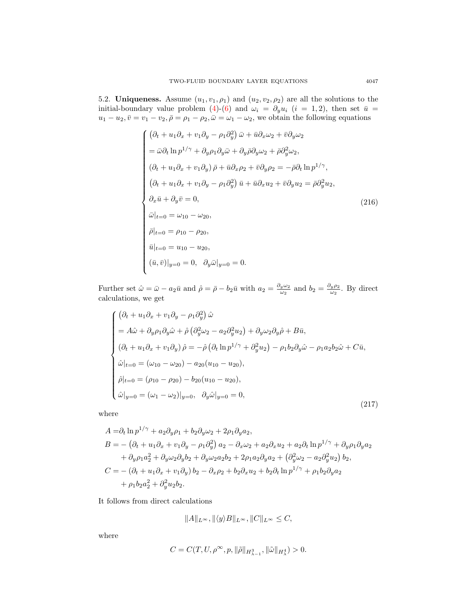<span id="page-38-0"></span>5.2. Uniqueness. Assume  $(u_1, v_1, \rho_1)$  and  $(u_2, v_2, \rho_2)$  are all the solutions to the initial-boundary value problem [\(4\)](#page-2-1)-[\(6\)](#page-2-2) and  $\omega_i = \partial_y u_i$  (i = 1,2), then set  $\bar{u}$  =  $u_1 - u_2, \bar{v} = v_1 - v_2, \bar{\rho} = \rho_1 - \rho_2, \bar{\omega} = \omega_1 - \omega_2$ , we obtain the following equations

$$
\begin{cases}\n(\partial_t + u_1 \partial_x + v_1 \partial_y - \rho_1 \partial_y^2) \bar{\omega} + \bar{u} \partial_x \omega_2 + \bar{v} \partial_y \omega_2 \\
= \bar{\omega} \partial_t \ln p^{1/\gamma} + \partial_y \rho_1 \partial_y \bar{\omega} + \partial_y \bar{\rho} \partial_y \omega_2 + \bar{\rho} \partial_y^2 \omega_2, \\
(\partial_t + u_1 \partial_x + v_1 \partial_y) \bar{\rho} + \bar{u} \partial_x \rho_2 + \bar{v} \partial_y \rho_2 = -\bar{\rho} \partial_t \ln p^{1/\gamma}, \\
(\partial_t + u_1 \partial_x + v_1 \partial_y - \rho_1 \partial_y^2) \bar{u} + \bar{u} \partial_x u_2 + \bar{v} \partial_y u_2 = \bar{\rho} \partial_y^2 u_2, \\
\partial_x \bar{u} + \partial_y \bar{v} = 0, \\
\bar{\omega}|_{t=0} = \omega_{10} - \omega_{20}, \\
\bar{\rho}|_{t=0} = \rho_{10} - \rho_{20}, \\
\bar{u}|_{t=0} = u_{10} - u_{20}, \\
(\bar{u}, \bar{v})|_{y=0} = 0, \quad \partial_y \bar{\omega}|_{y=0} = 0.\n\end{cases} \tag{216}
$$

Further set  $\hat{\omega} = \bar{\omega} - a_2 \bar{u}$  and  $\hat{\rho} = \bar{\rho} - b_2 \bar{u}$  with  $a_2 = \frac{\partial_y \omega_2}{\omega_2}$  $\frac{1}{\omega_2}$  and  $b_2 = \frac{\partial_y \rho_2}{\omega_2}$  $\frac{\omega_1 \nu_2}{\omega_2}$ . By direct calculations, we get

<span id="page-38-1"></span>
$$
\begin{cases}\n(\partial_t + u_1 \partial_x + v_1 \partial_y - \rho_1 \partial_y^2) \hat{\omega} \\
= A \hat{\omega} + \partial_y \rho_1 \partial_y \hat{\omega} + \hat{\rho} (\partial_y^2 \omega_2 - a_2 \partial_y^2 u_2) + \partial_y \omega_2 \partial_y \hat{\rho} + B \bar{u}, \\
(\partial_t + u_1 \partial_x + v_1 \partial_y) \hat{\rho} = -\hat{\rho} (\partial_t \ln p^{1/\gamma} + \partial_y^2 u_2) - \rho_1 b_2 \partial_y \hat{\omega} - \rho_1 a_2 b_2 \hat{\omega} + C \bar{u}, \\
\hat{\omega}|_{t=0} = (\omega_{10} - \omega_{20}) - a_{20}(u_{10} - u_{20}), \\
\hat{\rho}|_{t=0} = (\rho_{10} - \rho_{20}) - b_{20}(u_{10} - u_{20}), \\
\hat{\omega}|_{y=0} = (\omega_1 - \omega_2)|_{y=0}, \quad \partial_y \hat{\omega}|_{y=0} = 0,\n\end{cases}
$$
\n(217)

where

$$
A = \partial_t \ln p^{1/\gamma} + a_2 \partial_y \rho_1 + b_2 \partial_y \omega_2 + 2 \rho_1 \partial_y a_2,
$$
  
\n
$$
B = -(\partial_t + u_1 \partial_x + v_1 \partial_y - \rho_1 \partial_y^2) a_2 - \partial_x \omega_2 + a_2 \partial_x u_2 + a_2 \partial_t \ln p^{1/\gamma} + \partial_y \rho_1 \partial_y a_2
$$
  
\n
$$
+ \partial_y \rho_1 a_2^2 + \partial_y \omega_2 \partial_y b_2 + \partial_y \omega_2 a_2 b_2 + 2 \rho_1 a_2 \partial_y a_2 + (\partial_y^2 \omega_2 - a_2 \partial_y^2 u_2) b_2,
$$
  
\n
$$
C = -(\partial_t + u_1 \partial_x + v_1 \partial_y) b_2 - \partial_x \rho_2 + b_2 \partial_x u_2 + b_2 \partial_t \ln p^{1/\gamma} + \rho_1 b_2 \partial_y a_2
$$
  
\n
$$
+ \rho_1 b_2 a_2^2 + \partial_y^2 u_2 b_2.
$$

It follows from direct calculations

$$
||A||_{L^{\infty}}, ||\langle y \rangle B||_{L^{\infty}}, ||C||_{L^{\infty}} \leq C,
$$

where

$$
C=C(T,U,\rho^{\infty},p,\|\tilde{\rho}\|_{H_{\lambda-1}^3},\|\tilde{\omega}\|_{H_{\lambda}^4})>0.
$$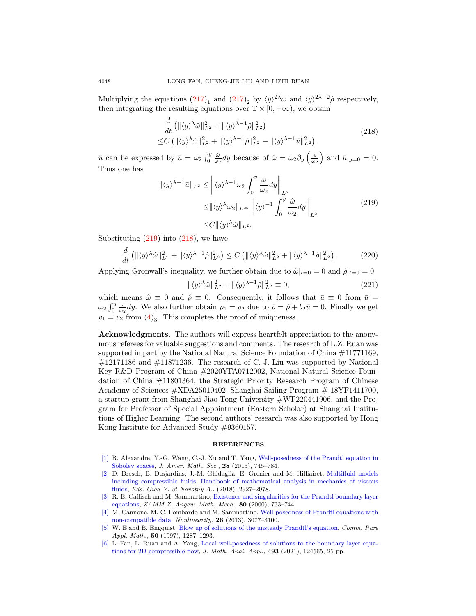Multiplying the equations  $(217)_1$  $(217)_1$  and  $(217)_2$  by  $\langle y \rangle^{2\lambda} \hat{\omega}$  and  $\langle y \rangle^{2\lambda-2} \hat{\rho}$  respectively, then integrating the resulting equations over  $\mathbb{T} \times [0, +\infty)$ , we obtain

$$
\frac{d}{dt} \left( \| \langle y \rangle^{\lambda} \hat{\omega} \|_{L^2}^2 + \| \langle y \rangle^{\lambda - 1} \hat{\rho} \|_{L^2}^2 \right) \leq C \left( \| \langle y \rangle^{\lambda} \hat{\omega} \|_{L^2}^2 + \| \langle y \rangle^{\lambda - 1} \hat{\rho} \|_{L^2}^2 + \| \langle y \rangle^{\lambda - 1} \bar{u} \|_{L^2}^2 \right).
$$
\n(218)

<span id="page-39-7"></span> $\bar{u}$  can be expressed by  $\bar{u} = \omega_2 \int_0^y \frac{\hat{\omega}}{\omega_2} dy$  because of  $\hat{\omega} = \omega_2 \partial_y \left(\frac{\bar{u}}{\omega_2}\right)$  and  $\bar{u}|_{y=0} = 0$ . Thus one has

$$
\|\langle y \rangle^{\lambda - 1} \bar{u}\|_{L^2} \le \left\| \langle y \rangle^{\lambda - 1} \omega_2 \int_0^y \frac{\hat{\omega}}{\omega_2} dy \right\|_{L^2}
$$
  
\n
$$
\leq \|\langle y \rangle^{\lambda} \omega_2\|_{L^\infty} \left\| \langle y \rangle^{-1} \int_0^y \frac{\hat{\omega}}{\omega_2} dy \right\|_{L^2}
$$
  
\n
$$
\leq C \|\langle y \rangle^{\lambda} \hat{\omega}\|_{L^2}.
$$
\n(219)

<span id="page-39-6"></span>Substituting  $(219)$  into  $(218)$ , we have

$$
\frac{d}{dt} \left( \| \langle y \rangle^{\lambda} \hat{\omega} \|_{L^2}^2 + \| \langle y \rangle^{\lambda - 1} \hat{\rho} \|_{L^2}^2 \right) \le C \left( \| \langle y \rangle^{\lambda} \hat{\omega} \|_{L^2}^2 + \| \langle y \rangle^{\lambda - 1} \hat{\rho} \|_{L^2}^2 \right). \tag{220}
$$

Applying Gronwall's inequality, we further obtain due to  $\hat{\omega}|_{t=0} = 0$  and  $\hat{\rho}|_{t=0} = 0$ 

$$
\|\langle y \rangle^{\lambda} \hat{\omega}\|_{L^2}^2 + \|\langle y \rangle^{\lambda - 1} \hat{\rho}\|_{L^2}^2 \equiv 0, \tag{221}
$$

which means  $\hat{\omega} \equiv 0$  and  $\hat{\rho} \equiv 0$ . Consequently, it follows that  $\bar{u} \equiv 0$  from  $\bar{u} =$  $\omega_2 \int_0^y \frac{\hat{\omega}}{\omega_2} dy$ . We also further obtain  $\rho_1 = \rho_2$  due to  $\bar{\rho} = \hat{\rho} + b_2 \bar{u} = 0$ . Finally we get  $v_1 = v_2$  from  $(4)_3$  $(4)_3$ . This completes the proof of uniqueness.

Acknowledgments. The authors will express heartfelt appreciation to the anonymous referees for valuable suggestions and comments. The research of L.Z. Ruan was supported in part by the National Natural Science Foundation of China #11771169,  $\#12171186$  and  $\#11871236$ . The research of C.-J. Liu was supported by National Key R&D Program of China #2020YFA0712002, National Natural Science Foundation of China #11801364, the Strategic Priority Research Program of Chinese Academy of Sciences #XDA25010402, Shanghai Sailing Program # 18YF1411700, a startup grant from Shanghai Jiao Tong University #WF220441906, and the Program for Professor of Special Appointment (Eastern Scholar) at Shanghai Institutions of Higher Learning. The second authors' research was also supported by Hong Kong Institute for Advanced Study #9360157.

#### REFERENCES

- <span id="page-39-0"></span>[\[1\]](http://www.ams.org/mathscinet-getitem?mr=MR3327535&return=pdf) R. Alexandre, Y.-G. Wang, C.-J. Xu and T. Yang, [Well-posedness of the Prandtl equation in](http://dx.doi.org/10.1090/S0894-0347-2014-00813-4) [Sobolev spaces,](http://dx.doi.org/10.1090/S0894-0347-2014-00813-4) J. Amer. Math. Soc., 28 (2015), 745–784.
- <span id="page-39-5"></span>[\[2\]](http://www.ams.org/mathscinet-getitem?mr=MR3916824&return=pdf) D. Bresch, B. Desjardins, J.-M. Ghidaglia, E. Grenier and M. Hilliairet, [Multifluid models](http://dx.doi.org/10.1007/978-3-319-13344-7_74) [including compressible fluids. Handbook of mathematical analysis in mechanics of viscous](http://dx.doi.org/10.1007/978-3-319-13344-7_74) [fluids,](http://dx.doi.org/10.1007/978-3-319-13344-7_74) Eds. Giga Y. et Novotny A., (2018), 2927–2978.
- <span id="page-39-2"></span>[\[3\]](http://www.ams.org/mathscinet-getitem?mr=MR1801538&return=pdf) R. E. Caflisch and M. Sammartino, [Existence and singularities for the Prandtl boundary layer](http://dx.doi.org/10.1002/1521-4001(200011)80:11/12<733::AID-ZAMM733>3.0.CO;2-L) [equations,](http://dx.doi.org/10.1002/1521-4001(200011)80:11/12<733::AID-ZAMM733>3.0.CO;2-L) ZAMM Z. Angew. Math. Mech., 80 (2000), 733–744.
- <span id="page-39-1"></span>[\[4\]](http://www.ams.org/mathscinet-getitem?mr=MR3126621&return=pdf) M. Cannone, M. C. Lombardo and M. Sammartino, [Well-posedness of Prandtl equations with](http://dx.doi.org/10.1088/0951-7715/26/12/3077) [non-compatible data,](http://dx.doi.org/10.1088/0951-7715/26/12/3077) Nonlinearity, 26 (2013), 3077–3100.
- <span id="page-39-3"></span>[\[5\]](http://www.ams.org/mathscinet-getitem?mr=MR1476316&return=pdf) W. E and B. Engquist, [Blow up of solutions of the unsteady Prandtl's equation,](http://dx.doi.org/10.1002/(SICI)1097-0312(199712)50:12<1287::AID-CPA4>3.0.CO;2-4) Comm. Pure Appl. Math., 50 (1997), 1287–1293.
- <span id="page-39-4"></span>[\[6\]](http://www.ams.org/mathscinet-getitem?mr=MR4145619&return=pdf) L. Fan, L. Ruan and A. Yang, [Local well-posedness of solutions to the boundary layer equa](http://dx.doi.org/10.1016/j.jmaa.2020.124565)[tions for 2D compressible flow,](http://dx.doi.org/10.1016/j.jmaa.2020.124565) J. Math. Anal. Appl., 493 (2021), 124565, 25 pp.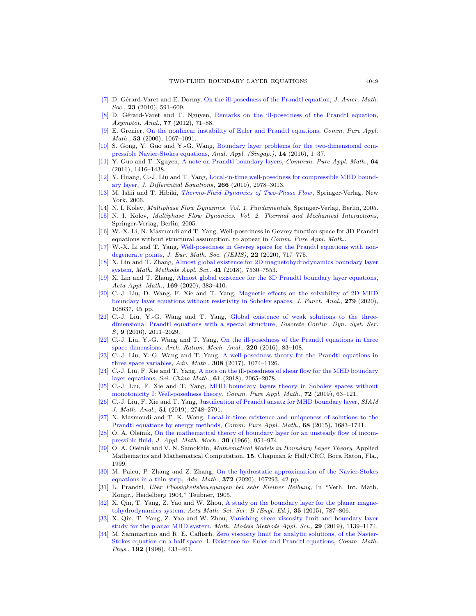- <span id="page-40-1"></span>[\[7\]](http://www.ams.org/mathscinet-getitem?mr=MR2601044&return=pdf) D. Gérard-Varet and E. Dormy, [On the ill-posedness of the Prandtl equation,](http://dx.doi.org/10.1090/S0894-0347-09-00652-3) J. Amer. Math. Soc., **23** (2010), 591-609.
- <span id="page-40-2"></span>D. Gérard-Varet and T. Nguyen, [Remarks on the ill-posedness of the Prandtl equation,](http://dx.doi.org/10.3233/ASY-2011-1075) Asymptot. Anal., **77** (2012), 71-88.
- <span id="page-40-3"></span>E. Grenier, [On the nonlinear instability of Euler and Prandtl equations,](http://dx.doi.org/10.1002/1097-0312(200009)53:9<1067::AID-CPA1>3.0.CO;2-Q) Comm. Pure Appl. Math., 53 (2000), 1067–1091.
- <span id="page-40-4"></span>[\[10\]](http://www.ams.org/mathscinet-getitem?mr=MR3438645&return=pdf) S. Gong, Y. Guo and Y.-G. Wang, [Boundary layer problems for the two-dimensional com](http://dx.doi.org/10.1142/S0219530515400011)[pressible Navier-Stokes equations,](http://dx.doi.org/10.1142/S0219530515400011) Anal. Appl. (Singap.), 14 (2016), 1–37.
- <span id="page-40-5"></span>[\[11\]](http://www.ams.org/mathscinet-getitem?mr=MR2849481&return=pdf) Y. Guo and T. Nguyen, [A note on Prandtl boundary layers,](http://dx.doi.org/10.1002/cpa.20377) Commun. Pure Appl. Math., 64 (2011), 1416–1438.
- <span id="page-40-16"></span>[\[12\]](http://www.ams.org/mathscinet-getitem?mr=MR3912675&return=pdf) Y. Huang, C.-J. Liu and T. Yang, [Local-in-time well-posedness for compressible MHD bound](http://dx.doi.org/10.1016/j.jde.2018.08.052)[ary layer,](http://dx.doi.org/10.1016/j.jde.2018.08.052) J. Differential Equations, 266 (2019), 2978–3013.
- <span id="page-40-25"></span>[\[13\]](http://www.ams.org/mathscinet-getitem?mr=MR2352856&return=pdf) M. Ishii and T. Hibiki, [Thermo-Fluid Dynamics of Two-Phase Flow](http://dx.doi.org/10.1007/978-0-387-29187-1), Springer-Verlag, New York, 2006.
- <span id="page-40-26"></span>[14] N. I. Kolev, Multiphase Flow Dynamics. Vol. 1. Fundamentals, Springer-Verlag, Berlin, 2005.
- <span id="page-40-27"></span>[\[15\]](http://www.ams.org/mathscinet-getitem?mr=MR2161544&return=pdf) N. I. Kolev, Multiphase Flow Dynamics. Vol. 2. Thermal and Mechanical Interactions, Springer-Verlag, Berlin, 2005.
- <span id="page-40-6"></span>[16] W.-X. Li, N. Masmoudi and T. Yang, Well-posedness in Gevrey function space for 3D Prandtl equations without structural assumption, to appear in Comm. Pure Appl. Math..
- <span id="page-40-7"></span>[\[17\]](http://www.ams.org/mathscinet-getitem?mr=MR4055987&return=pdf) W.-X. Li and T. Yang, [Well-posedness in Gevrey space for the Prandtl equations with non](http://dx.doi.org/10.4171/jems/931)[degenerate points,](http://dx.doi.org/10.4171/jems/931) J. Eur. Math. Soc. (JEMS), 22 (2020), 717–775.
- <span id="page-40-17"></span>[\[18\]](http://www.ams.org/mathscinet-getitem?mr=MR3891241&return=pdf) X. Lin and T. Zhang, [Almost global existence for 2D magnetohydrodynamics boundary layer](http://dx.doi.org/10.1002/mma.5217) [system,](http://dx.doi.org/10.1002/mma.5217) Math. Methods Appl. Sci., 41 (2018), 7530–7553.
- <span id="page-40-18"></span>[\[19\]](http://www.ams.org/mathscinet-getitem?mr=MR4146905&return=pdf) X. Lin and T. Zhang, [Almost global existence for the 3D Prandtl boundary layer equations,](http://dx.doi.org/10.1007/s10440-019-00303-y) Acta Appl. Math., **169** (2020), 383-410.
- <span id="page-40-19"></span>[\[20\]](http://www.ams.org/mathscinet-getitem?mr=MR4102162&return=pdf) C.-J. Liu, D. Wang, F. Xie and T. Yang, [Magnetic effects on the solvability of 2D MHD](http://dx.doi.org/10.1016/j.jfa.2020.108637) [boundary layer equations without resistivity in Sobolev spaces,](http://dx.doi.org/10.1016/j.jfa.2020.108637) J. Funct. Anal., 279 (2020), 108637, 45 pp.
- <span id="page-40-8"></span>[\[21\]](http://www.ams.org/mathscinet-getitem?mr=MR3593414&return=pdf) C.-J. Liu, Y.-G. Wang and T. Yang, [Global existence of weak solutions to the three](http://dx.doi.org/10.3934/dcdss.2016082)[dimensional Prandtl equations with a special structure,](http://dx.doi.org/10.3934/dcdss.2016082) Discrete Contin. Dyn. Syst. Ser. S, 9 (2016), 2011–2029.
- <span id="page-40-9"></span>[\[22\]](http://www.ams.org/mathscinet-getitem?mr=MR3458159&return=pdf) C.-J. Liu, Y.-G. Wang and T. Yang, [On the ill-posedness of the Prandtl equations in three](http://dx.doi.org/10.1007/s00205-015-0927-1) [space dimensions,](http://dx.doi.org/10.1007/s00205-015-0927-1) Arch. Ration. Mech. Anal., 220 (2016), 83-108.
- <span id="page-40-10"></span>[\[23\]](http://www.ams.org/mathscinet-getitem?mr=MR3600083&return=pdf) C.-J. Liu, Y.-G. Wang and T. Yang, [A well-posedness theory for the Prandtl equations in](http://dx.doi.org/10.1016/j.aim.2016.12.025) [three space variables,](http://dx.doi.org/10.1016/j.aim.2016.12.025) Adv. Math., 308 (2017), 1074–1126.
- <span id="page-40-20"></span>[\[24\]](http://www.ams.org/mathscinet-getitem?mr=MR3864769&return=pdf) C.-J. Liu, F. Xie and T. Yang, [A note on the ill-posedness of shear flow for the MHD boundary](http://dx.doi.org/10.1007/s11425-017-9306-0) [layer equations,](http://dx.doi.org/10.1007/s11425-017-9306-0) Sci. China Math., 61 (2018), 2065–2078.
- <span id="page-40-21"></span>[\[25\]](http://www.ams.org/mathscinet-getitem?mr=MR3882222&return=pdf) C.-J. Liu, F. Xie and T. Yang, [MHD boundary layers theory in Sobolev spaces without](http://dx.doi.org/10.1002/cpa.21763) [monotonicity I: Well-posedness theory,](http://dx.doi.org/10.1002/cpa.21763) Comm. Pure Appl. Math., 72 (2019), 63-121.
- <span id="page-40-22"></span>[\[26\]](http://www.ams.org/mathscinet-getitem?mr=MR3975147&return=pdf) C.-J. Liu, F. Xie and T. Yang, [Justification of Prandtl ansatz for MHD boundary layer,](http://dx.doi.org/10.1137/18M1219618) SIAM J. Math. Anal., 51 (2019), 2748–2791.
- <span id="page-40-11"></span>[\[27\]](http://www.ams.org/mathscinet-getitem?mr=MR3385340&return=pdf) N. Masmoudi and T. K. Wong, [Local-in-time existence and uniqueness of solutions to the](http://dx.doi.org/10.1002/cpa.21595) [Prandtl equations by energy methods,](http://dx.doi.org/10.1002/cpa.21595) Comm. Pure Appl. Math., 68 (2015), 1683–1741.
- <span id="page-40-12"></span>[\[28\]](http://www.ams.org/mathscinet-getitem?mr=MR0223134&return=pdf) O. A. Oleinik, [On the mathematical theory of boundary layer for an unsteady flow of incom](http://dx.doi.org/10.1016/0021-8928(66)90001-3)[pressible fluid,](http://dx.doi.org/10.1016/0021-8928(66)90001-3) J. Appl. Math. Mech., 30 (1966), 951–974.
- <span id="page-40-13"></span>[\[29\]](http://www.ams.org/mathscinet-getitem?mr=MR1697762&return=pdf) O. A. Oleinik and V. N. Samokhin, Mathematical Models in Boundary Layer Theory, Applied Mathematics and Mathematical Computation, 15. Chapman & Hall/CRC, Boca Raton, Fla., 1999.
- <span id="page-40-14"></span>[\[30\]](http://www.ams.org/mathscinet-getitem?mr=MR4125518&return=pdf) M. Paicu, P. Zhang and Z. Zhang, [On the hydrostatic approximation of the Navier-Stokes](http://dx.doi.org/10.1016/j.aim.2020.107293) [equations in a thin strip,](http://dx.doi.org/10.1016/j.aim.2020.107293) Adv. Math., 372 (2020), 107293, 42 pp.
- <span id="page-40-0"></span>[31] L. Prandtl, Über Flüssigkeitsbewegungen bei sehr Kleiner Reibung, In "Verh. Int. Math. Kongr., Heidelberg 1904," Teubner, 1905.
- <span id="page-40-23"></span>[\[32\]](http://www.ams.org/mathscinet-getitem?mr=MR3355353&return=pdf) X. Qin, T. Yang, Z. Yao and W. Zhou, [A study on the boundary layer for the planar magne](http://dx.doi.org/10.1016/S0252-9602(15)30022-9)[tohydrodynamics system,](http://dx.doi.org/10.1016/S0252-9602(15)30022-9) Acta Math. Sci. Ser. B (Engl. Ed.), 35 (2015), 787–806.
- <span id="page-40-24"></span>[\[33\]](http://www.ams.org/mathscinet-getitem?mr=MR3963637&return=pdf) X. Qin, T. Yang, Z. Yao and W. Zhou, [Vanishing shear viscosity limit and boundary layer](http://dx.doi.org/10.1142/S0218202519500180) [study for the planar MHD system,](http://dx.doi.org/10.1142/S0218202519500180) Math. Models Methods Appl. Sci., 29 (2019), 1139–1174.
- <span id="page-40-15"></span>[\[34\]](http://www.ams.org/mathscinet-getitem?mr=MR1617542&return=pdf) M. Sammartino and R. E. Caflisch, [Zero viscosity limit for analytic solutions, of the Navier-](http://dx.doi.org/10.1007/s002200050304)[Stokes equation on a half-space. I. Existence for Euler and Prandtl equations,](http://dx.doi.org/10.1007/s002200050304) Comm. Math. Phys., 192 (1998), 433–461.